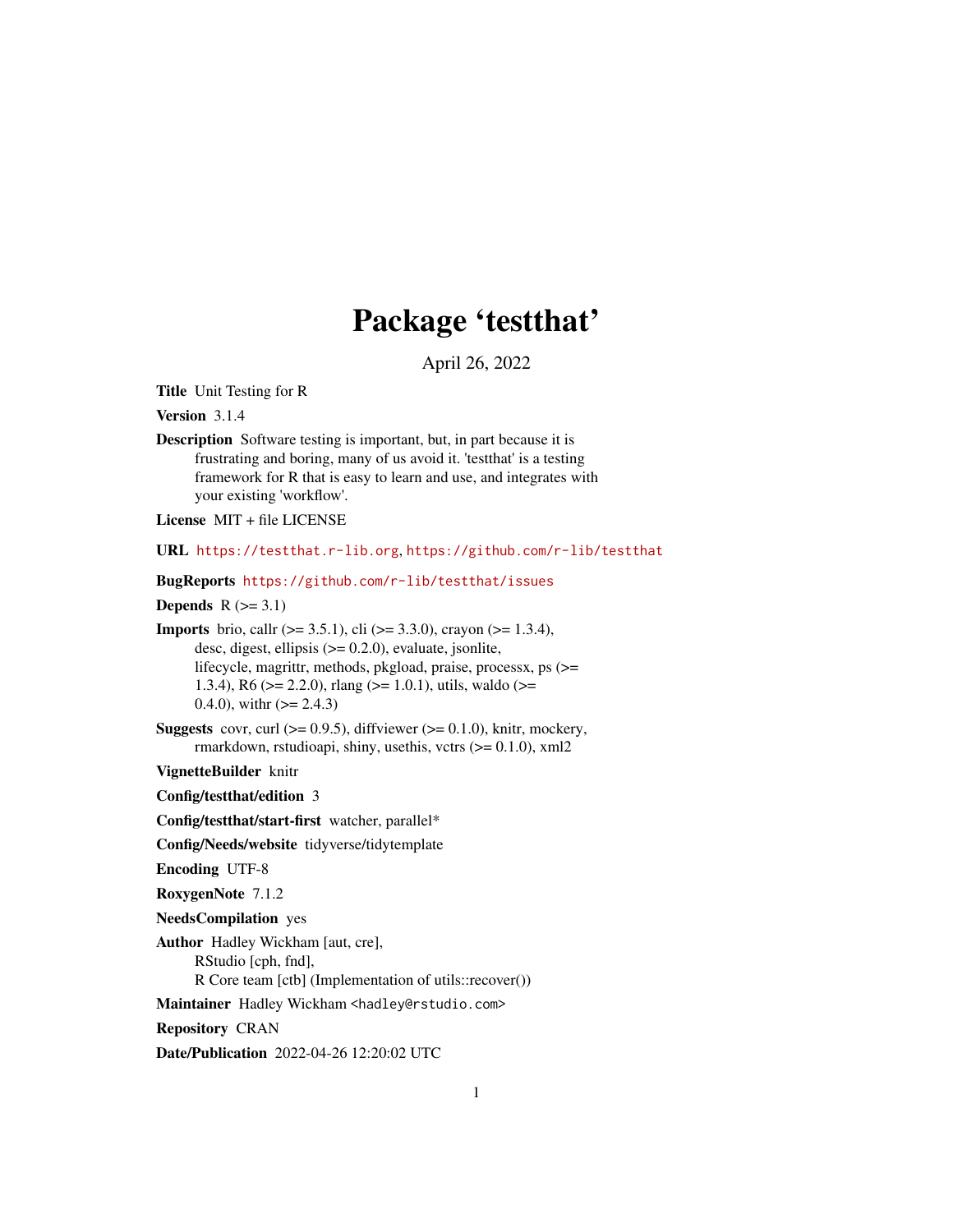# Package 'testthat'

April 26, 2022

<span id="page-0-0"></span>Title Unit Testing for R

Version 3.1.4

Description Software testing is important, but, in part because it is frustrating and boring, many of us avoid it. 'testthat' is a testing framework for R that is easy to learn and use, and integrates with your existing 'workflow'.

License MIT + file LICENSE

URL <https://testthat.r-lib.org>, <https://github.com/r-lib/testthat>

BugReports <https://github.com/r-lib/testthat/issues>

Depends  $R$  ( $>= 3.1$ )

**Imports** brio, call  $(>= 3.5.1)$ , cli  $(>= 3.3.0)$ , crayon  $(>= 1.3.4)$ , desc, digest, ellipsis (>= 0.2.0), evaluate, jsonlite, lifecycle, magrittr, methods, pkgload, praise, processx, ps (>= 1.3.4), R6 ( $>= 2.2.0$ ), rlang ( $>= 1.0.1$ ), utils, waldo ( $>= 1.3.4$ ) 0.4.0), with  $(>= 2.4.3)$ 

**Suggests** covr, curl  $(>= 0.9.5)$ , diffviewer  $(>= 0.1.0)$ , knitr, mockery, rmarkdown, rstudioapi, shiny, usethis, vctrs  $(>= 0.1.0)$ , xml2

VignetteBuilder knitr

Config/testthat/edition 3

Config/testthat/start-first watcher, parallel\*

Config/Needs/website tidyverse/tidytemplate

Encoding UTF-8

RoxygenNote 7.1.2

NeedsCompilation yes

Author Hadley Wickham [aut, cre], RStudio [cph, fnd], R Core team [ctb] (Implementation of utils::recover())

Maintainer Hadley Wickham <hadley@rstudio.com>

Repository CRAN

Date/Publication 2022-04-26 12:20:02 UTC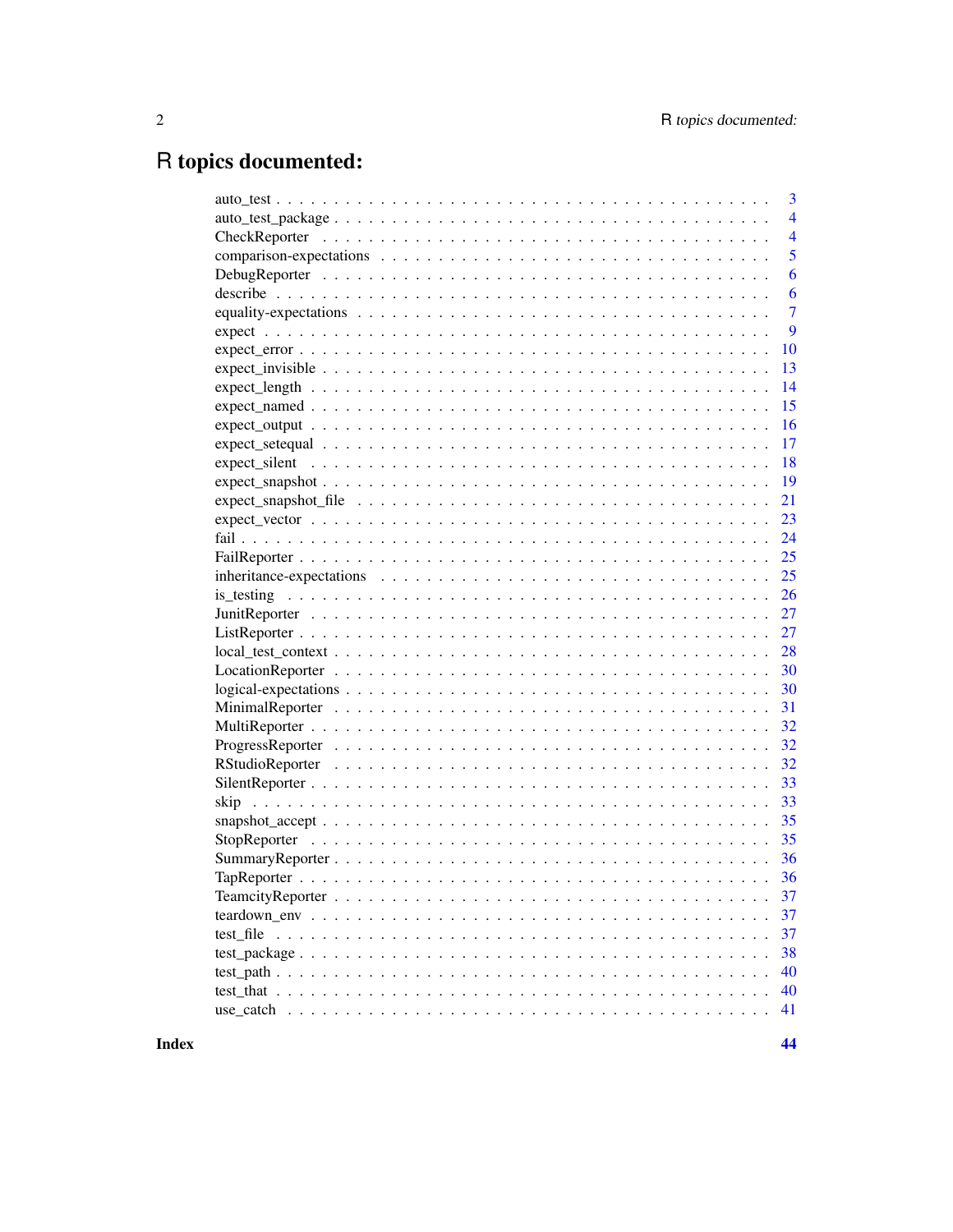# R topics documented:

|                                                                                                            | 3              |
|------------------------------------------------------------------------------------------------------------|----------------|
|                                                                                                            | $\overline{4}$ |
|                                                                                                            | $\overline{4}$ |
|                                                                                                            | 5              |
|                                                                                                            | 6              |
|                                                                                                            | 6              |
|                                                                                                            | $\overline{7}$ |
|                                                                                                            | 9              |
|                                                                                                            | 10             |
|                                                                                                            | 13             |
|                                                                                                            | 14             |
|                                                                                                            | 15             |
|                                                                                                            | 16             |
|                                                                                                            | 17             |
|                                                                                                            | 18             |
|                                                                                                            | 19             |
|                                                                                                            | 21             |
|                                                                                                            | 23             |
|                                                                                                            | 24             |
|                                                                                                            | 25             |
|                                                                                                            | 25             |
|                                                                                                            | 26             |
|                                                                                                            | 27             |
|                                                                                                            | 27             |
|                                                                                                            | 28             |
|                                                                                                            | 30             |
| $logical-expectations \ldots \ldots \ldots \ldots \ldots \ldots \ldots \ldots \ldots \ldots \ldots \ldots$ | 30             |
|                                                                                                            | 31             |
|                                                                                                            |                |
|                                                                                                            | 32             |
|                                                                                                            | 32             |
|                                                                                                            | 33             |
|                                                                                                            | 33             |
|                                                                                                            |                |
|                                                                                                            |                |
|                                                                                                            |                |
|                                                                                                            |                |
|                                                                                                            | 37             |
|                                                                                                            | 37             |
|                                                                                                            | 37             |
|                                                                                                            | 38             |
|                                                                                                            | 40             |
|                                                                                                            | 40             |
|                                                                                                            | 41             |
|                                                                                                            |                |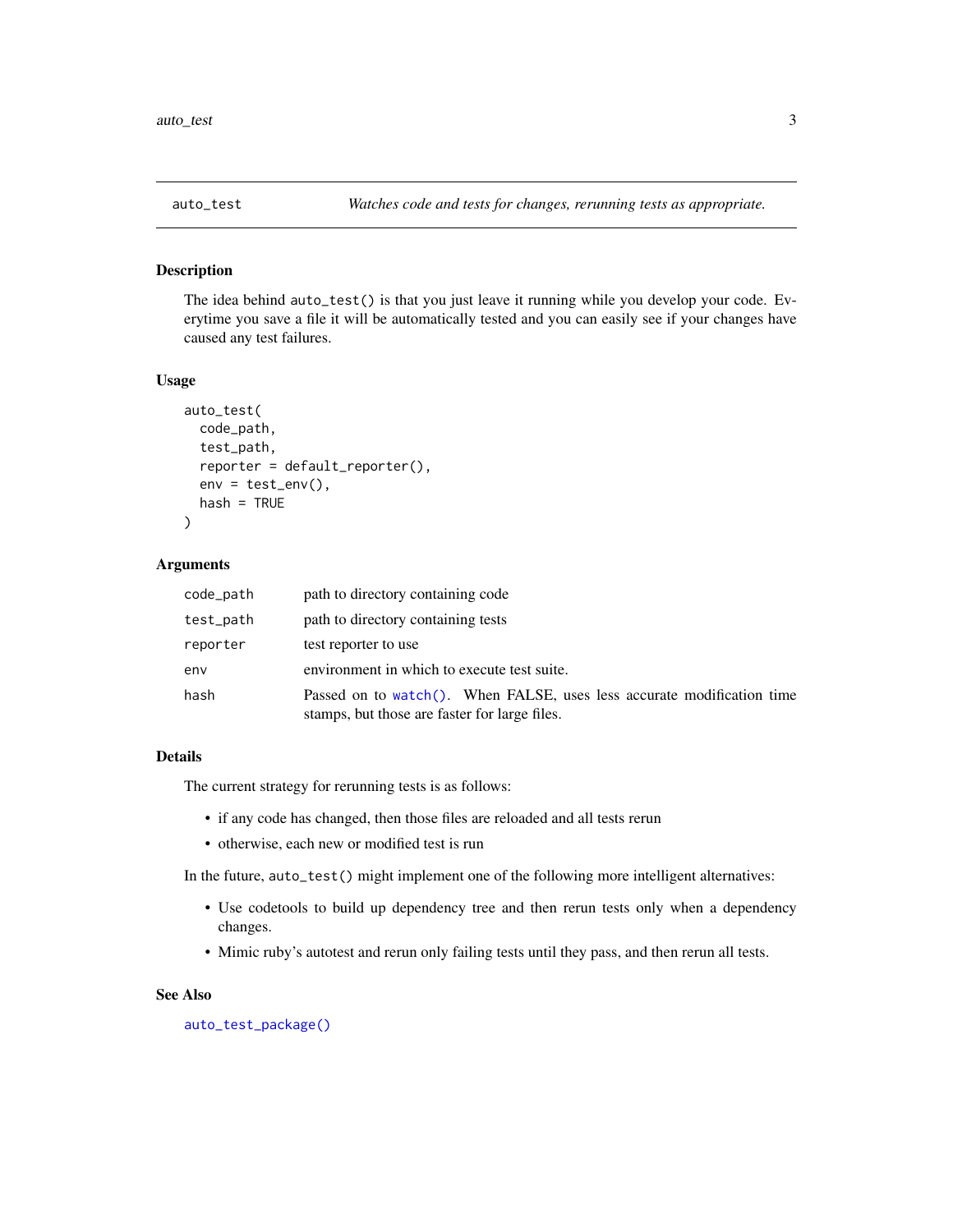<span id="page-2-1"></span><span id="page-2-0"></span>

## Description

The idea behind auto\_test() is that you just leave it running while you develop your code. Everytime you save a file it will be automatically tested and you can easily see if your changes have caused any test failures.

#### Usage

```
auto_test(
  code_path,
  test_path,
  reporter = default_reporter(),
  env = test_{env}(),
  hash = TRUE
\lambda
```
# Arguments

| code_path | path to directory containing code                                                                                       |
|-----------|-------------------------------------------------------------------------------------------------------------------------|
| test_path | path to directory containing tests                                                                                      |
| reporter  | test reporter to use                                                                                                    |
| env       | environment in which to execute test suite.                                                                             |
| hash      | Passed on to watch(). When FALSE, uses less accurate modification time<br>stamps, but those are faster for large files. |

#### Details

The current strategy for rerunning tests is as follows:

- if any code has changed, then those files are reloaded and all tests rerun
- otherwise, each new or modified test is run

In the future, auto\_test() might implement one of the following more intelligent alternatives:

- Use codetools to build up dependency tree and then rerun tests only when a dependency changes.
- Mimic ruby's autotest and rerun only failing tests until they pass, and then rerun all tests.

# See Also

[auto\\_test\\_package\(\)](#page-3-1)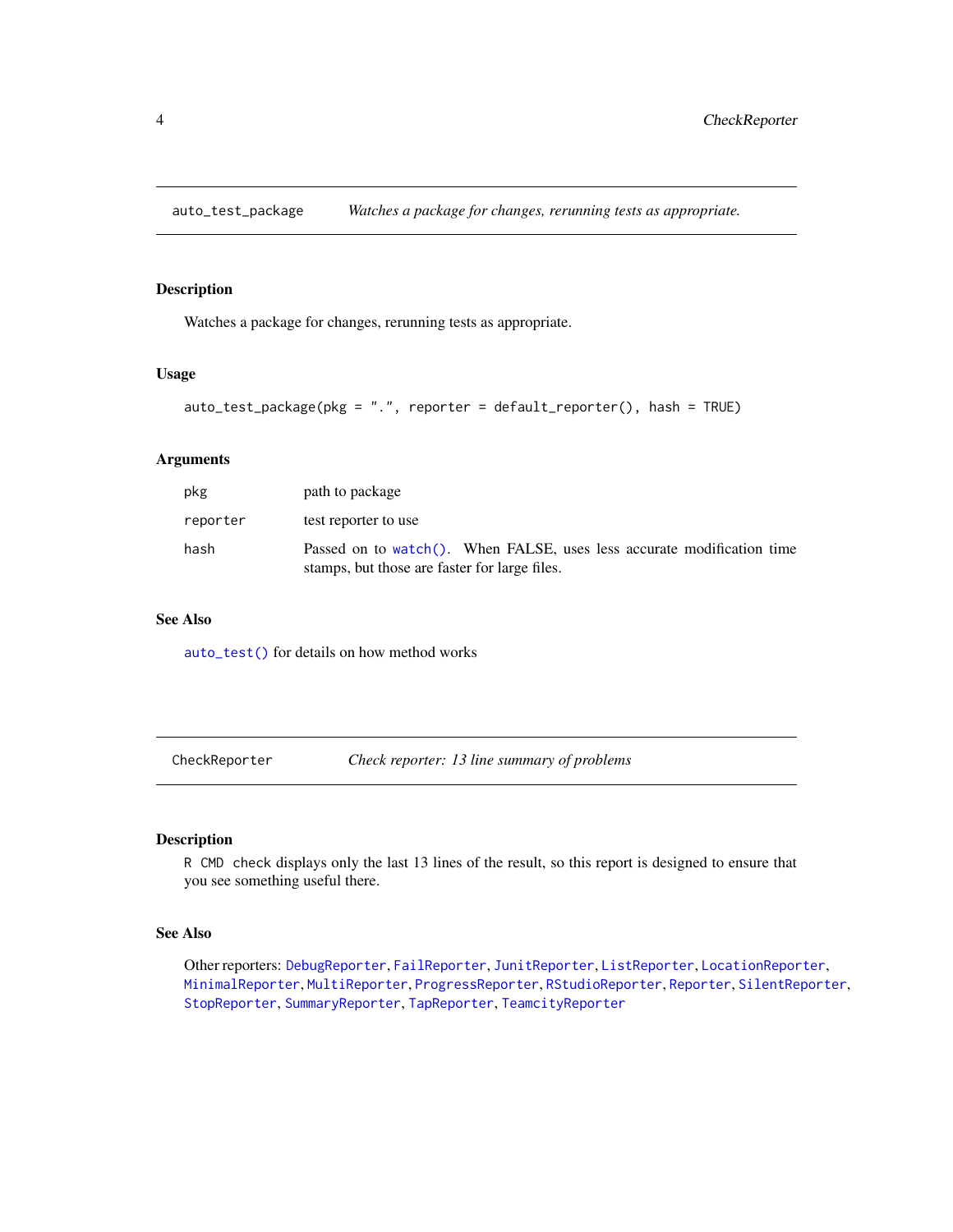<span id="page-3-1"></span><span id="page-3-0"></span>auto\_test\_package *Watches a package for changes, rerunning tests as appropriate.*

# Description

Watches a package for changes, rerunning tests as appropriate.

#### Usage

```
auto_test_package(pkg = ".", reporter = default_reporter(), hash = TRUE)
```
#### Arguments

| pkg      | path to package                                                                                                         |
|----------|-------------------------------------------------------------------------------------------------------------------------|
| reporter | test reporter to use                                                                                                    |
| hash     | Passed on to watch(). When FALSE, uses less accurate modification time<br>stamps, but those are faster for large files. |

#### See Also

[auto\\_test\(\)](#page-2-1) for details on how method works

<span id="page-3-2"></span>CheckReporter *Check reporter: 13 line summary of problems*

# Description

R CMD check displays only the last 13 lines of the result, so this report is designed to ensure that you see something useful there.

# See Also

Other reporters: [DebugReporter](#page-5-1), [FailReporter](#page-24-1), [JunitReporter](#page-26-1), [ListReporter](#page-26-2), [LocationReporter](#page-29-1), [MinimalReporter](#page-30-1), [MultiReporter](#page-31-1), [ProgressReporter](#page-31-2), [RStudioReporter](#page-31-3), [Reporter](#page-0-0), [SilentReporter](#page-32-1), [StopReporter](#page-34-1), [SummaryReporter](#page-35-1), [TapReporter](#page-35-2), [TeamcityReporter](#page-36-1)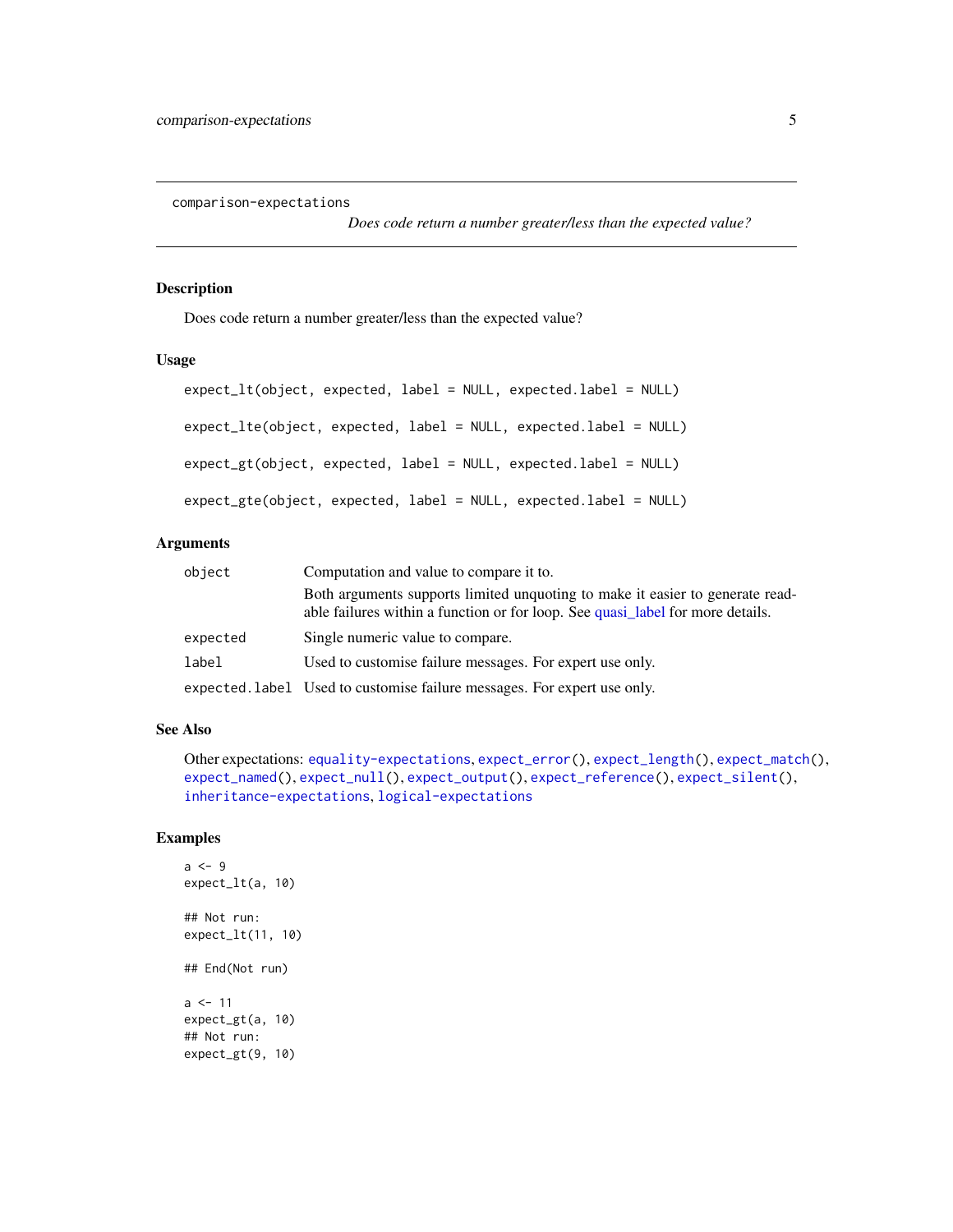<span id="page-4-1"></span><span id="page-4-0"></span>comparison-expectations

*Does code return a number greater/less than the expected value?*

#### Description

Does code return a number greater/less than the expected value?

#### Usage

```
expect_lt(object, expected, label = NULL, expected.label = NULL)
expect_lte(object, expected, label = NULL, expected.label = NULL)
expect_gt(object, expected, label = NULL, expected.label = NULL)
expect_gte(object, expected, label = NULL, expected.label = NULL)
```
# Arguments

| object   | Computation and value to compare it to.                                                                                                                         |
|----------|-----------------------------------------------------------------------------------------------------------------------------------------------------------------|
|          | Both arguments supports limited unquoting to make it easier to generate read-<br>able failures within a function or for loop. See quasi label for more details. |
| expected | Single numeric value to compare.                                                                                                                                |
| label    | Used to customise failure messages. For expert use only.                                                                                                        |
|          | expected. label Used to customise failure messages. For expert use only.                                                                                        |

## See Also

```
Other expectations: equality-expectations, expect_error(), expect_length(), expect_match(),
expect_named(), expect_null(), expect_output(), expect_reference(), expect_silent(),
inheritance-expectations, logical-expectations
```
# Examples

```
a \leq -9expect_lt(a, 10)
## Not run:
expect_lt(11, 10)
## End(Not run)
a < -11expect_gt(a, 10)
## Not run:
expect_gt(9, 10)
```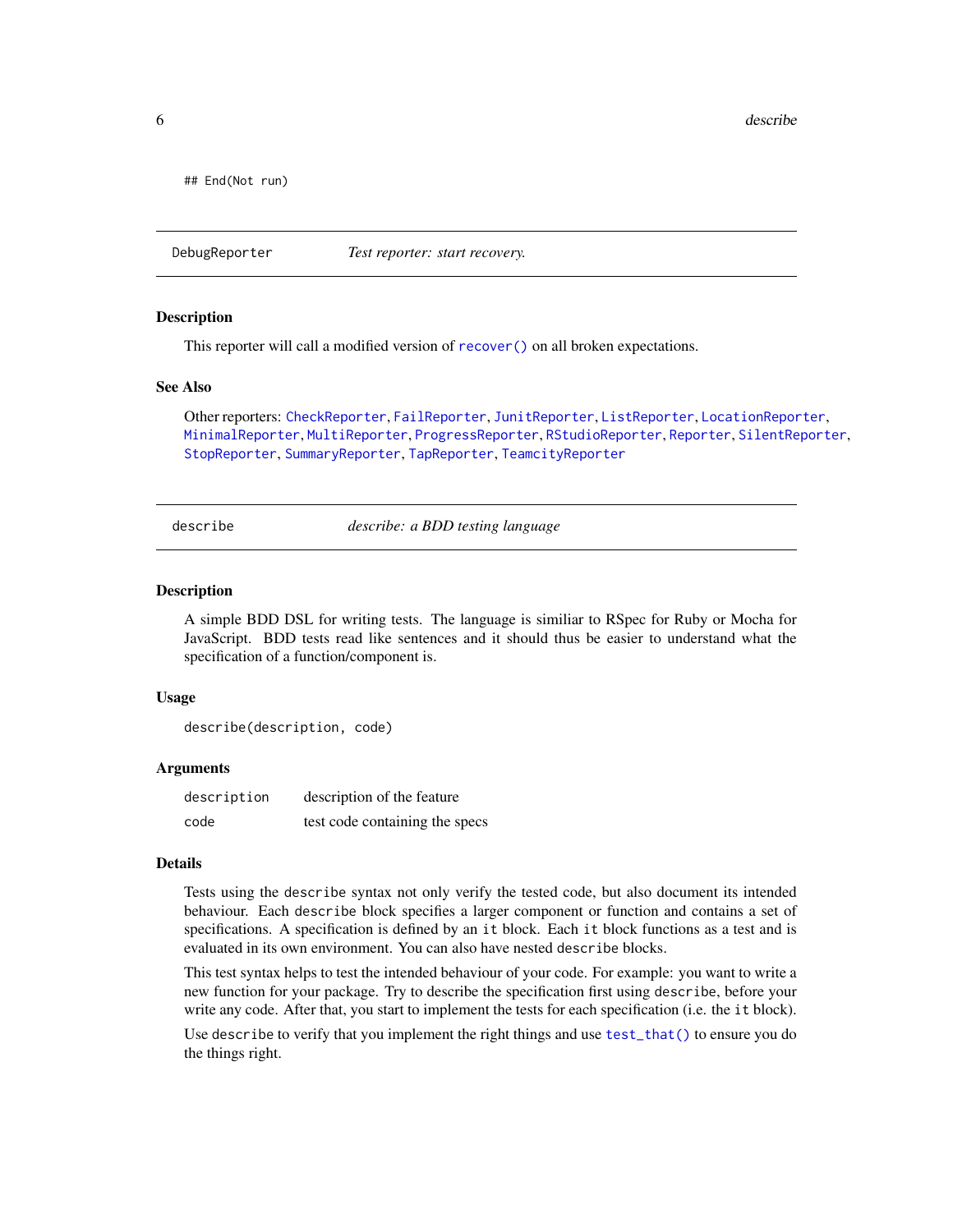<span id="page-5-0"></span>6 describe and the set of the set of the set of the set of the set of the set of the set of the set of the set of the set of the set of the set of the set of the set of the set of the set of the set of the set of the set o

## End(Not run)

<span id="page-5-1"></span>DebugReporter *Test reporter: start recovery.*

#### Description

This reporter will call a modified version of [recover\(\)](#page-0-0) on all broken expectations.

#### See Also

Other reporters: [CheckReporter](#page-3-2), [FailReporter](#page-24-1), [JunitReporter](#page-26-1), [ListReporter](#page-26-2), [LocationReporter](#page-29-1), [MinimalReporter](#page-30-1), [MultiReporter](#page-31-1), [ProgressReporter](#page-31-2), [RStudioReporter](#page-31-3), [Reporter](#page-0-0), [SilentReporter](#page-32-1), [StopReporter](#page-34-1), [SummaryReporter](#page-35-1), [TapReporter](#page-35-2), [TeamcityReporter](#page-36-1)

describe *describe: a BDD testing language*

#### Description

A simple BDD DSL for writing tests. The language is similiar to RSpec for Ruby or Mocha for JavaScript. BDD tests read like sentences and it should thus be easier to understand what the specification of a function/component is.

#### Usage

describe(description, code)

## Arguments

| description | description of the feature     |
|-------------|--------------------------------|
| code        | test code containing the specs |

## Details

Tests using the describe syntax not only verify the tested code, but also document its intended behaviour. Each describe block specifies a larger component or function and contains a set of specifications. A specification is defined by an it block. Each it block functions as a test and is evaluated in its own environment. You can also have nested describe blocks.

This test syntax helps to test the intended behaviour of your code. For example: you want to write a new function for your package. Try to describe the specification first using describe, before your write any code. After that, you start to implement the tests for each specification (i.e. the it block).

Use describe to verify that you implement the right things and use [test\\_that\(\)](#page-39-1) to ensure you do the things right.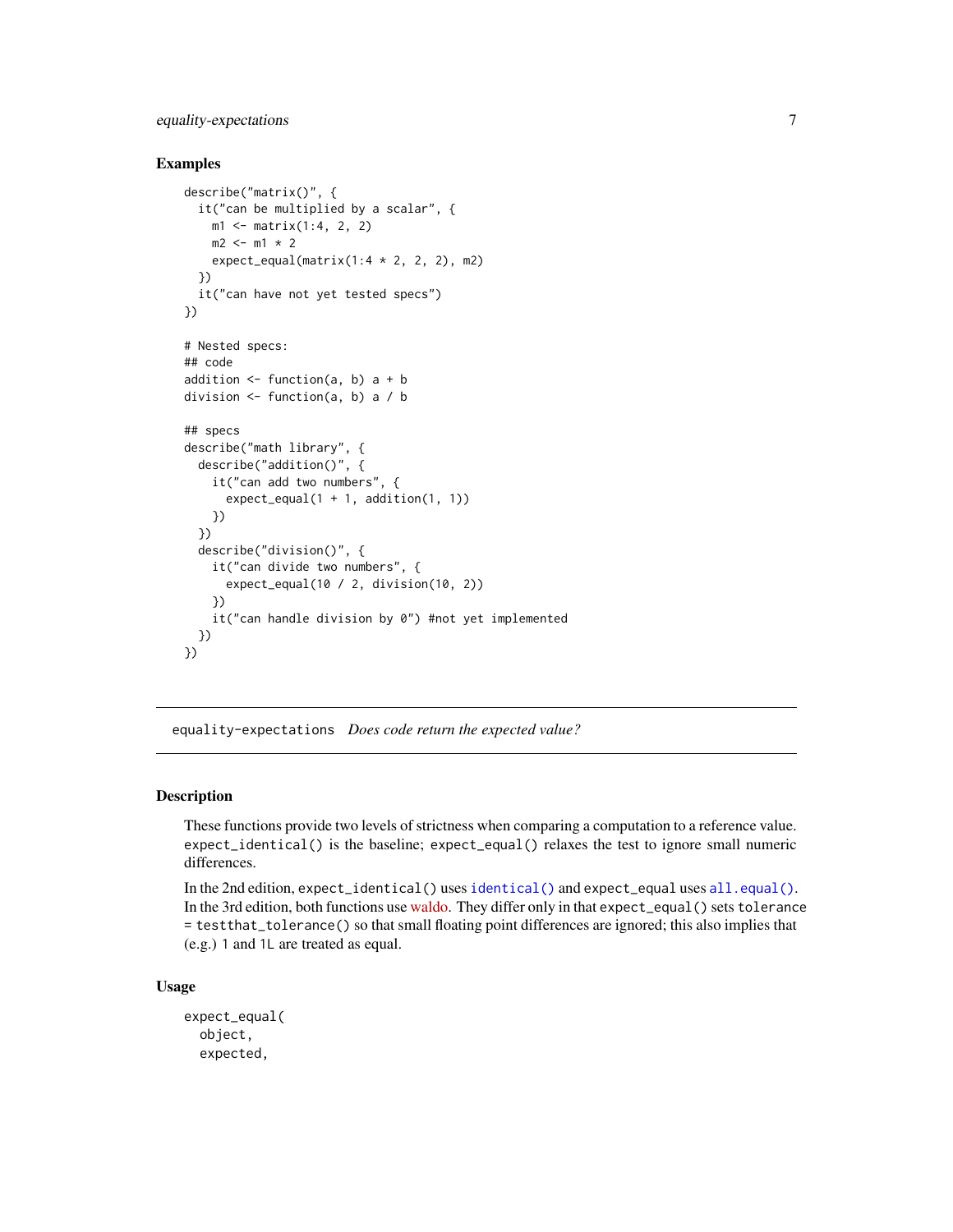# <span id="page-6-0"></span>equality-expectations 7

## Examples

```
describe("matrix()", {
  it("can be multiplied by a scalar", {
   m1 <- matrix(1:4, 2, 2)
   m2 < - m1 * 2expect_equal(matrix(1:4 * 2, 2, 2), m2)
  })
  it("can have not yet tested specs")
})
# Nested specs:
## code
addition \leq function(a, b) a + b
division <- function(a, b) a / b
## specs
describe("math library", {
  describe("addition()", {
    it("can add two numbers", {
      expect\_equal(1 + 1, addition(1, 1))})
  })
  describe("division()", {
    it("can divide two numbers", {
      expect_equal(10 / 2, division(10, 2))
   })
    it("can handle division by 0") #not yet implemented
  })
})
```
<span id="page-6-1"></span>equality-expectations *Does code return the expected value?*

# <span id="page-6-2"></span>Description

These functions provide two levels of strictness when comparing a computation to a reference value. expect\_identical() is the baseline; expect\_equal() relaxes the test to ignore small numeric differences.

In the 2nd edition, expect\_identical() uses [identical\(\)](#page-0-0) and expect\_equal uses [all.equal\(\)](#page-0-0). In the 3rd edition, both functions use [waldo.](https://github.com/r-lib/waldo) They differ only in that expect\_equal() sets tolerance = testthat\_tolerance() so that small floating point differences are ignored; this also implies that (e.g.) 1 and 1L are treated as equal.

# Usage

```
expect_equal(
  object,
  expected,
```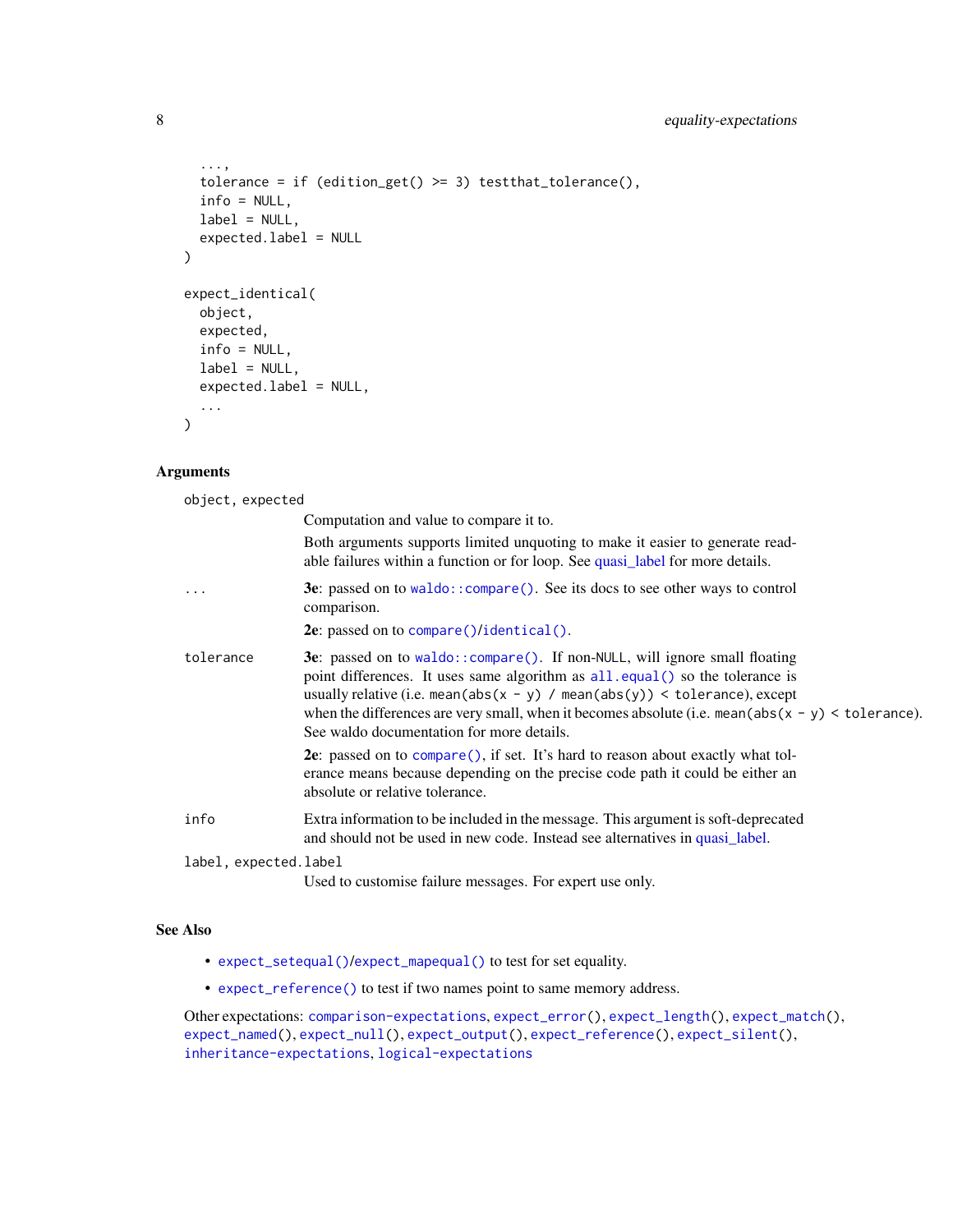```
...,
  tolerance = if (edition_get() >= 3) testthat_tolerance(),
  info = NULL,
 label = NULL,expected.label = NULL
\mathcal{L}expect_identical(
 object,
  expected,
  info = NULL,
 label = NULL,expected.label = NULL,
  ...
)
```
# Arguments

| object, expected      |                                                                                                                                                                                                                                                                                                                                                                                                   |
|-----------------------|---------------------------------------------------------------------------------------------------------------------------------------------------------------------------------------------------------------------------------------------------------------------------------------------------------------------------------------------------------------------------------------------------|
|                       | Computation and value to compare it to.                                                                                                                                                                                                                                                                                                                                                           |
|                       | Both arguments supports limited unquoting to make it easier to generate read-<br>able failures within a function or for loop. See quasi_label for more details.                                                                                                                                                                                                                                   |
| $\cdots$              | 3e: passed on to $\text{waldo}$ : $\text{compare}()$ . See its docs to see other ways to control<br>comparison.                                                                                                                                                                                                                                                                                   |
|                       | 2e: passed on to compare()/identical().                                                                                                                                                                                                                                                                                                                                                           |
| tolerance             | 3e: passed on to waldo::compare(). If non-NULL, will ignore small floating<br>point differences. It uses same algorithm as all.equal() so the tolerance is<br>usually relative (i.e. mean(abs( $x - y$ ) / mean(abs(y)) < tolerance), except<br>when the differences are very small, when it becomes absolute (i.e. mean( $abs(x - y)$ < tolerance).<br>See waldo documentation for more details. |
|                       | 2e: passed on to compare(), if set. It's hard to reason about exactly what tol-<br>erance means because depending on the precise code path it could be either an<br>absolute or relative tolerance.                                                                                                                                                                                               |
| info                  | Extra information to be included in the message. This argument is soft-deprecated<br>and should not be used in new code. Instead see alternatives in quasi_label.                                                                                                                                                                                                                                 |
| label, expected.label |                                                                                                                                                                                                                                                                                                                                                                                                   |
|                       | Used to customise failure messages. For expert use only.                                                                                                                                                                                                                                                                                                                                          |

# See Also

- [expect\\_setequal\(\)](#page-16-1)/[expect\\_mapequal\(\)](#page-16-2) to test for set equality.
- [expect\\_reference\(\)](#page-0-0) to test if two names point to same memory address.

Other expectations: [comparison-expectations](#page-4-1), [expect\\_error\(](#page-9-1)), [expect\\_length\(](#page-13-1)), [expect\\_match\(](#page-0-0)), [expect\\_named\(](#page-14-1)), [expect\\_null\(](#page-0-0)), [expect\\_output\(](#page-15-1)), [expect\\_reference\(](#page-0-0)), [expect\\_silent\(](#page-17-1)), [inheritance-expectations](#page-24-2), [logical-expectations](#page-29-2)

<span id="page-7-0"></span>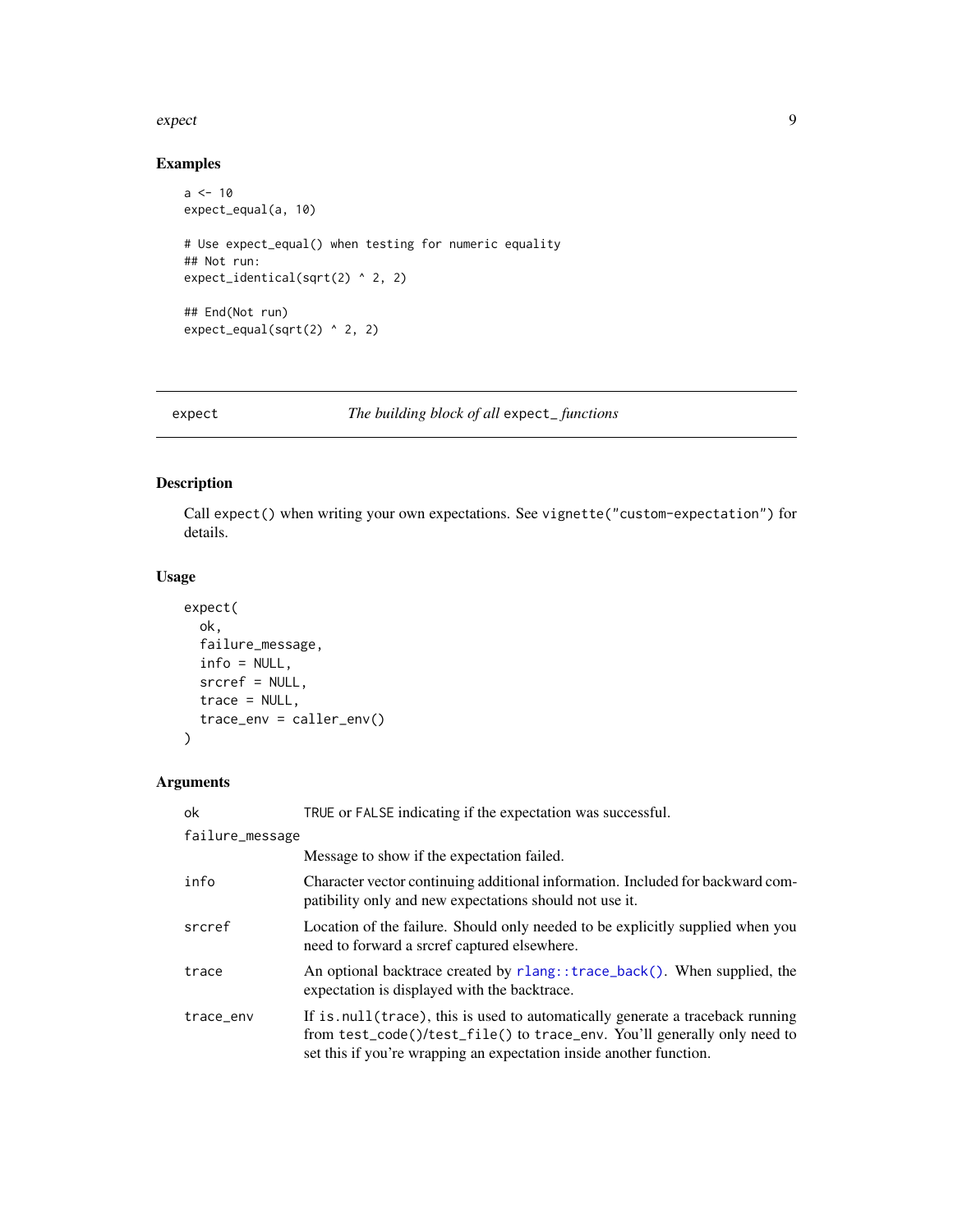#### <span id="page-8-0"></span>expect that the expect of the state of the state of the state of the state of the state of the state of the state of the state of the state of the state of the state of the state of the state of the state of the state of t

# Examples

```
a < -10expect_equal(a, 10)
# Use expect_equal() when testing for numeric equality
## Not run:
expect_identical(sqrt(2) ^ 2, 2)
## End(Not run)
expect_equal(sqrt(2) ^ 2, 2)
```
expect *The building block of all* expect\_ *functions*

# Description

Call expect() when writing your own expectations. See vignette("custom-expectation") for details.

# Usage

```
expect(
  ok,
  failure_message,
  info = NULL,
  srcref = NULL,
  trace = NULL,trace_env = caller_env()
\mathcal{L}
```
# Arguments

| ok              | TRUE or FALSE indicating if the expectation was successful.                                                                                                                                                                       |
|-----------------|-----------------------------------------------------------------------------------------------------------------------------------------------------------------------------------------------------------------------------------|
| failure_message |                                                                                                                                                                                                                                   |
|                 | Message to show if the expectation failed.                                                                                                                                                                                        |
| info            | Character vector continuing additional information. Included for backward com-<br>patibility only and new expectations should not use it.                                                                                         |
| srcref          | Location of the failure. Should only needed to be explicitly supplied when you<br>need to forward a srcref captured elsewhere.                                                                                                    |
| trace           | An optional backtrace created by rlang::trace_back(). When supplied, the<br>expectation is displayed with the backtrace.                                                                                                          |
| trace_env       | If is null (trace), this is used to automatically generate a traceback running<br>from test_code()/test_file() to trace_env. You'll generally only need to<br>set this if you're wrapping an expectation inside another function. |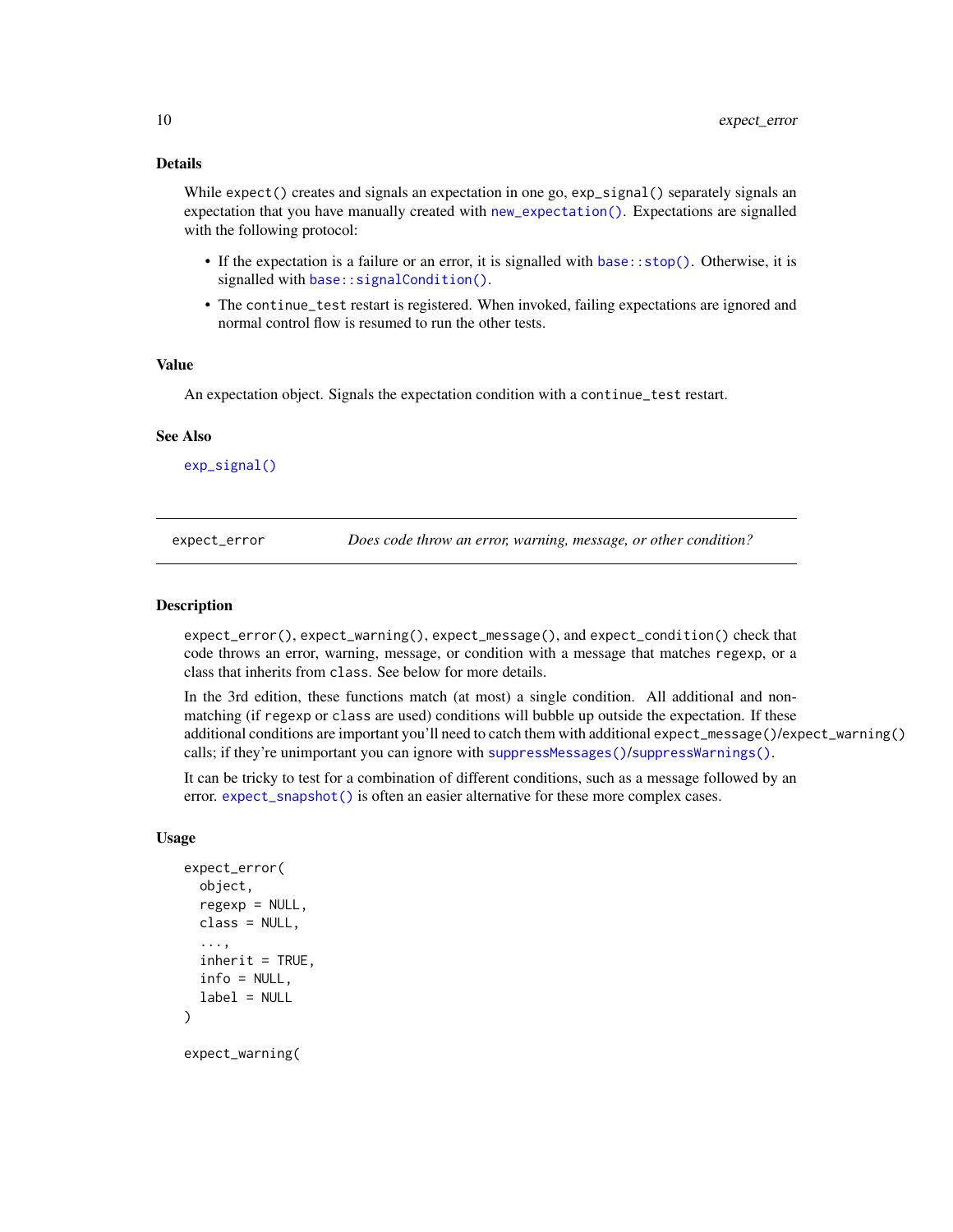# <span id="page-9-0"></span>Details

While expect() creates and signals an expectation in one go, exp\_signal() separately signals an expectation that you have manually created with [new\\_expectation\(\)](#page-0-0). Expectations are signalled with the following protocol:

- If the expectation is a failure or an error, it is signalled with [base::stop\(\)](#page-0-0). Otherwise, it is signalled with base:: signalCondition().
- The continue\_test restart is registered. When invoked, failing expectations are ignored and normal control flow is resumed to run the other tests.

#### Value

An expectation object. Signals the expectation condition with a continue\_test restart.

# See Also

[exp\\_signal\(\)](#page-0-0)

<span id="page-9-1"></span>expect\_error *Does code throw an error, warning, message, or other condition?*

#### Description

expect\_error(), expect\_warning(), expect\_message(), and expect\_condition() check that code throws an error, warning, message, or condition with a message that matches regexp, or a class that inherits from class. See below for more details.

In the 3rd edition, these functions match (at most) a single condition. All additional and nonmatching (if regexp or class are used) conditions will bubble up outside the expectation. If these additional conditions are important you'll need to catch them with additional expect\_message()/expect\_warning() calls; if they're unimportant you can ignore with [suppressMessages\(\)](#page-0-0)/[suppressWarnings\(\)](#page-0-0).

It can be tricky to test for a combination of different conditions, such as a message followed by an error. [expect\\_snapshot\(\)](#page-18-1) is often an easier alternative for these more complex cases.

#### Usage

```
expect_error(
  object,
  regexp = NULL,class = NULL,
  ...,
  inherit = TRUE,
  info = NULL,
  label = NULL)
```
expect\_warning(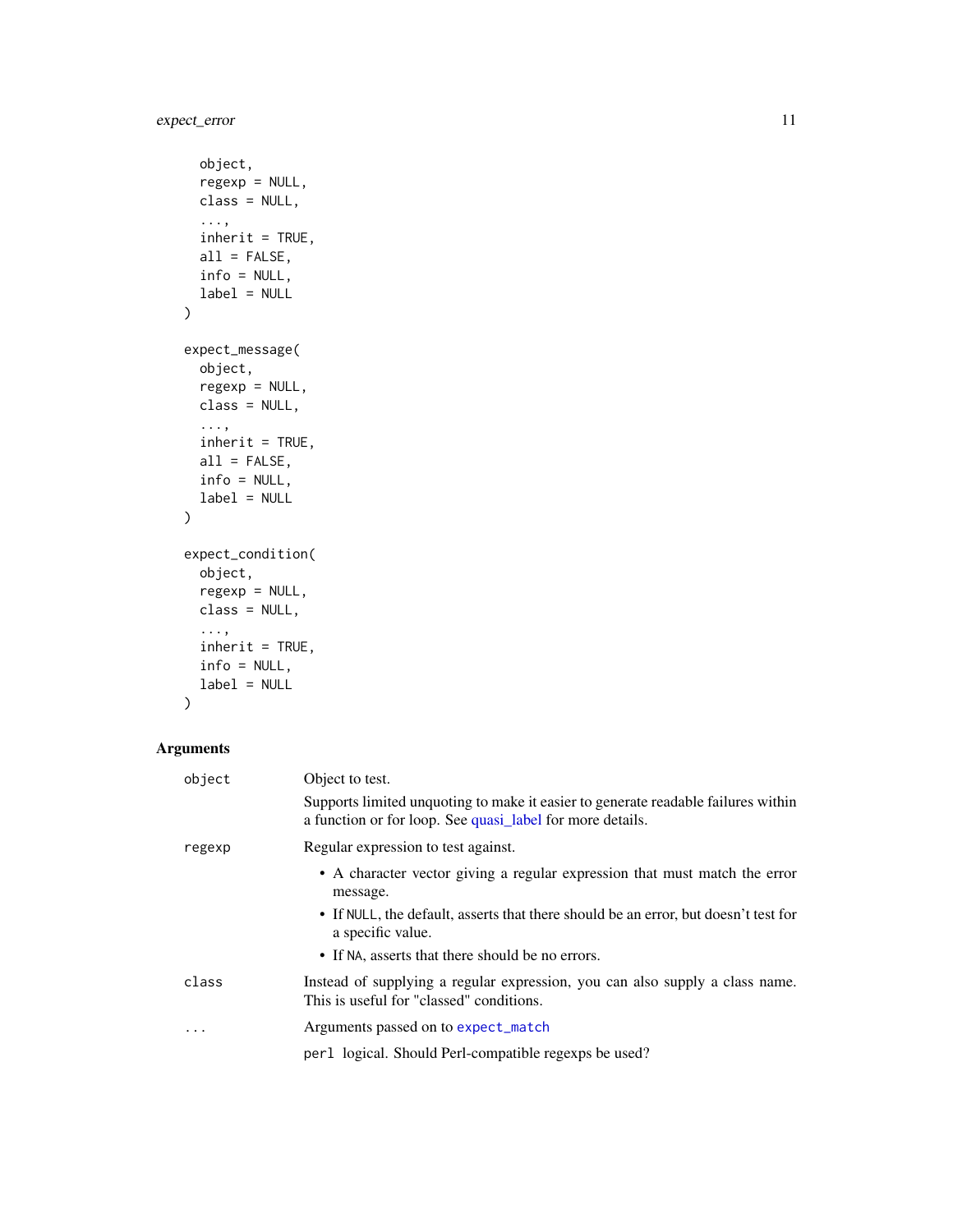```
object,
  regexp = NULL,
 class = NULL,
  ...,
 inherit = TRUE,
 all = FALSE,
 info = NULL,
 label = NULL
)
expect_message(
 object,
  regexp = NULL,
 class = NULL,
  ...,
  inherit = TRUE,
 all = FALSE,info = NULL,
 label = NULL
\mathcal{L}expect_condition(
 object,
  regexp = NULL,
 class = NULL,
  ...,
  inherit = TRUE,
 info = NULL,
 label = NULL
)
```
# Arguments

| object  | Object to test.                                                                                                                                |
|---------|------------------------------------------------------------------------------------------------------------------------------------------------|
|         | Supports limited unquoting to make it easier to generate readable failures within<br>a function or for loop. See quasi_label for more details. |
| regexp  | Regular expression to test against.                                                                                                            |
|         | • A character vector giving a regular expression that must match the error<br>message.                                                         |
|         | • If NULL, the default, asserts that there should be an error, but doesn't test for<br>a specific value.                                       |
|         | • If NA, asserts that there should be no errors.                                                                                               |
| class   | Instead of supplying a regular expression, you can also supply a class name.<br>This is useful for "classed" conditions.                       |
| $\cdot$ | Arguments passed on to expect_match                                                                                                            |
|         | per 1 logical. Should Perl-compatible regexps be used?                                                                                         |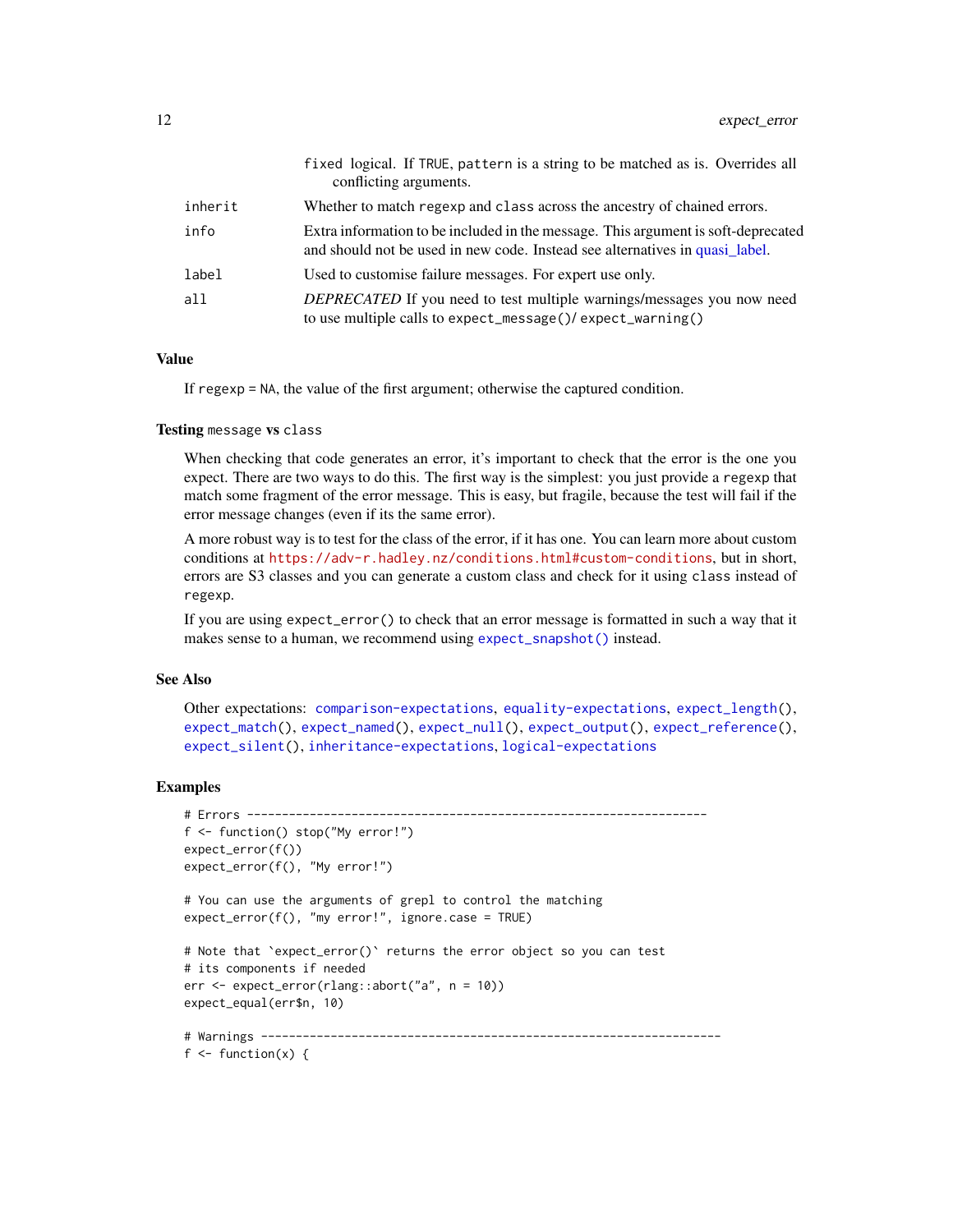<span id="page-11-0"></span>

|         | fixed logical. If TRUE, pattern is a string to be matched as is. Overrides all<br>conflicting arguments.                                                          |
|---------|-------------------------------------------------------------------------------------------------------------------------------------------------------------------|
| inherit | Whether to match regexp and class across the ancestry of chained errors.                                                                                          |
| info    | Extra information to be included in the message. This argument is soft-deprecated<br>and should not be used in new code. Instead see alternatives in quasi label. |
| label   | Used to customise failure messages. For expert use only.                                                                                                          |
| a11     | <i>DEPRECATED</i> If you need to test multiple warnings/messages you now need<br>to use multiple calls to expect_message()/expect_warning()                       |

# Value

If regexp = NA, the value of the first argument; otherwise the captured condition.

#### Testing message vs class

When checking that code generates an error, it's important to check that the error is the one you expect. There are two ways to do this. The first way is the simplest: you just provide a regexp that match some fragment of the error message. This is easy, but fragile, because the test will fail if the error message changes (even if its the same error).

A more robust way is to test for the class of the error, if it has one. You can learn more about custom conditions at <https://adv-r.hadley.nz/conditions.html#custom-conditions>, but in short, errors are S3 classes and you can generate a custom class and check for it using class instead of regexp.

If you are using expect\_error() to check that an error message is formatted in such a way that it makes sense to a human, we recommend using [expect\\_snapshot\(\)](#page-18-1) instead.

#### See Also

```
Other expectations: comparison-expectations, equality-expectations, expect_length(),
expect_match(), expect_named(), expect_null(), expect_output(), expect_reference(),
expect_silent(), inheritance-expectations, logical-expectations
```
#### Examples

```
# Errors ------------------------------------------------------------------
f <- function() stop("My error!")
expect_error(f())
expect_error(f(), "My error!")
# You can use the arguments of grepl to control the matching
expect_error(f(), "my error!", ignore.case = TRUE)
# Note that `expect_error()` returns the error object so you can test
# its components if needed
err <- expect_error(rlang::abort("a", n = 10))
expect_equal(err$n, 10)
# Warnings ------------------------------------------------------------------
f \leftarrow function(x) {
```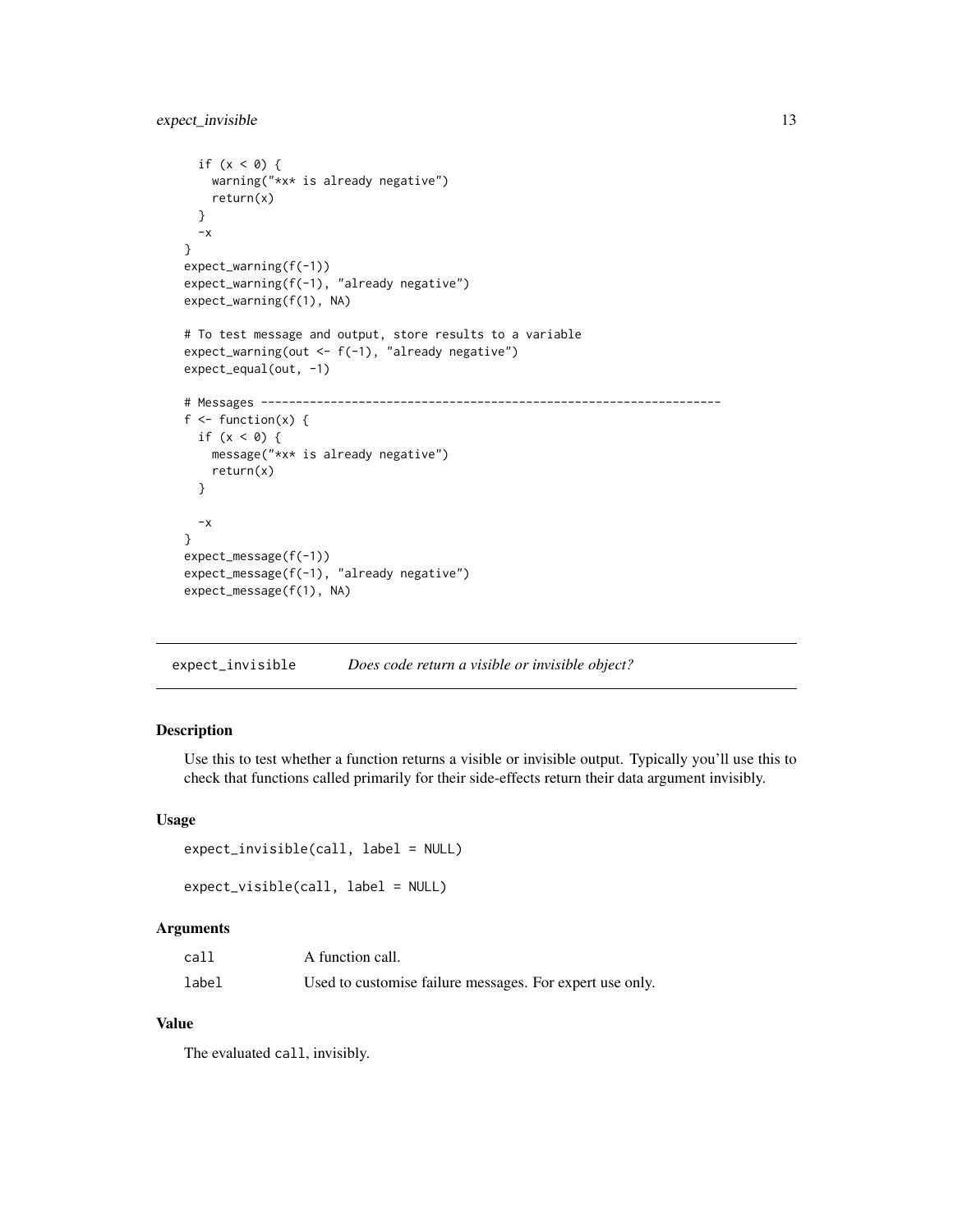# <span id="page-12-0"></span>expect\_invisible 13

```
if (x < 0) {
   warning("*x* is already negative")
   return(x)
  }
  -x}
expect_warning(f(-1))
expect_warning(f(-1), "already negative")
expect_warning(f(1), NA)
# To test message and output, store results to a variable
expect_warning(out <- f(-1), "already negative")
expect_equal(out, -1)
# Messages ------------------------------------------------------------------
f \leftarrow function(x) {
 if (x < 0) {
   message("*x* is already negative")
   return(x)
  }
  -x}
expect_message(f(-1))
expect_message(f(-1), "already negative")
expect_message(f(1), NA)
```
expect\_invisible *Does code return a visible or invisible object?*

#### Description

Use this to test whether a function returns a visible or invisible output. Typically you'll use this to check that functions called primarily for their side-effects return their data argument invisibly.

#### Usage

```
expect_invisible(call, label = NULL)
expect_visible(call, label = NULL)
```
#### Arguments

| call  | A function call.                                         |  |
|-------|----------------------------------------------------------|--|
| label | Used to customise failure messages. For expert use only. |  |

# Value

The evaluated call, invisibly.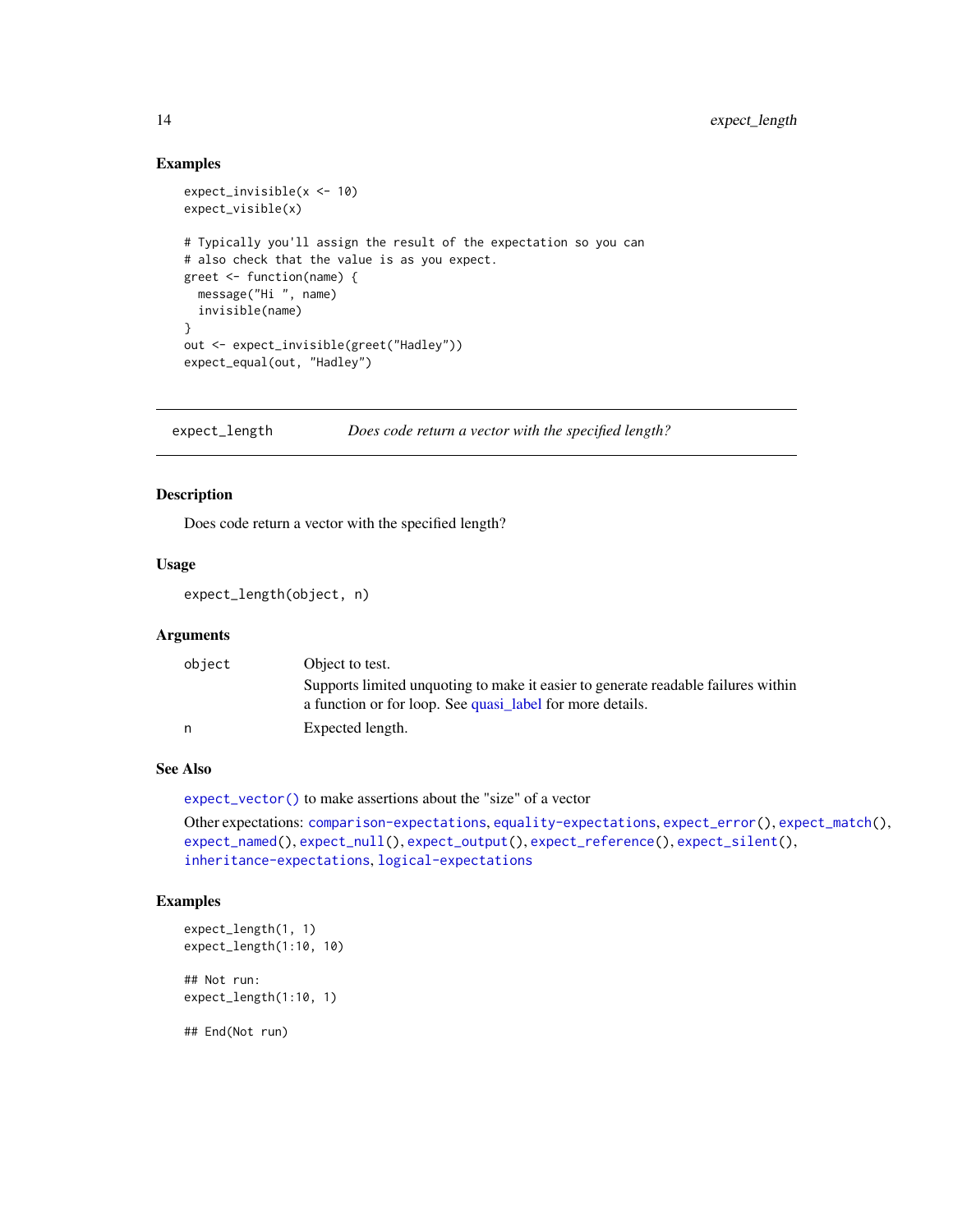## Examples

```
expect_invisible(x <- 10)
expect_visible(x)
# Typically you'll assign the result of the expectation so you can
# also check that the value is as you expect.
greet <- function(name) {
  message("Hi ", name)
  invisible(name)
}
out <- expect_invisible(greet("Hadley"))
expect_equal(out, "Hadley")
```
<span id="page-13-1"></span>expect\_length *Does code return a vector with the specified length?*

#### Description

Does code return a vector with the specified length?

# Usage

expect\_length(object, n)

# Arguments

| object | Object to test.                                                                   |
|--------|-----------------------------------------------------------------------------------|
|        | Supports limited unquoting to make it easier to generate readable failures within |
|        | a function or for loop. See quasi_label for more details.                         |
| n      | Expected length.                                                                  |

# See Also

[expect\\_vector\(\)](#page-22-1) to make assertions about the "size" of a vector

Other expectations: [comparison-expectations](#page-4-1), [equality-expectations](#page-6-1), [expect\\_error\(](#page-9-1)), [expect\\_match\(](#page-0-0)), [expect\\_named\(](#page-14-1)), [expect\\_null\(](#page-0-0)), [expect\\_output\(](#page-15-1)), [expect\\_reference\(](#page-0-0)), [expect\\_silent\(](#page-17-1)), [inheritance-expectations](#page-24-2), [logical-expectations](#page-29-2)

# Examples

```
expect_length(1, 1)
expect_length(1:10, 10)
## Not run:
expect_length(1:10, 1)
```
## End(Not run)

<span id="page-13-0"></span>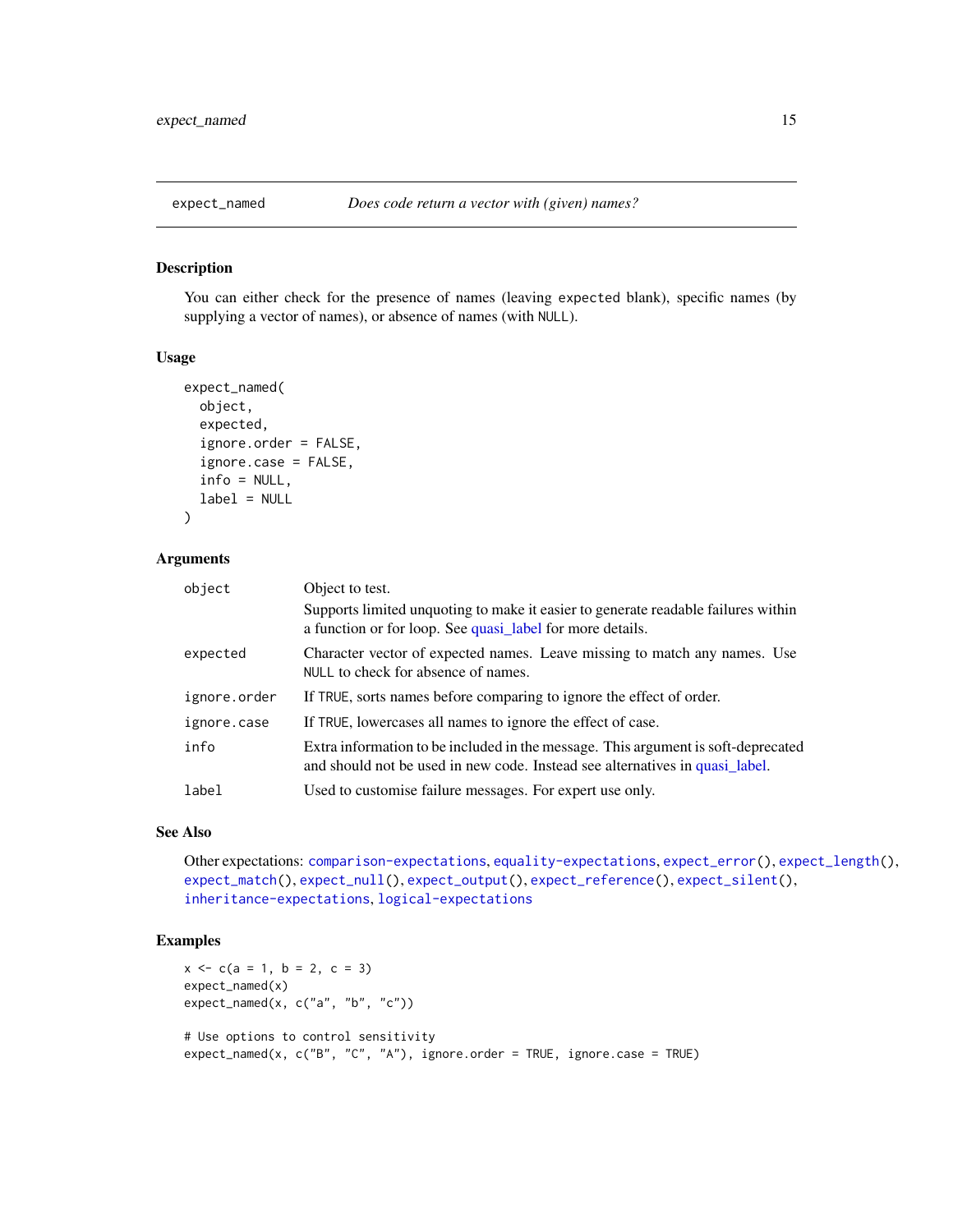<span id="page-14-1"></span><span id="page-14-0"></span>

## Description

You can either check for the presence of names (leaving expected blank), specific names (by supplying a vector of names), or absence of names (with NULL).

# Usage

```
expect_named(
  object,
  expected,
  ignore.order = FALSE,
  ignore.case = FALSE,
  info = NULL,
  label = NULL\mathcal{L}
```
#### Arguments

| object       | Object to test.                                                                                                                                                   |
|--------------|-------------------------------------------------------------------------------------------------------------------------------------------------------------------|
|              | Supports limited unquoting to make it easier to generate readable failures within<br>a function or for loop. See quasi_label for more details.                    |
| expected     | Character vector of expected names. Leave missing to match any names. Use<br>NULL to check for absence of names.                                                  |
| ignore.order | If TRUE, sorts names before comparing to ignore the effect of order.                                                                                              |
| ignore.case  | If TRUE, lowercases all names to ignore the effect of case.                                                                                                       |
| info         | Extra information to be included in the message. This argument is soft-deprecated<br>and should not be used in new code. Instead see alternatives in quasi label. |
| label        | Used to customise failure messages. For expert use only.                                                                                                          |

# See Also

Other expectations: [comparison-expectations](#page-4-1), [equality-expectations](#page-6-1), [expect\\_error\(](#page-9-1)), [expect\\_length\(](#page-13-1)), [expect\\_match\(](#page-0-0)), [expect\\_null\(](#page-0-0)), [expect\\_output\(](#page-15-1)), [expect\\_reference\(](#page-0-0)), [expect\\_silent\(](#page-17-1)), [inheritance-expectations](#page-24-2), [logical-expectations](#page-29-2)

## Examples

```
x \leq -c(a = 1, b = 2, c = 3)expect_named(x)
expect\_named(x, c("a", "b", "c"))# Use options to control sensitivity
expect\_named(x, c("B", "C", "A"), ignore. order = TRUE, ignore. case = TRUE)
```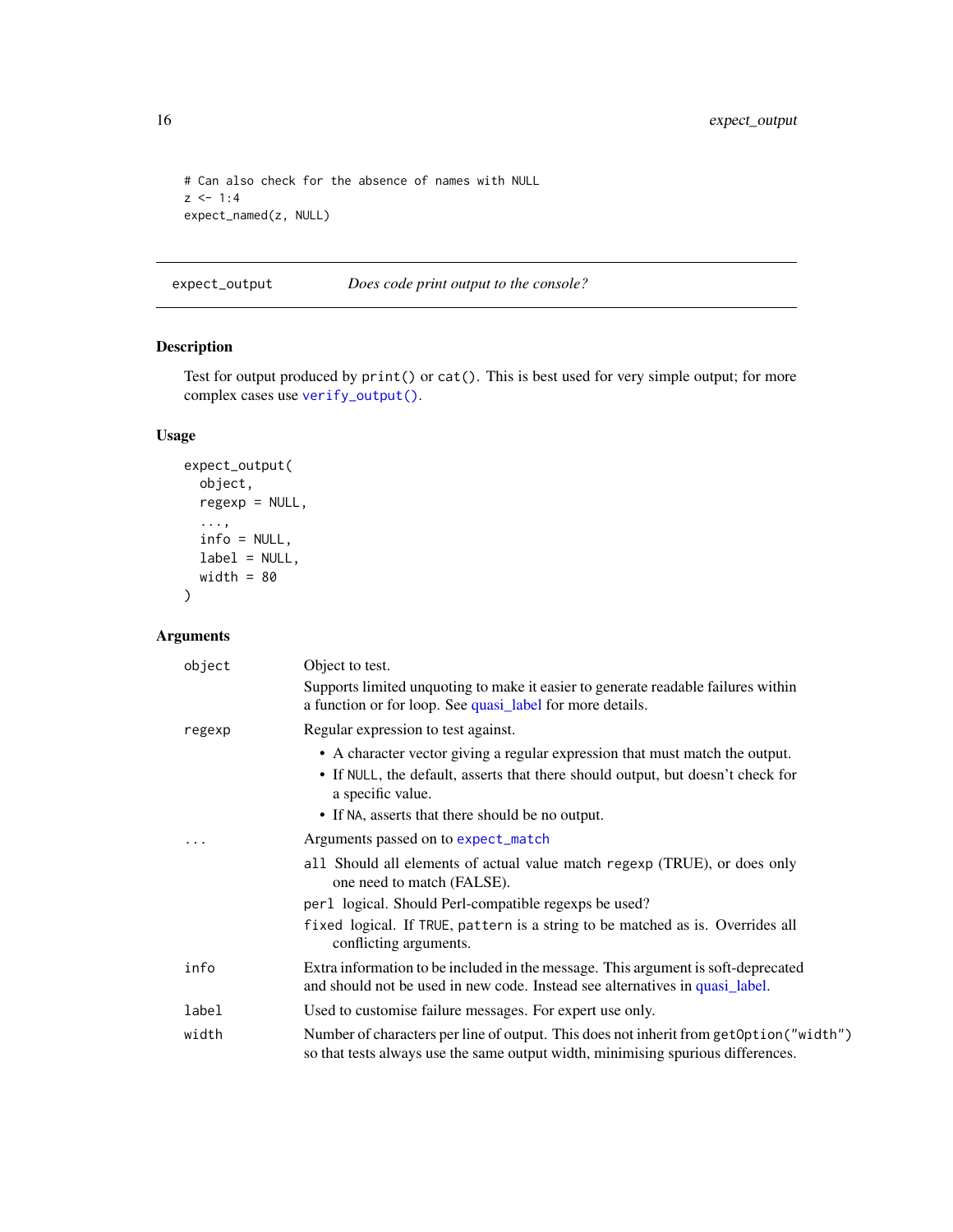```
# Can also check for the absence of names with NULL
z \le -1:4expect_named(z, NULL)
```
<span id="page-15-1"></span>expect\_output *Does code print output to the console?*

# Description

Test for output produced by print() or cat(). This is best used for very simple output; for more complex cases use [verify\\_output\(\)](#page-0-0).

# Usage

```
expect_output(
 object,
 regexp = NULL,
  ...,
 info = NULL,
 label = NULL,width = 80)
```
# Arguments

| object | Object to test.                                                                                                                                                                                                                          |
|--------|------------------------------------------------------------------------------------------------------------------------------------------------------------------------------------------------------------------------------------------|
|        | Supports limited unquoting to make it easier to generate readable failures within<br>a function or for loop. See quasi_label for more details.                                                                                           |
| regexp | Regular expression to test against.                                                                                                                                                                                                      |
|        | • A character vector giving a regular expression that must match the output.<br>• If NULL, the default, asserts that there should output, but doesn't check for<br>a specific value.<br>• If NA, asserts that there should be no output. |
|        | Arguments passed on to expect_match                                                                                                                                                                                                      |
|        | all Should all elements of actual value match regexp (TRUE), or does only<br>one need to match (FALSE).                                                                                                                                  |
|        | per 1 logical. Should Perl-compatible regexps be used?                                                                                                                                                                                   |
|        | fixed logical. If TRUE, pattern is a string to be matched as is. Overrides all<br>conflicting arguments.                                                                                                                                 |
| info   | Extra information to be included in the message. This argument is soft-deprecated<br>and should not be used in new code. Instead see alternatives in quasi_label.                                                                        |
| label  | Used to customise failure messages. For expert use only.                                                                                                                                                                                 |
| width  | Number of characters per line of output. This does not inherit from get Option ("width")<br>so that tests always use the same output width, minimising spurious differences.                                                             |

<span id="page-15-0"></span>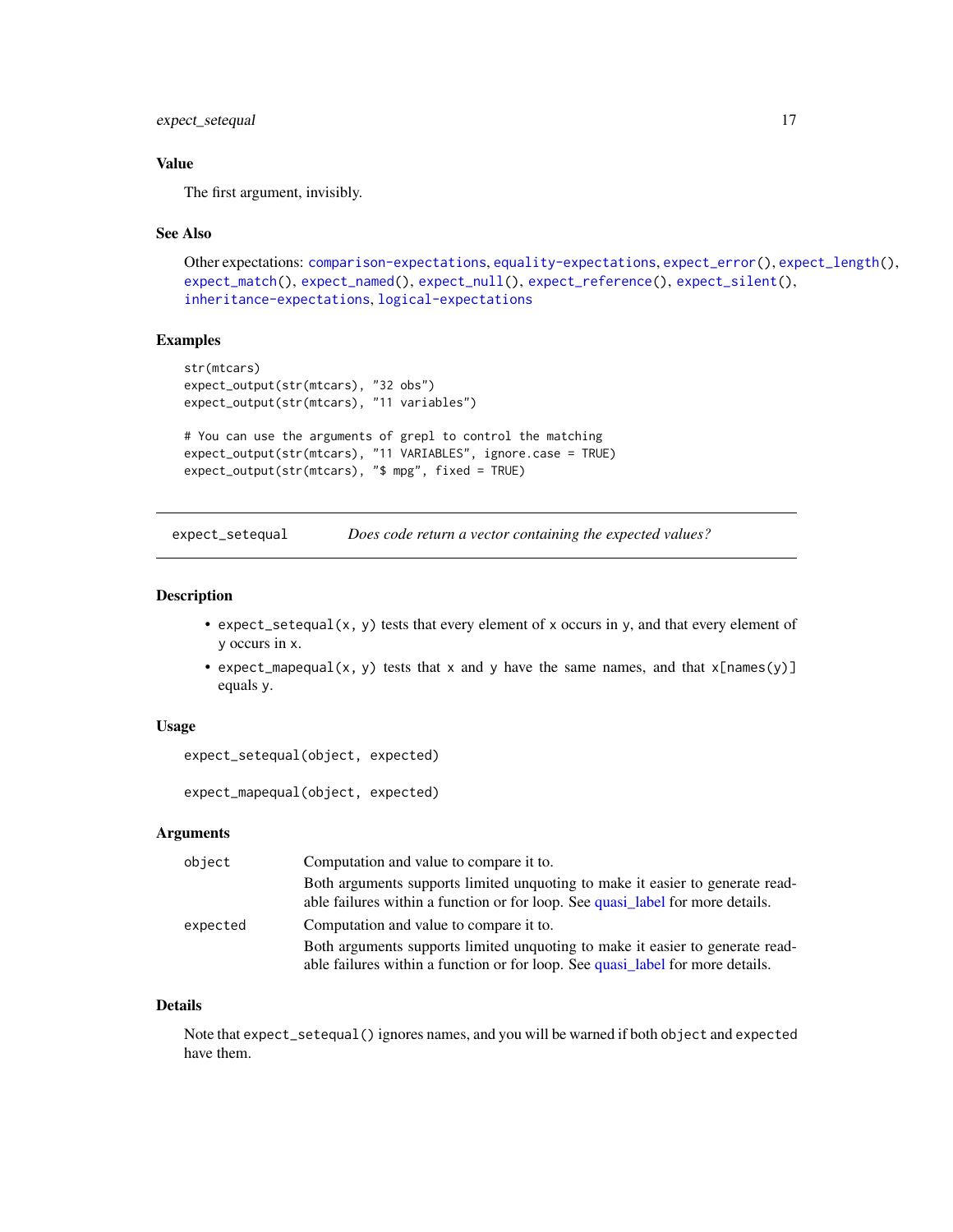# <span id="page-16-0"></span>expect\_setequal 17

# Value

The first argument, invisibly.

#### See Also

```
Other expectations: comparison-expectations, equality-expectations, expect_error(), expect_length(),
expect_match(), expect_named(), expect_null(), expect_reference(), expect_silent(),
inheritance-expectations, logical-expectations
```
### Examples

```
str(mtcars)
expect_output(str(mtcars), "32 obs")
expect_output(str(mtcars), "11 variables")
# You can use the arguments of grepl to control the matching
expect_output(str(mtcars), "11 VARIABLES", ignore.case = TRUE)
expect_output(str(mtcars), "$ mpg", fixed = TRUE)
```
<span id="page-16-1"></span>expect\_setequal *Does code return a vector containing the expected values?*

#### <span id="page-16-2"></span>Description

- expect\_setequal(x, y) tests that every element of x occurs in y, and that every element of y occurs in x.
- expect\_mapequal(x, y) tests that x and y have the same names, and that  $x[name(s)]$ equals y.

## Usage

```
expect_setequal(object, expected)
```
expect\_mapequal(object, expected)

#### **Arguments**

| object   | Computation and value to compare it to.                                                                                                                         |
|----------|-----------------------------------------------------------------------------------------------------------------------------------------------------------------|
|          | Both arguments supports limited unquoting to make it easier to generate read-<br>able failures within a function or for loop. See quasi label for more details. |
| expected | Computation and value to compare it to.                                                                                                                         |
|          | Both arguments supports limited unquoting to make it easier to generate read-<br>able failures within a function or for loop. See quasi label for more details. |

#### Details

Note that expect\_setequal() ignores names, and you will be warned if both object and expected have them.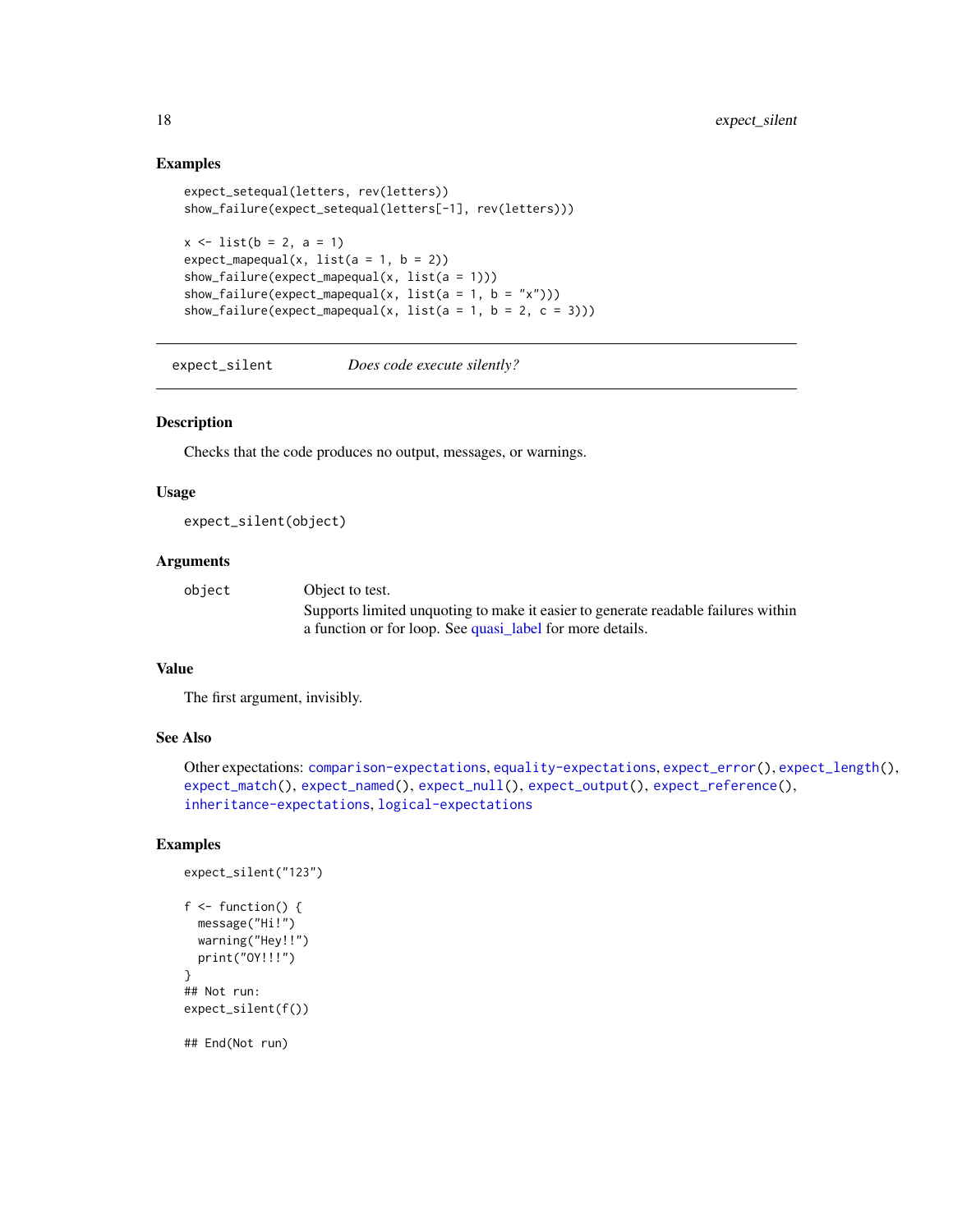## Examples

```
expect_setequal(letters, rev(letters))
show_failure(expect_setequal(letters[-1], rev(letters)))
x \le -\text{list}(b = 2, a = 1)expect_mapequal(x, list(a = 1, b = 2))
show_failure(expect_mapequal(x, list(a = 1)))
show_failure(expect_mapequal(x, list(a = 1, b = "x")))
show_failure(expect_mapequal(x, list(a = 1, b = 2, c = 3)))
```
<span id="page-17-1"></span>expect\_silent *Does code execute silently?*

#### Description

Checks that the code produces no output, messages, or warnings.

#### Usage

expect\_silent(object)

### Arguments

| object | Object to test.                                                                   |
|--------|-----------------------------------------------------------------------------------|
|        | Supports limited unquoting to make it easier to generate readable failures within |
|        | a function or for loop. See quasi_label for more details.                         |

# Value

The first argument, invisibly.

# See Also

```
Other expectations: comparison-expectations, equality-expectations, expect_error(), expect_length(),
expect_match(), expect_named(), expect_null(), expect_output(), expect_reference(),
inheritance-expectations, logical-expectations
```
## Examples

```
expect_silent("123")
f \leftarrow function() {
 message("Hi!")
  warning("Hey!!")
  print("OY!!!")
}
## Not run:
expect_silent(f())
```
<span id="page-17-0"></span>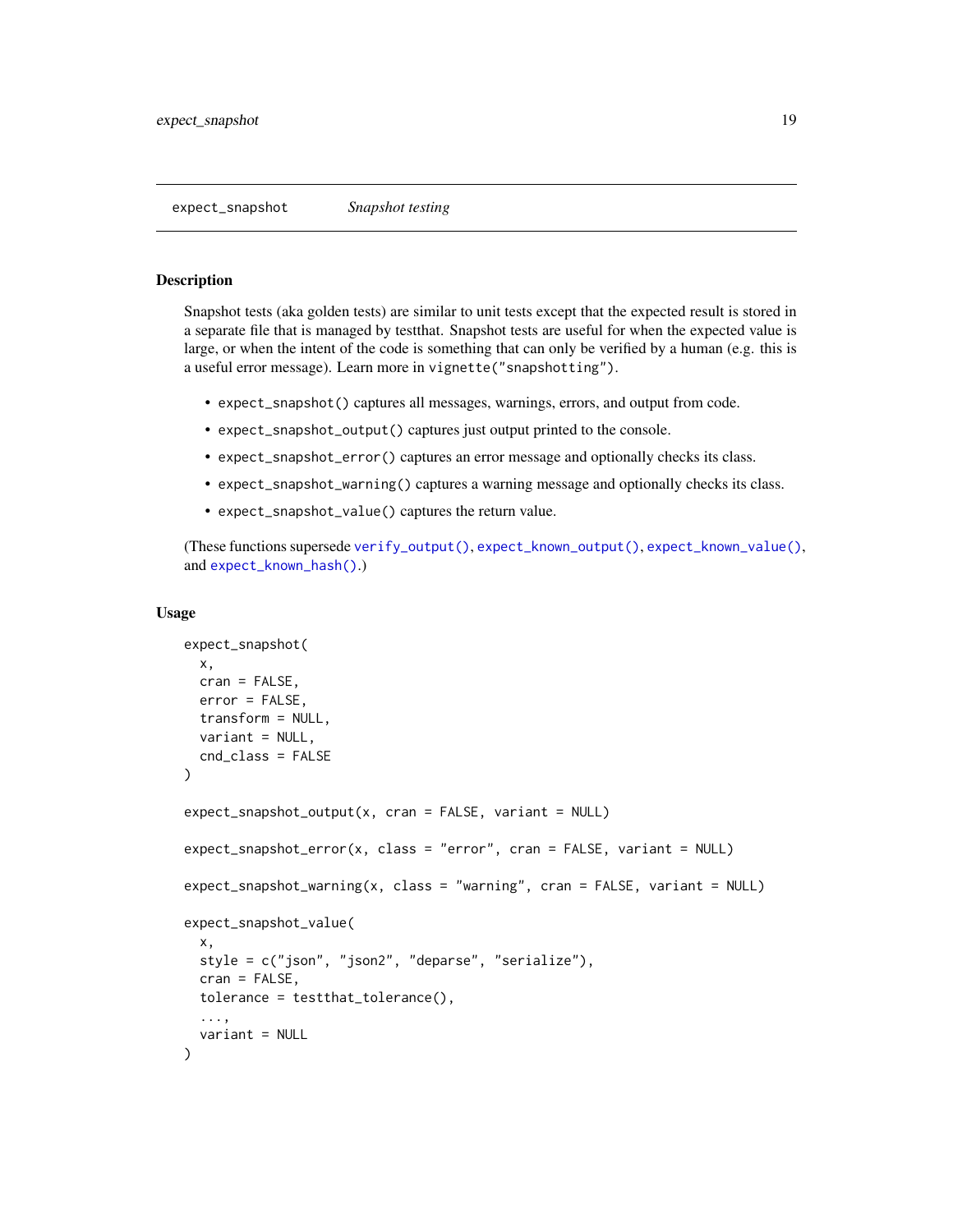# <span id="page-18-1"></span><span id="page-18-0"></span>Description

Snapshot tests (aka golden tests) are similar to unit tests except that the expected result is stored in a separate file that is managed by testthat. Snapshot tests are useful for when the expected value is large, or when the intent of the code is something that can only be verified by a human (e.g. this is a useful error message). Learn more in vignette("snapshotting").

- expect\_snapshot() captures all messages, warnings, errors, and output from code.
- expect\_snapshot\_output() captures just output printed to the console.
- expect\_snapshot\_error() captures an error message and optionally checks its class.
- expect\_snapshot\_warning() captures a warning message and optionally checks its class.
- expect\_snapshot\_value() captures the return value.

(These functions supersede [verify\\_output\(\)](#page-0-0), [expect\\_known\\_output\(\)](#page-0-0), [expect\\_known\\_value\(\)](#page-0-0), and [expect\\_known\\_hash\(\)](#page-0-0).)

#### Usage

```
expect_snapshot(
 x,
  cran = FALSE,
 error = FALSE,
  transform = NULL,
  variant = NULL,
  cnd_class = FALSE
)
expect_snapshot_output(x, cran = FALSE, variant = NULL)
expect_snapshot_error(x, class = "error", cran = FALSE, variant = NULL)
expect_snapshot_warning(x, class = "warning", cran = FALSE, variant = NULL)
expect_snapshot_value(
  x,
  style = c("json", "json2", "deparse", "serialize"),
  cran = FALSE,
  tolerance = testthat_tolerance(),
  ...,
  variant = NULL
)
```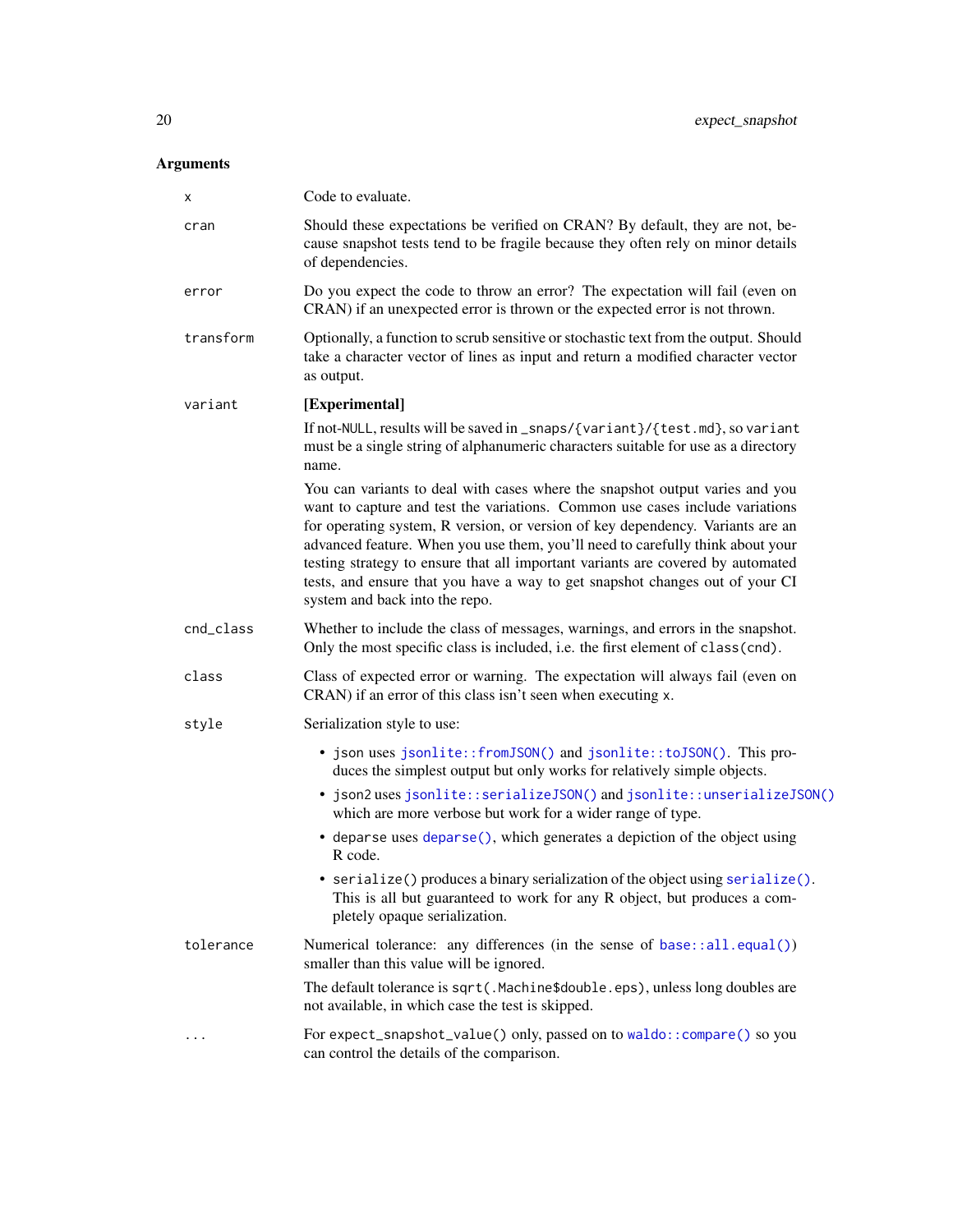# <span id="page-19-0"></span>Arguments

| X         | Code to evaluate.                                                                                                                                                                                                                                                                                                                                                                                                                                                                                                                     |
|-----------|---------------------------------------------------------------------------------------------------------------------------------------------------------------------------------------------------------------------------------------------------------------------------------------------------------------------------------------------------------------------------------------------------------------------------------------------------------------------------------------------------------------------------------------|
| cran      | Should these expectations be verified on CRAN? By default, they are not, be-<br>cause snapshot tests tend to be fragile because they often rely on minor details<br>of dependencies.                                                                                                                                                                                                                                                                                                                                                  |
| error     | Do you expect the code to throw an error? The expectation will fail (even on<br>CRAN) if an unexpected error is thrown or the expected error is not thrown.                                                                                                                                                                                                                                                                                                                                                                           |
| transform | Optionally, a function to scrub sensitive or stochastic text from the output. Should<br>take a character vector of lines as input and return a modified character vector<br>as output.                                                                                                                                                                                                                                                                                                                                                |
| variant   | [Experimental]                                                                                                                                                                                                                                                                                                                                                                                                                                                                                                                        |
|           | If not-NULL, results will be saved in _snaps/{variant}/{test.md}, so variant<br>must be a single string of alphanumeric characters suitable for use as a directory<br>name.                                                                                                                                                                                                                                                                                                                                                           |
|           | You can variants to deal with cases where the snapshot output varies and you<br>want to capture and test the variations. Common use cases include variations<br>for operating system, R version, or version of key dependency. Variants are an<br>advanced feature. When you use them, you'll need to carefully think about your<br>testing strategy to ensure that all important variants are covered by automated<br>tests, and ensure that you have a way to get snapshot changes out of your CI<br>system and back into the repo. |
| cnd_class | Whether to include the class of messages, warnings, and errors in the snapshot.<br>Only the most specific class is included, i.e. the first element of class(cnd).                                                                                                                                                                                                                                                                                                                                                                    |
| class     | Class of expected error or warning. The expectation will always fail (even on<br>CRAN) if an error of this class isn't seen when executing x.                                                                                                                                                                                                                                                                                                                                                                                         |
| style     | Serialization style to use:                                                                                                                                                                                                                                                                                                                                                                                                                                                                                                           |
|           | • json uses jsonlite::fromJSON() and jsonlite::toJSON(). This pro-<br>duces the simplest output but only works for relatively simple objects.                                                                                                                                                                                                                                                                                                                                                                                         |
|           | • json2 uses jsonlite::serializeJSON() and jsonlite::unserializeJSON()<br>which are more verbose but work for a wider range of type.                                                                                                                                                                                                                                                                                                                                                                                                  |
|           | • deparse uses deparse(), which generates a depiction of the object using<br>R code.                                                                                                                                                                                                                                                                                                                                                                                                                                                  |
|           | • serialize() produces a binary serialization of the object using serialize().<br>This is all but guaranteed to work for any R object, but produces a com-<br>pletely opaque serialization.                                                                                                                                                                                                                                                                                                                                           |
| tolerance | Numerical tolerance: any differences (in the sense of base::all.equal())<br>smaller than this value will be ignored.                                                                                                                                                                                                                                                                                                                                                                                                                  |
|           | The default tolerance is sqrt(.Machine\$double.eps), unless long doubles are<br>not available, in which case the test is skipped.                                                                                                                                                                                                                                                                                                                                                                                                     |
|           | For expect_snapshot_value() only, passed on to waldo:: compare() so you<br>can control the details of the comparison.                                                                                                                                                                                                                                                                                                                                                                                                                 |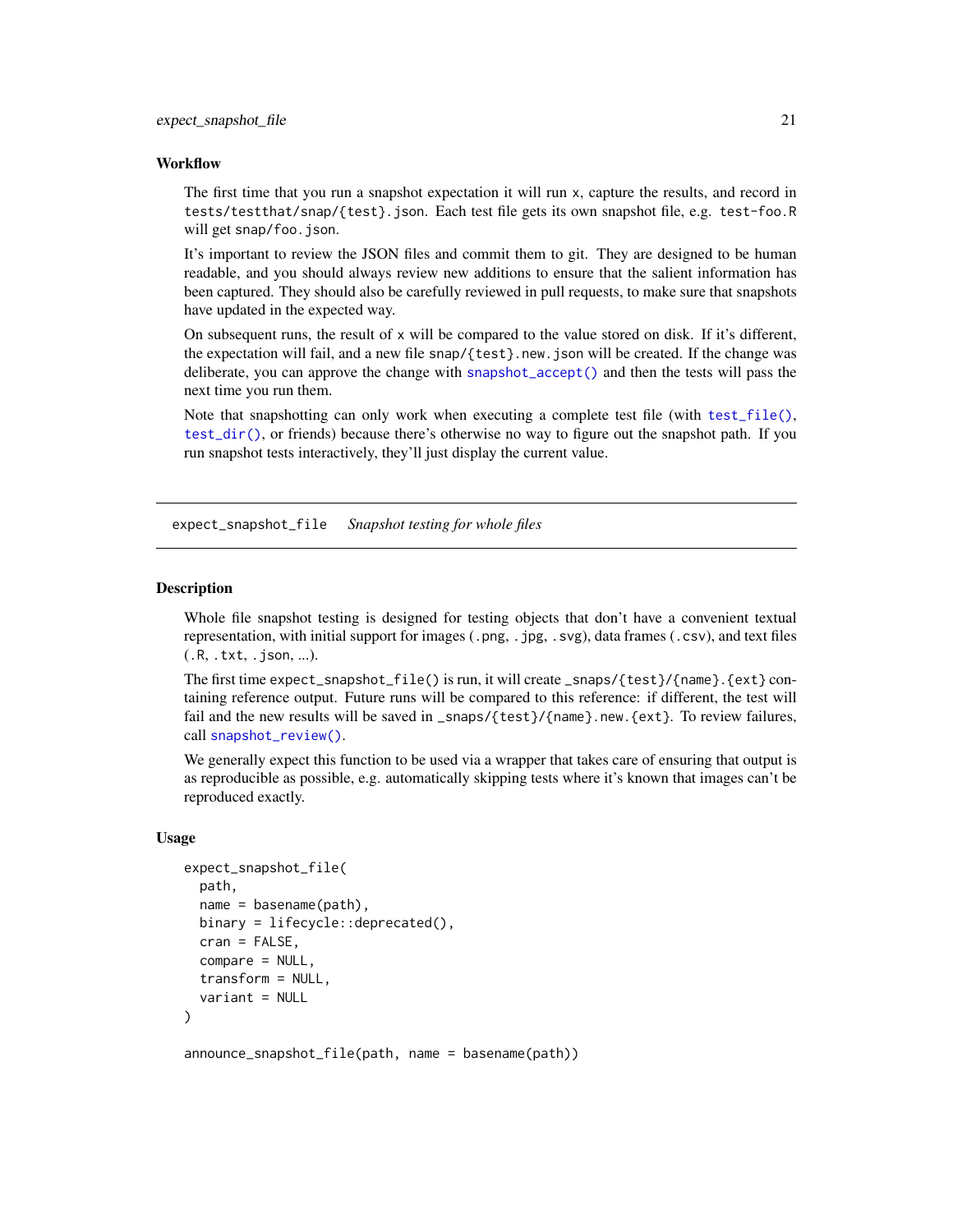#### <span id="page-20-0"></span>**Workflow**

The first time that you run a snapshot expectation it will run x, capture the results, and record in tests/testthat/snap/{test}.json. Each test file gets its own snapshot file, e.g. test-foo.R will get snap/foo.json.

It's important to review the JSON files and commit them to git. They are designed to be human readable, and you should always review new additions to ensure that the salient information has been captured. They should also be carefully reviewed in pull requests, to make sure that snapshots have updated in the expected way.

On subsequent runs, the result of  $x$  will be compared to the value stored on disk. If it's different, the expectation will fail, and a new file snap/{test}.new.json will be created. If the change was deliberate, you can approve the change with [snapshot\\_accept\(\)](#page-34-2) and then the tests will pass the next time you run them.

Note that snapshotting can only work when executing a complete test file (with [test\\_file\(\)](#page-36-2), [test\\_dir\(\)](#page-0-0), or friends) because there's otherwise no way to figure out the snapshot path. If you run snapshot tests interactively, they'll just display the current value.

expect\_snapshot\_file *Snapshot testing for whole files*

#### Description

Whole file snapshot testing is designed for testing objects that don't have a convenient textual representation, with initial support for images (.png, .jpg, .svg), data frames (.csv), and text files (.R, .txt, .json, ...).

The first time  $expect\_snapshot_file()$  is run, it will create  $_spasp/{test}/{name}.{ext}$  containing reference output. Future runs will be compared to this reference: if different, the test will fail and the new results will be saved in \_snaps/{test}/{name}.new.{ext}. To review failures, call [snapshot\\_review\(\)](#page-34-3).

We generally expect this function to be used via a wrapper that takes care of ensuring that output is as reproducible as possible, e.g. automatically skipping tests where it's known that images can't be reproduced exactly.

#### Usage

```
expect_snapshot_file(
  path,
  name = basename(path),
 binary = lifecycle::deprecated(),
  cran = FALSE,
  compare = NULL,
  transform = NULL,
  variant = NULL
)
```
announce\_snapshot\_file(path, name = basename(path))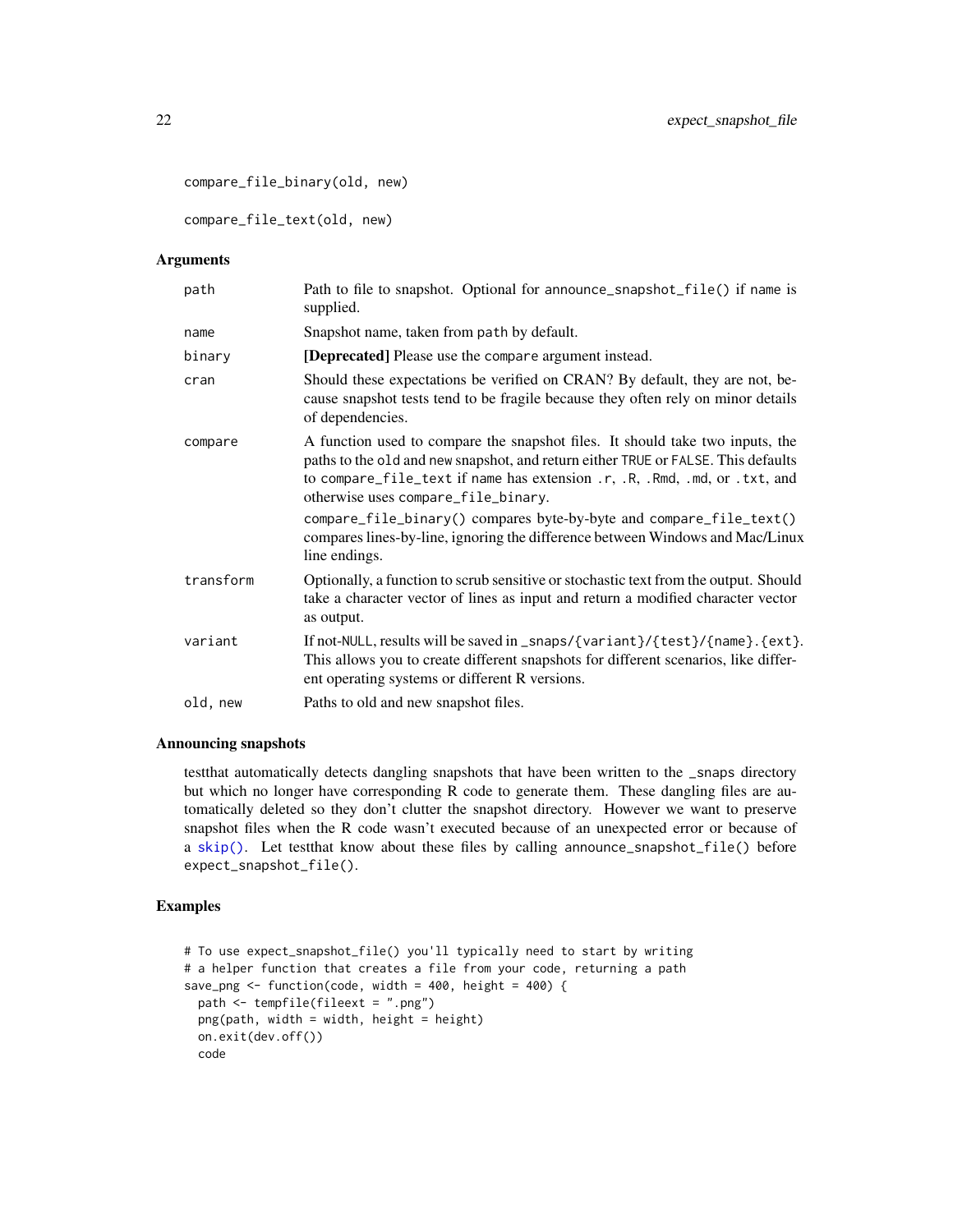```
compare_file_binary(old, new)
```
compare\_file\_text(old, new)

# Arguments

| path      | Path to file to snapshot. Optional for announce_snapshot_file() if name is<br>supplied.                                                                                                                                                                                                 |
|-----------|-----------------------------------------------------------------------------------------------------------------------------------------------------------------------------------------------------------------------------------------------------------------------------------------|
| name      | Snapshot name, taken from path by default.                                                                                                                                                                                                                                              |
| binary    | [Deprecated] Please use the compare argument instead.                                                                                                                                                                                                                                   |
| cran      | Should these expectations be verified on CRAN? By default, they are not, be-<br>cause snapshot tests tend to be fragile because they often rely on minor details<br>of dependencies.                                                                                                    |
| compare   | A function used to compare the snapshot files. It should take two inputs, the<br>paths to the old and new snapshot, and return either TRUE or FALSE. This defaults<br>to compare_file_text if name has extension .r, .R, .Rmd, .md, or .txt, and<br>otherwise uses compare_file_binary. |
|           | compare_file_binary() compares byte-by-byte and compare_file_text()<br>compares lines-by-line, ignoring the difference between Windows and Mac/Linux<br>line endings.                                                                                                                   |
| transform | Optionally, a function to scrub sensitive or stochastic text from the output. Should<br>take a character vector of lines as input and return a modified character vector<br>as output.                                                                                                  |
| variant   | If not-NULL, results will be saved in _snaps/{variant}/{test}/{name}. {ext}.<br>This allows you to create different snapshots for different scenarios, like differ-<br>ent operating systems or different R versions.                                                                   |
| old, new  | Paths to old and new snapshot files.                                                                                                                                                                                                                                                    |

# Announcing snapshots

testthat automatically detects dangling snapshots that have been written to the \_snaps directory but which no longer have corresponding R code to generate them. These dangling files are automatically deleted so they don't clutter the snapshot directory. However we want to preserve snapshot files when the R code wasn't executed because of an unexpected error or because of a [skip\(\)](#page-32-2). Let testthat know about these files by calling announce\_snapshot\_file() before expect\_snapshot\_file().

# Examples

```
# To use expect_snapshot_file() you'll typically need to start by writing
# a helper function that creates a file from your code, returning a path
save_png <- function(code, width = 400, height = 400) {
  path <- tempfile(fileext = ".png")
  png(path, width = width, height = height)
  on.exit(dev.off())
  code
```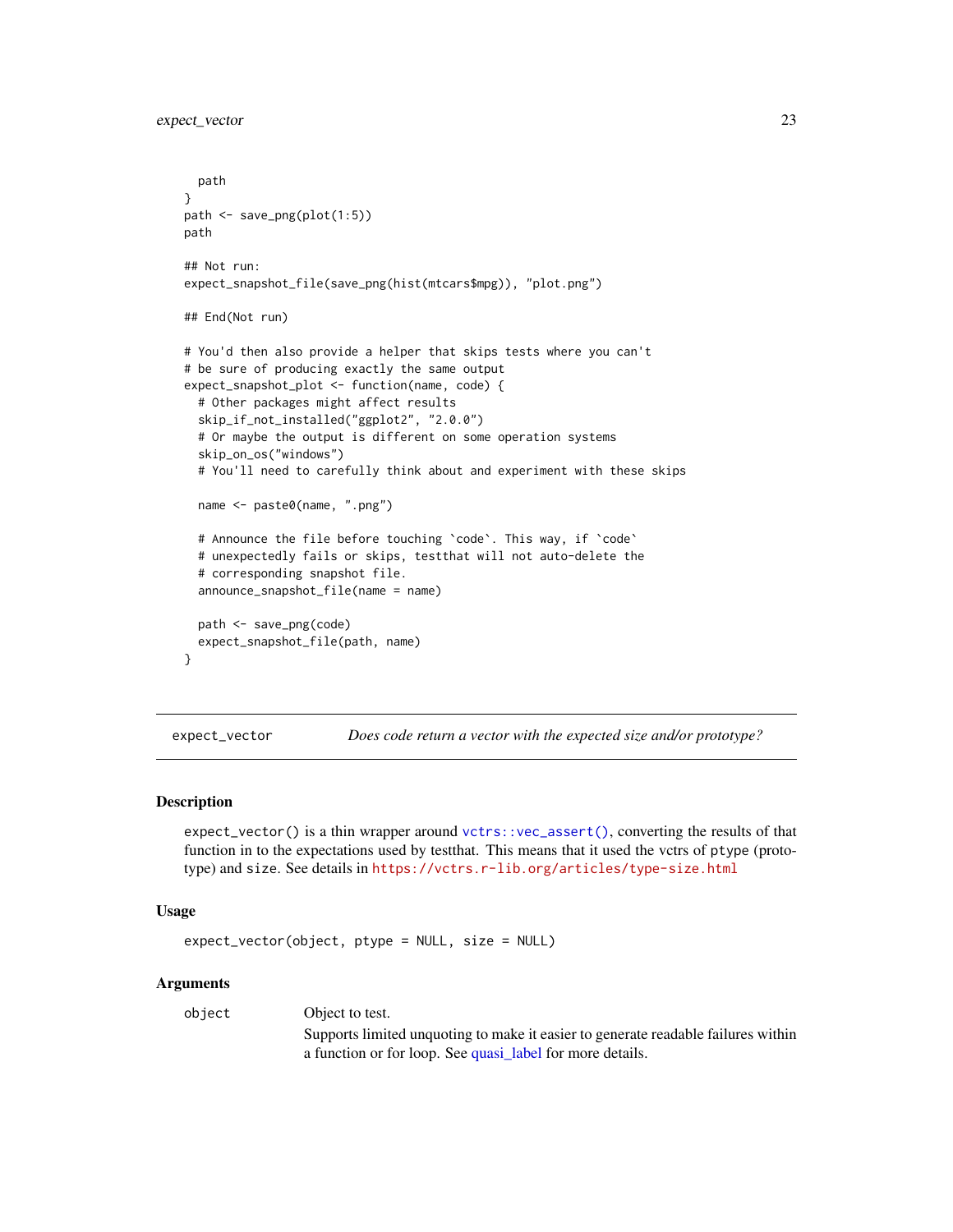```
path
}
path <- save_png(plot(1:5))
path
## Not run:
expect_snapshot_file(save_png(hist(mtcars$mpg)), "plot.png")
## End(Not run)
# You'd then also provide a helper that skips tests where you can't
# be sure of producing exactly the same output
expect_snapshot_plot <- function(name, code) {
 # Other packages might affect results
 skip_if_not_installed("ggplot2", "2.0.0")
 # Or maybe the output is different on some operation systems
 skip_on_os("windows")
 # You'll need to carefully think about and experiment with these skips
 name <- paste0(name, ".png")
 # Announce the file before touching `code`. This way, if `code`
 # unexpectedly fails or skips, testthat will not auto-delete the
 # corresponding snapshot file.
 announce_snapshot_file(name = name)
 path <- save_png(code)
 expect_snapshot_file(path, name)
}
```
<span id="page-22-1"></span>expect\_vector *Does code return a vector with the expected size and/or prototype?*

#### Description

expect\_vector() is a thin wrapper around [vctrs::vec\\_assert\(\)](#page-0-0), converting the results of that function in to the expectations used by testthat. This means that it used the vctrs of ptype (prototype) and size. See details in <https://vctrs.r-lib.org/articles/type-size.html>

#### Usage

```
expect_vector(object, ptype = NULL, size = NULL)
```
# Arguments

object Object to test.

Supports limited unquoting to make it easier to generate readable failures within a function or for loop. See [quasi\\_label](#page-0-0) for more details.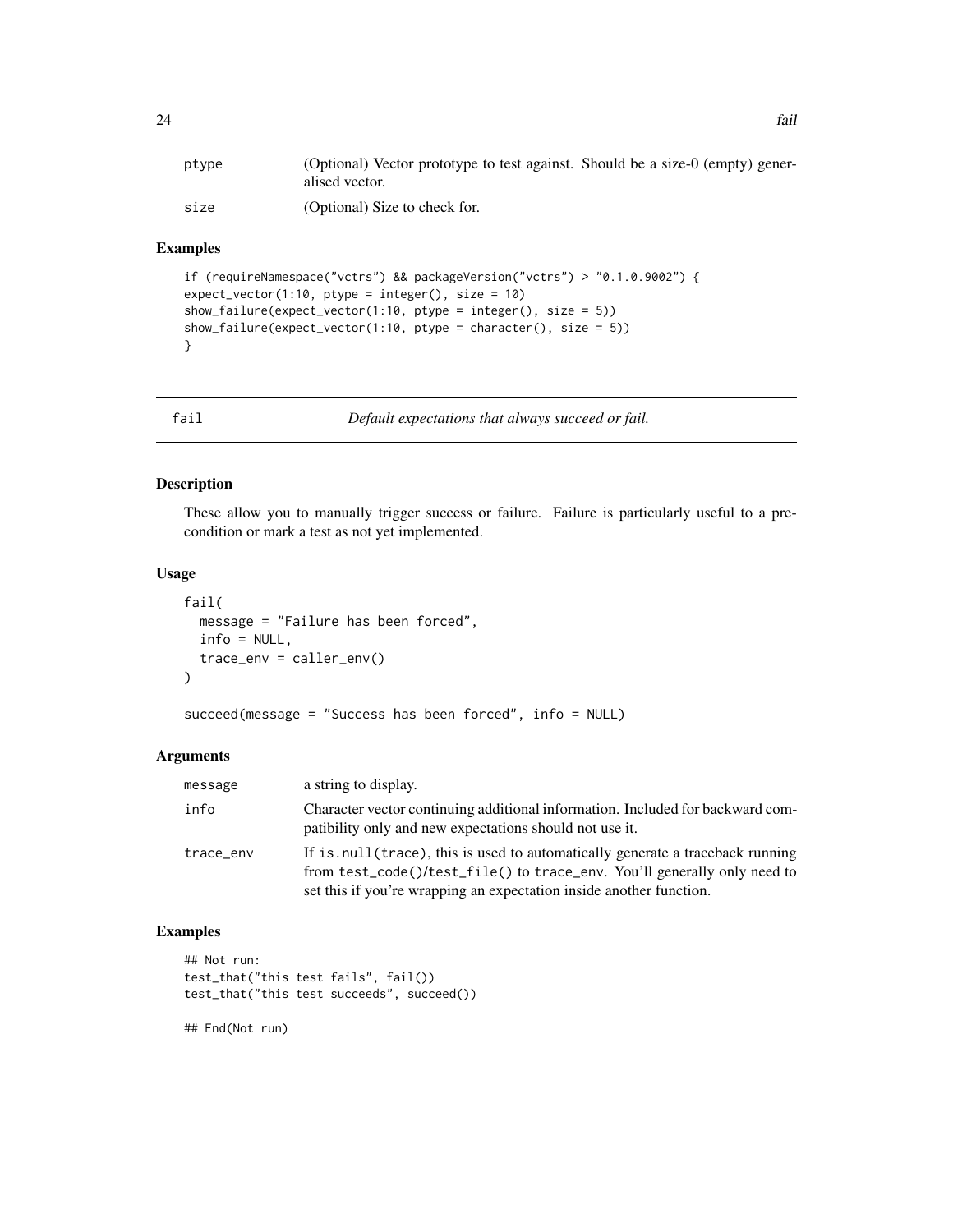<span id="page-23-0"></span>

| ptype | (Optional) Vector prototype to test against. Should be a size-0 (empty) gener-<br>alised vector. |
|-------|--------------------------------------------------------------------------------------------------|
| size  | (Optional) Size to check for.                                                                    |

# Examples

```
if (requireNamespace("vctrs") && packageVersion("vctrs") > "0.1.0.9002") {
expect\_vector(1:10, ptype = integer(), size = 10)show_failure(expect_vector(1:10, ptype = integer(), size = 5))
show_failure(expect_vector(1:10, ptype = character(), size = 5))
}
```
fail *Default expectations that always succeed or fail.*

### Description

These allow you to manually trigger success or failure. Failure is particularly useful to a precondition or mark a test as not yet implemented.

# Usage

```
fail(
 message = "Failure has been forced",
  info = NULL,
  trace_env = caller_env()
)
```
succeed(message = "Success has been forced", info = NULL)

# Arguments

| message   | a string to display.                                                                                                                                                                                                              |
|-----------|-----------------------------------------------------------------------------------------------------------------------------------------------------------------------------------------------------------------------------------|
| info      | Character vector continuing additional information. Included for backward com-<br>patibility only and new expectations should not use it.                                                                                         |
| trace_env | If is null (trace), this is used to automatically generate a traceback running<br>from test_code()/test_file() to trace_env. You'll generally only need to<br>set this if you're wrapping an expectation inside another function. |

# Examples

```
## Not run:
test_that("this test fails", fail())
test_that("this test succeeds", succeed())
```
## End(Not run)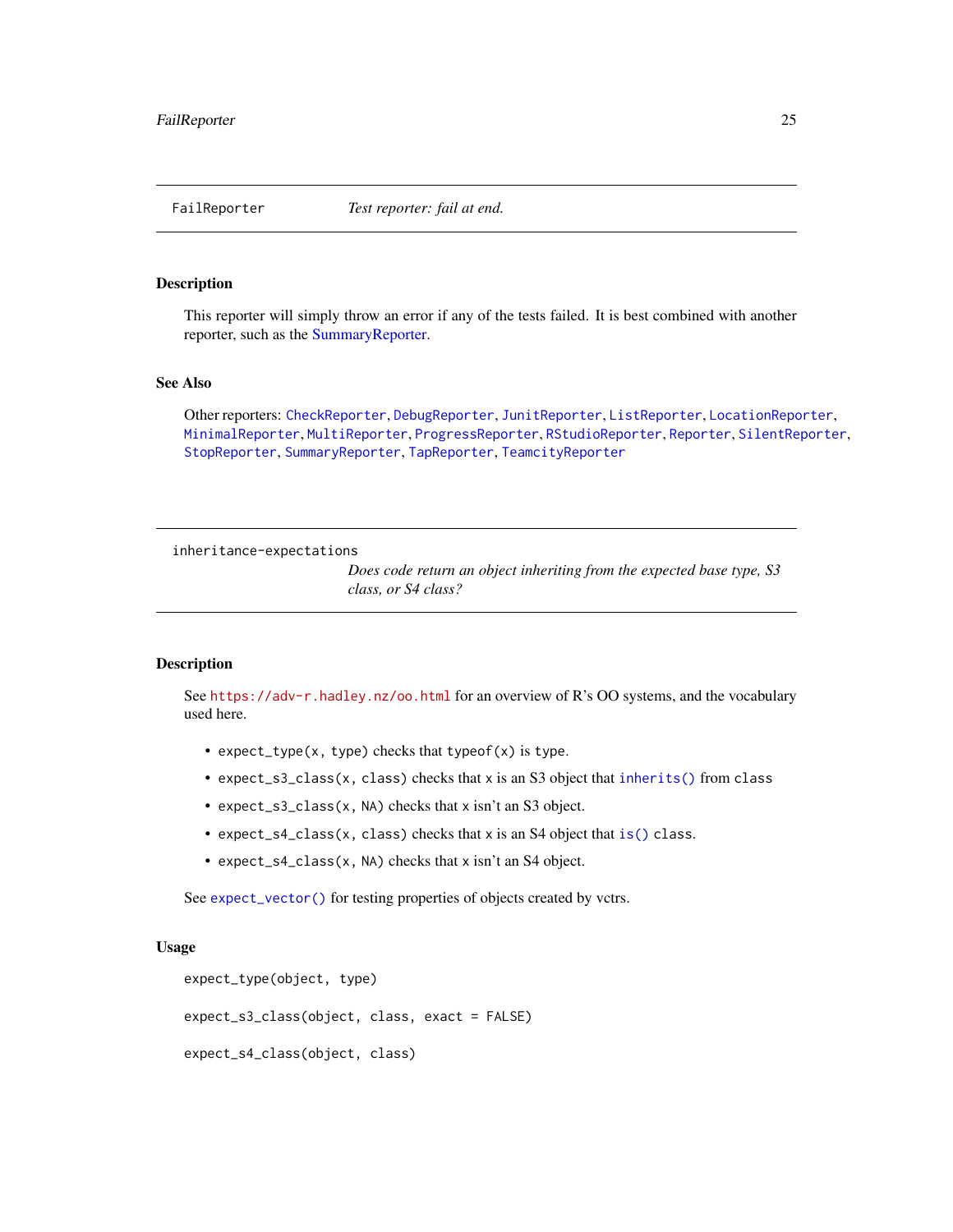<span id="page-24-1"></span><span id="page-24-0"></span>

# Description

This reporter will simply throw an error if any of the tests failed. It is best combined with another reporter, such as the [SummaryReporter.](#page-35-1)

# See Also

Other reporters: [CheckReporter](#page-3-2), [DebugReporter](#page-5-1), [JunitReporter](#page-26-1), [ListReporter](#page-26-2), [LocationReporter](#page-29-1), [MinimalReporter](#page-30-1), [MultiReporter](#page-31-1), [ProgressReporter](#page-31-2), [RStudioReporter](#page-31-3), [Reporter](#page-0-0), [SilentReporter](#page-32-1), [StopReporter](#page-34-1), [SummaryReporter](#page-35-1), [TapReporter](#page-35-2), [TeamcityReporter](#page-36-1)

<span id="page-24-2"></span>inheritance-expectations

*Does code return an object inheriting from the expected base type, S3 class, or S4 class?*

#### Description

See <https://adv-r.hadley.nz/oo.html> for an overview of R's OO systems, and the vocabulary used here.

- expect\_type(x, type) checks that typeof(x) is type.
- expect\_s3\_class(x, class) checks that x is an S3 object that [inherits\(\)](#page-0-0) from class
- expect\_s3\_class(x, NA) checks that x isn't an S3 object.
- expect\_s4\_class(x, class) checks that x is an S4 object that [is\(\)](#page-0-0) class.
- expect\_s4\_class(x, NA) checks that x isn't an S4 object.

See [expect\\_vector\(\)](#page-22-1) for testing properties of objects created by vctrs.

#### Usage

```
expect_type(object, type)
expect_s3_class(object, class, exact = FALSE)
expect_s4_class(object, class)
```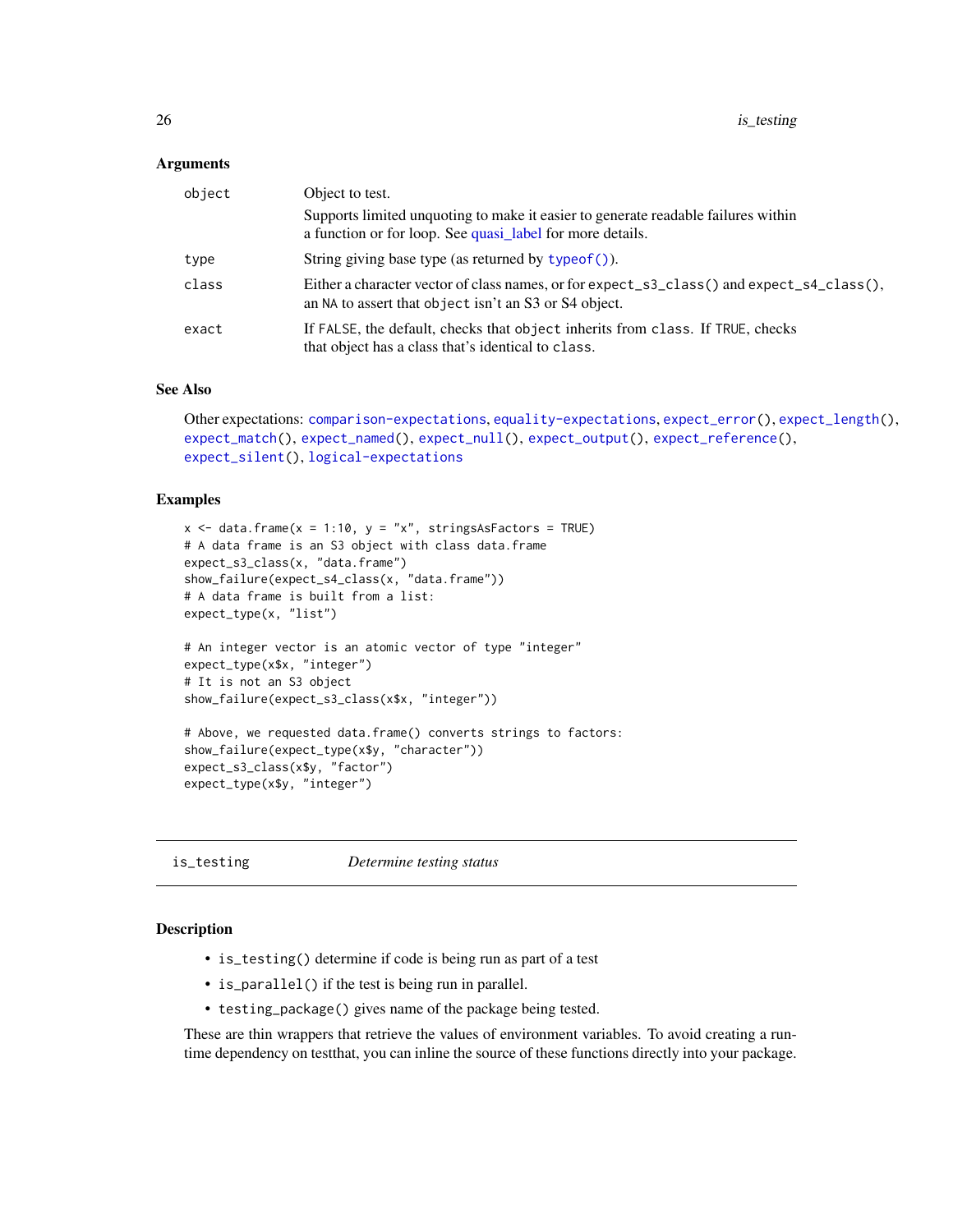#### <span id="page-25-0"></span>Arguments

| object | Object to test.                                                                                                                                    |
|--------|----------------------------------------------------------------------------------------------------------------------------------------------------|
|        | Supports limited unquoting to make it easier to generate readable failures within<br>a function or for loop. See quasi_label for more details.     |
| type   | String giving base type (as returned by typeof ()).                                                                                                |
| class  | Either a character vector of class names, or for expect_s3_class() and expect_s4_class(),<br>an NA to assert that object isn't an S3 or S4 object. |
| exact  | If FALSE, the default, checks that object inherits from class. If TRUE, checks<br>that object has a class that's identical to class.               |

## See Also

```
Other expectations: comparison-expectations, equality-expectations, expect_error(), expect_length(),
expect_match(), expect_named(), expect_null(), expect_output(), expect_reference(),
expect_silent(), logical-expectations
```
# Examples

```
x \le - data.frame(x = 1:10, y = "x", stringsAsFactors = TRUE)
# A data frame is an S3 object with class data.frame
expect_s3_class(x, "data.frame")
show_failure(expect_s4_class(x, "data.frame"))
# A data frame is built from a list:
expect_type(x, "list")
# An integer vector is an atomic vector of type "integer"
expect_type(x$x, "integer")
# It is not an S3 object
show_failure(expect_s3_class(x$x, "integer"))
# Above, we requested data.frame() converts strings to factors:
show_failure(expect_type(x$y, "character"))
expect_s3_class(x$y, "factor")
expect_type(x$y, "integer")
```
<span id="page-25-1"></span>is\_testing *Determine testing status*

#### **Description**

- is\_testing() determine if code is being run as part of a test
- is\_parallel() if the test is being run in parallel.
- testing\_package() gives name of the package being tested.

These are thin wrappers that retrieve the values of environment variables. To avoid creating a runtime dependency on testthat, you can inline the source of these functions directly into your package.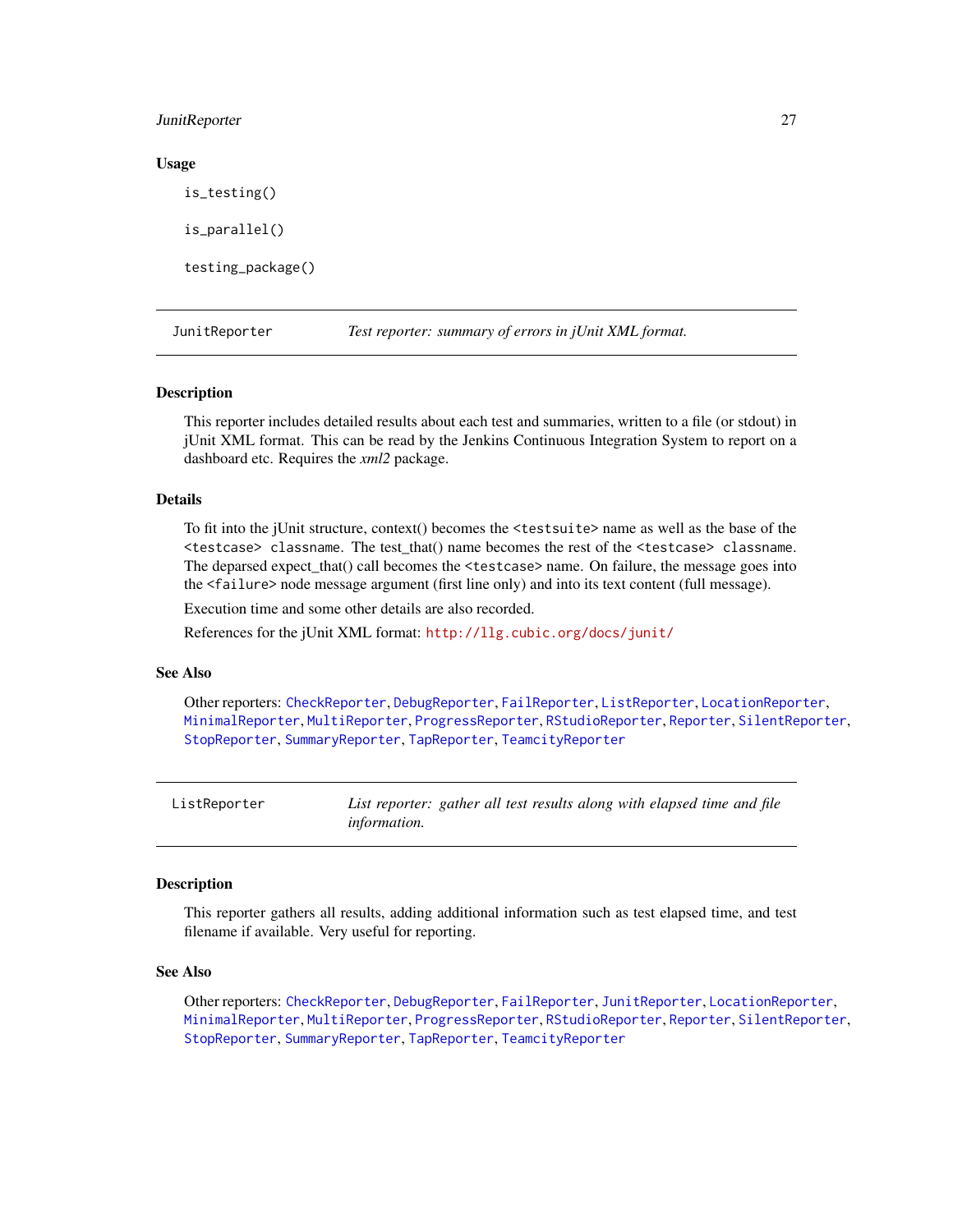#### <span id="page-26-0"></span>JunitReporter 27

#### Usage

is\_testing() is\_parallel() testing\_package()

<span id="page-26-1"></span>JunitReporter *Test reporter: summary of errors in jUnit XML format.*

#### Description

This reporter includes detailed results about each test and summaries, written to a file (or stdout) in jUnit XML format. This can be read by the Jenkins Continuous Integration System to report on a dashboard etc. Requires the *xml2* package.

# Details

To fit into the jUnit structure, context() becomes the <testsuite> name as well as the base of the <testcase> classname. The test\_that() name becomes the rest of the <testcase> classname. The deparsed expect\_that() call becomes the <testcase> name. On failure, the message goes into the <failure> node message argument (first line only) and into its text content (full message).

Execution time and some other details are also recorded.

References for the jUnit XML format: <http://llg.cubic.org/docs/junit/>

#### See Also

Other reporters: [CheckReporter](#page-3-2), [DebugReporter](#page-5-1), [FailReporter](#page-24-1), [ListReporter](#page-26-2), [LocationReporter](#page-29-1), [MinimalReporter](#page-30-1), [MultiReporter](#page-31-1), [ProgressReporter](#page-31-2), [RStudioReporter](#page-31-3), [Reporter](#page-0-0), [SilentReporter](#page-32-1), [StopReporter](#page-34-1), [SummaryReporter](#page-35-1), [TapReporter](#page-35-2), [TeamcityReporter](#page-36-1)

<span id="page-26-2"></span>

| ListReporter | List reporter: gather all test results along with elapsed time and file |  |
|--------------|-------------------------------------------------------------------------|--|
|              | <i>information.</i>                                                     |  |

#### Description

This reporter gathers all results, adding additional information such as test elapsed time, and test filename if available. Very useful for reporting.

#### See Also

Other reporters: [CheckReporter](#page-3-2), [DebugReporter](#page-5-1), [FailReporter](#page-24-1), [JunitReporter](#page-26-1), [LocationReporter](#page-29-1), [MinimalReporter](#page-30-1), [MultiReporter](#page-31-1), [ProgressReporter](#page-31-2), [RStudioReporter](#page-31-3), [Reporter](#page-0-0), [SilentReporter](#page-32-1), [StopReporter](#page-34-1), [SummaryReporter](#page-35-1), [TapReporter](#page-35-2), [TeamcityReporter](#page-36-1)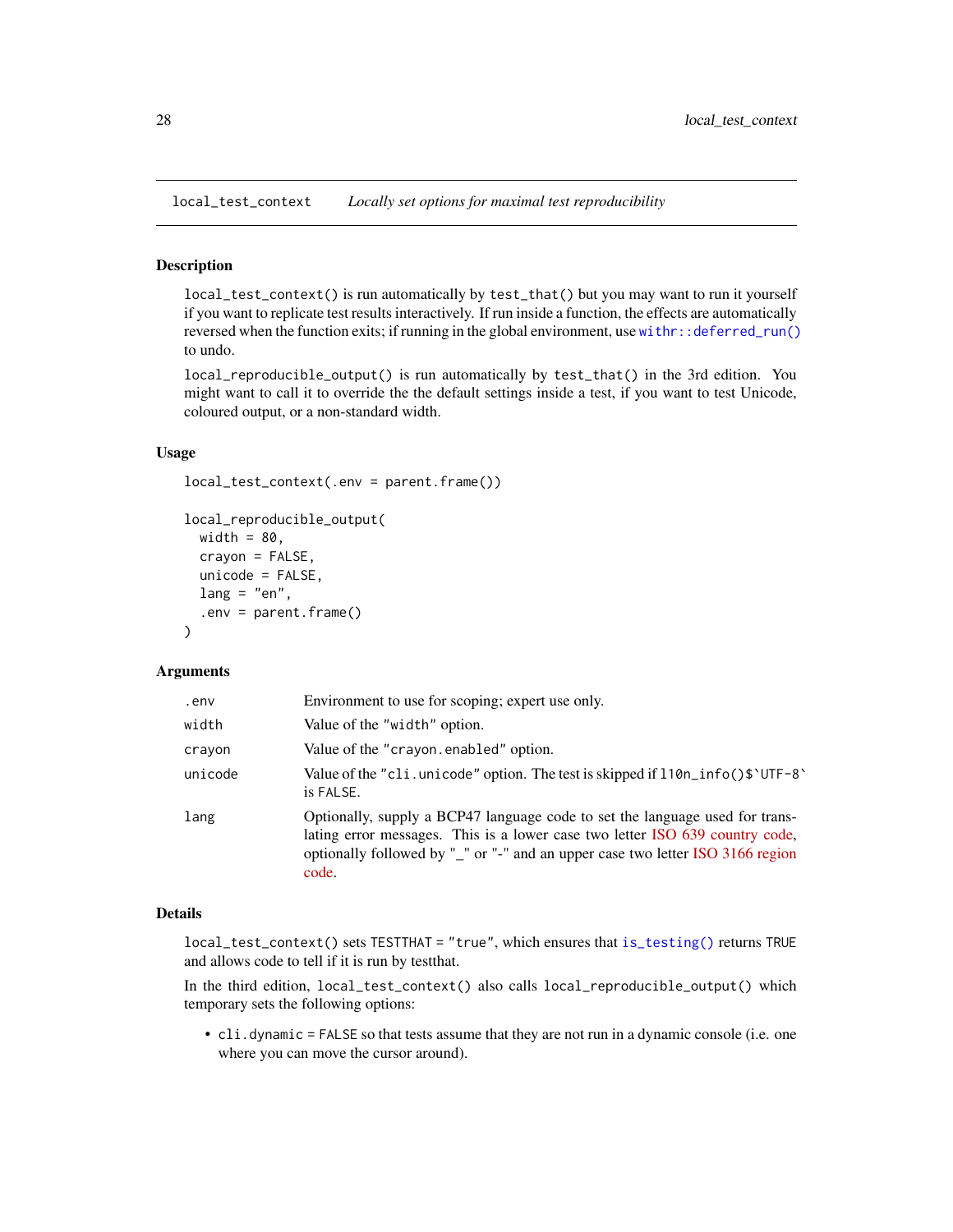<span id="page-27-0"></span>local\_test\_context *Locally set options for maximal test reproducibility*

#### Description

local\_test\_context() is run automatically by test\_that() but you may want to run it yourself if you want to replicate test results interactively. If run inside a function, the effects are automatically reversed when the function exits; if running in the global environment, use with  $r$ : deferred\_run() to undo.

local\_reproducible\_output() is run automatically by test\_that() in the 3rd edition. You might want to call it to override the the default settings inside a test, if you want to test Unicode, coloured output, or a non-standard width.

#### Usage

```
local_test_context(.env = parent.frame())
local_reproducible_output(
 width = 80,
  crayon = FALSE,
  unicode = FALSE,lang = "en",.env = parent.frame()
)
```
#### Arguments

| .env    | Environment to use for scoping; expert use only.                                                                                                                                                                                                        |
|---------|---------------------------------------------------------------------------------------------------------------------------------------------------------------------------------------------------------------------------------------------------------|
| width   | Value of the "width" option.                                                                                                                                                                                                                            |
| crayon  | Value of the "crayon.enabled" option.                                                                                                                                                                                                                   |
| unicode | Value of the "cli. unicode" option. The test is skipped if $110n\_info()$ $\text{VTF-8}$<br>is FALSE.                                                                                                                                                   |
| lang    | Optionally, supply a BCP47 language code to set the language used for trans-<br>lating error messages. This is a lower case two letter ISO 639 country code,<br>optionally followed by "_" or "-" and an upper case two letter ISO 3166 region<br>code. |

#### Details

local\_test\_context() sets TESTTHAT = "true", which ensures that [is\\_testing\(\)](#page-25-1) returns TRUE and allows code to tell if it is run by testthat.

In the third edition, local\_test\_context() also calls local\_reproducible\_output() which temporary sets the following options:

• cli.dynamic = FALSE so that tests assume that they are not run in a dynamic console (i.e. one where you can move the cursor around).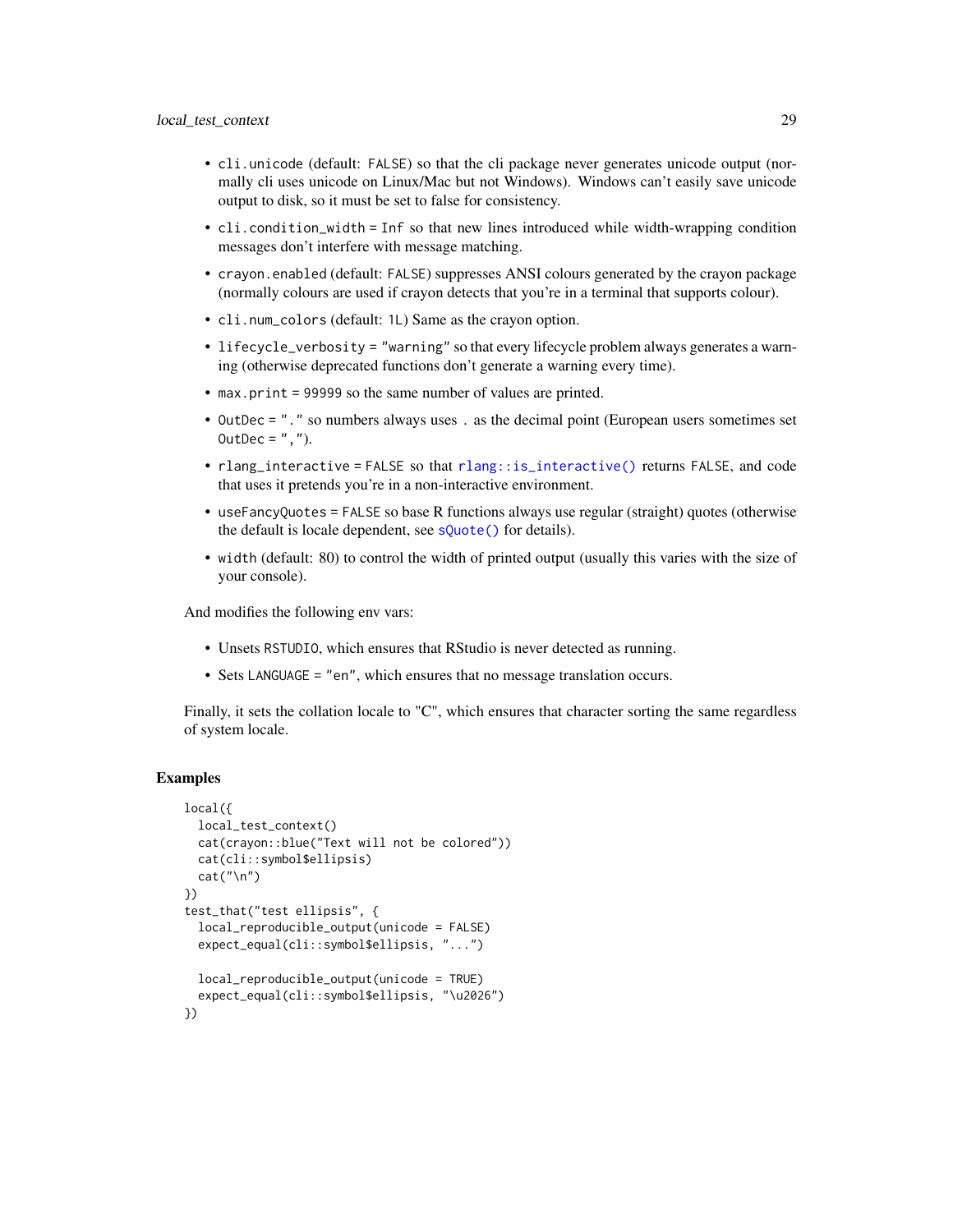- <span id="page-28-0"></span>• cli.unicode (default: FALSE) so that the cli package never generates unicode output (normally cli uses unicode on Linux/Mac but not Windows). Windows can't easily save unicode output to disk, so it must be set to false for consistency.
- cli.condition\_width = Inf so that new lines introduced while width-wrapping condition messages don't interfere with message matching.
- crayon.enabled (default: FALSE) suppresses ANSI colours generated by the crayon package (normally colours are used if crayon detects that you're in a terminal that supports colour).
- cli.num\_colors (default: 1L) Same as the crayon option.
- lifecycle\_verbosity = "warning" so that every lifecycle problem always generates a warning (otherwise deprecated functions don't generate a warning every time).
- max.print = 99999 so the same number of values are printed.
- OutDec = "." so numbers always uses . as the decimal point (European users sometimes set OutDec =  $"$ ,  $")$ .
- rlang\_interactive = FALSE so that [rlang::is\\_interactive\(\)](#page-0-0) returns FALSE, and code that uses it pretends you're in a non-interactive environment.
- useFancyQuotes = FALSE so base R functions always use regular (straight) quotes (otherwise the default is locale dependent, see [sQuote\(\)](#page-0-0) for details).
- width (default: 80) to control the width of printed output (usually this varies with the size of your console).

And modifies the following env vars:

- Unsets RSTUDIO, which ensures that RStudio is never detected as running.
- Sets LANGUAGE = "en", which ensures that no message translation occurs.

Finally, it sets the collation locale to "C", which ensures that character sorting the same regardless of system locale.

# Examples

```
local({
 local_test_context()
 cat(crayon::blue("Text will not be colored"))
 cat(cli::symbol$ellipsis)
 cat("\n'\)})
test_that("test ellipsis", {
 local_reproducible_output(unicode = FALSE)
 expect_equal(cli::symbol$ellipsis, "...")
 local_reproducible_output(unicode = TRUE)
 expect_equal(cli::symbol$ellipsis, "\u2026")
})
```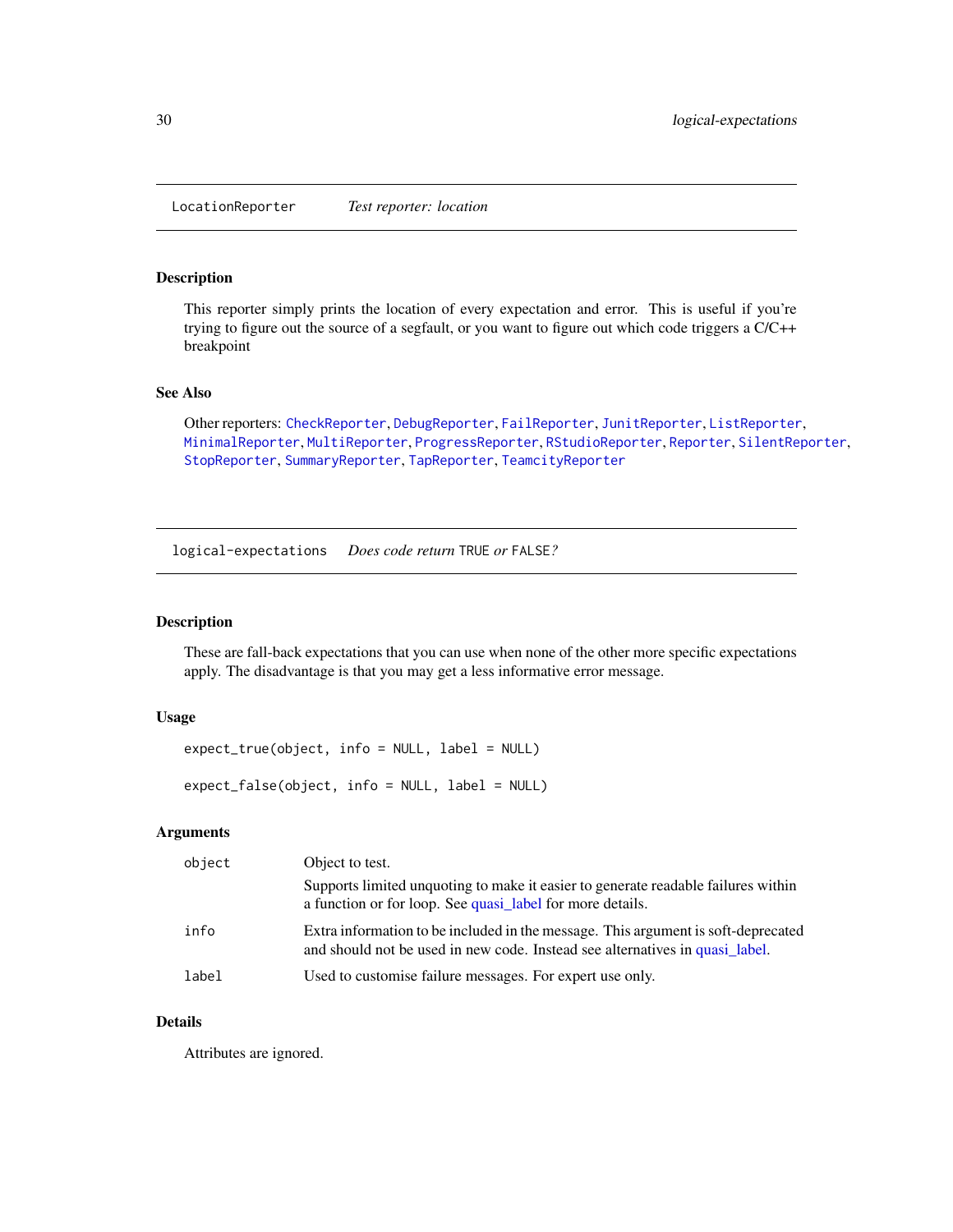<span id="page-29-1"></span><span id="page-29-0"></span>LocationReporter *Test reporter: location*

#### Description

This reporter simply prints the location of every expectation and error. This is useful if you're trying to figure out the source of a segfault, or you want to figure out which code triggers a C/C++ breakpoint

# See Also

Other reporters: [CheckReporter](#page-3-2), [DebugReporter](#page-5-1), [FailReporter](#page-24-1), [JunitReporter](#page-26-1), [ListReporter](#page-26-2), [MinimalReporter](#page-30-1), [MultiReporter](#page-31-1), [ProgressReporter](#page-31-2), [RStudioReporter](#page-31-3), [Reporter](#page-0-0), [SilentReporter](#page-32-1), [StopReporter](#page-34-1), [SummaryReporter](#page-35-1), [TapReporter](#page-35-2), [TeamcityReporter](#page-36-1)

<span id="page-29-2"></span>logical-expectations *Does code return* TRUE *or* FALSE*?*

#### Description

These are fall-back expectations that you can use when none of the other more specific expectations apply. The disadvantage is that you may get a less informative error message.

#### Usage

```
expect_true(object, info = NULL, label = NULL)
```
expect\_false(object, info = NULL, label = NULL)

#### Arguments

| object | Object to test.                                                                                                                                                   |
|--------|-------------------------------------------------------------------------------------------------------------------------------------------------------------------|
|        | Supports limited unquoting to make it easier to generate readable failures within<br>a function or for loop. See quasi_label for more details.                    |
| info   | Extra information to be included in the message. This argument is soft-deprecated<br>and should not be used in new code. Instead see alternatives in quasi label. |
| label  | Used to customise failure messages. For expert use only.                                                                                                          |

# Details

Attributes are ignored.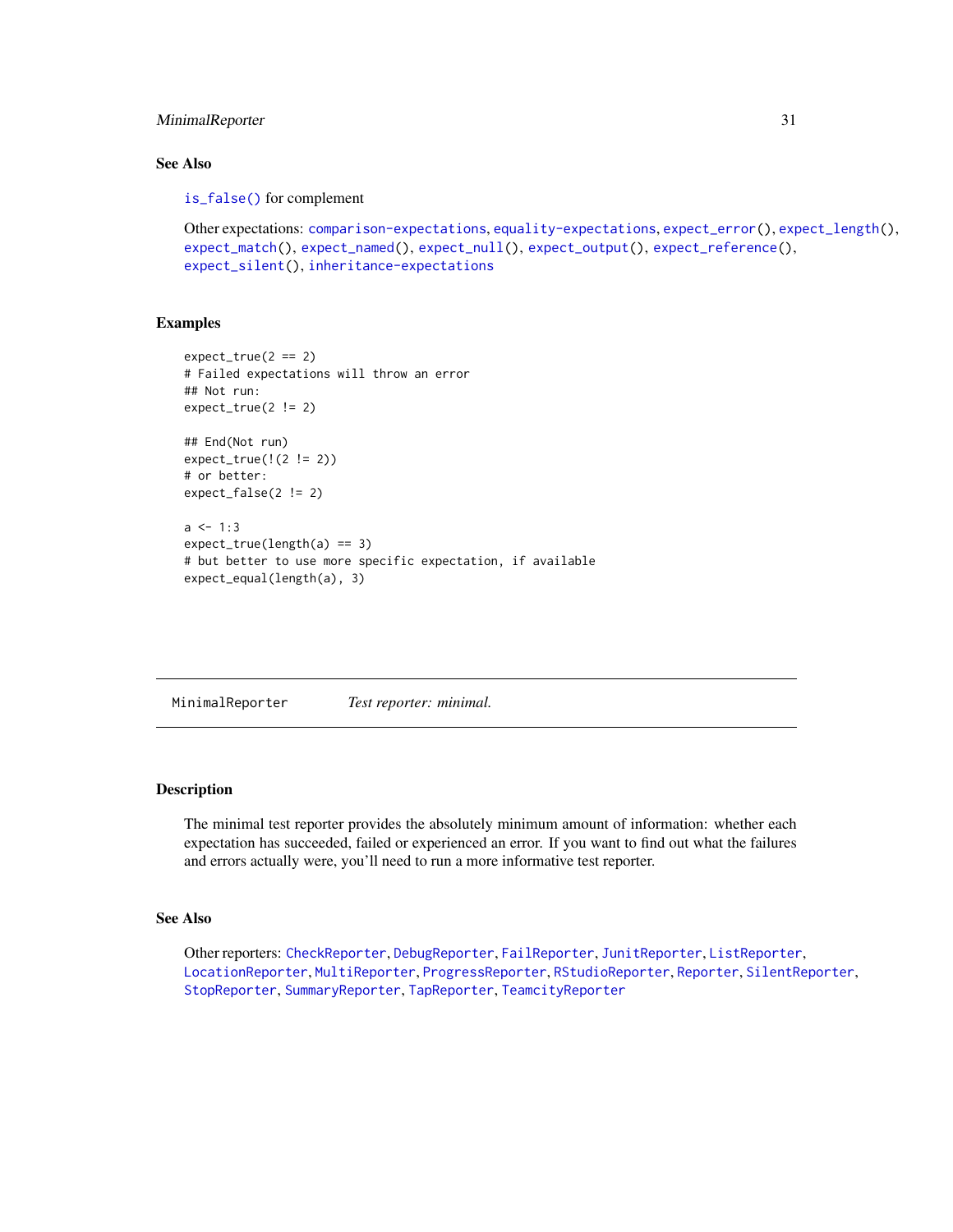# <span id="page-30-0"></span>MinimalReporter 31

# See Also

[is\\_false\(\)](#page-0-0) for complement

```
Other expectations: comparison-expectations, equality-expectations, expect_error(), expect_length(),
expect_match(), expect_named(), expect_null(), expect_output(), expect_reference(),
expect_silent(), inheritance-expectations
```
## Examples

```
expect_time(2 == 2)# Failed expectations will throw an error
## Not run:
expect_true(2 != 2)
## End(Not run)
expect_true(!(2 != 2))
# or better:
expect_false(2 != 2)
a \le -1:3expect_time(length(a) == 3)# but better to use more specific expectation, if available
expect_equal(length(a), 3)
```
<span id="page-30-1"></span>MinimalReporter *Test reporter: minimal.*

## Description

The minimal test reporter provides the absolutely minimum amount of information: whether each expectation has succeeded, failed or experienced an error. If you want to find out what the failures and errors actually were, you'll need to run a more informative test reporter.

# See Also

Other reporters: [CheckReporter](#page-3-2), [DebugReporter](#page-5-1), [FailReporter](#page-24-1), [JunitReporter](#page-26-1), [ListReporter](#page-26-2), [LocationReporter](#page-29-1), [MultiReporter](#page-31-1), [ProgressReporter](#page-31-2), [RStudioReporter](#page-31-3), [Reporter](#page-0-0), [SilentReporter](#page-32-1), [StopReporter](#page-34-1), [SummaryReporter](#page-35-1), [TapReporter](#page-35-2), [TeamcityReporter](#page-36-1)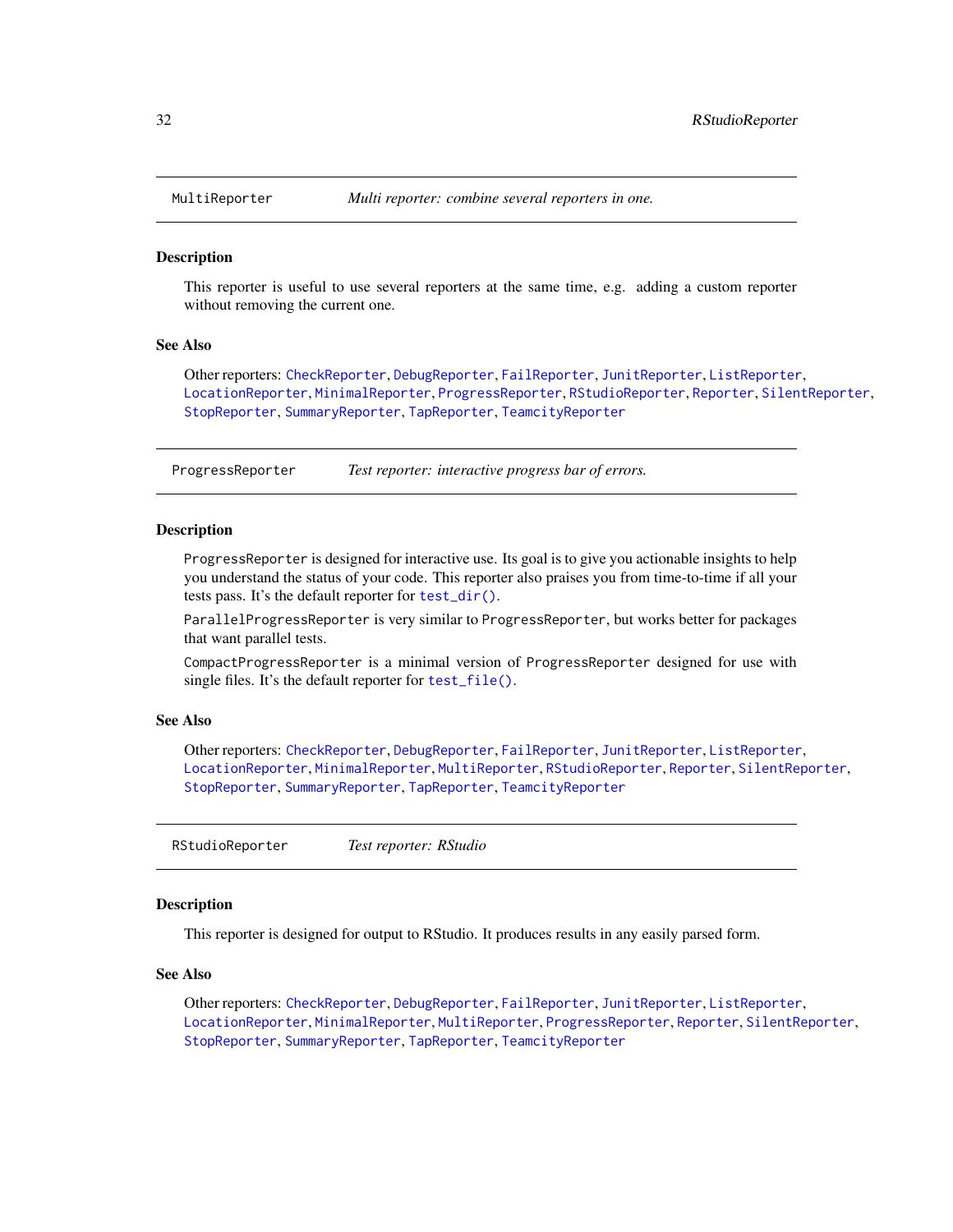<span id="page-31-1"></span><span id="page-31-0"></span>

#### Description

This reporter is useful to use several reporters at the same time, e.g. adding a custom reporter without removing the current one.

#### See Also

Other reporters: [CheckReporter](#page-3-2), [DebugReporter](#page-5-1), [FailReporter](#page-24-1), [JunitReporter](#page-26-1), [ListReporter](#page-26-2), [LocationReporter](#page-29-1), [MinimalReporter](#page-30-1), [ProgressReporter](#page-31-2), [RStudioReporter](#page-31-3), [Reporter](#page-0-0), [SilentReporter](#page-32-1), [StopReporter](#page-34-1), [SummaryReporter](#page-35-1), [TapReporter](#page-35-2), [TeamcityReporter](#page-36-1)

<span id="page-31-2"></span>ProgressReporter *Test reporter: interactive progress bar of errors.*

#### Description

ProgressReporter is designed for interactive use. Its goal is to give you actionable insights to help you understand the status of your code. This reporter also praises you from time-to-time if all your tests pass. It's the default reporter for [test\\_dir\(\)](#page-0-0).

ParallelProgressReporter is very similar to ProgressReporter, but works better for packages that want parallel tests.

CompactProgressReporter is a minimal version of ProgressReporter designed for use with single files. It's the default reporter for [test\\_file\(\)](#page-36-2).

# See Also

Other reporters: [CheckReporter](#page-3-2), [DebugReporter](#page-5-1), [FailReporter](#page-24-1), [JunitReporter](#page-26-1), [ListReporter](#page-26-2), [LocationReporter](#page-29-1), [MinimalReporter](#page-30-1), [MultiReporter](#page-31-1), [RStudioReporter](#page-31-3), [Reporter](#page-0-0), [SilentReporter](#page-32-1), [StopReporter](#page-34-1), [SummaryReporter](#page-35-1), [TapReporter](#page-35-2), [TeamcityReporter](#page-36-1)

<span id="page-31-3"></span>RStudioReporter *Test reporter: RStudio*

# Description

This reporter is designed for output to RStudio. It produces results in any easily parsed form.

#### See Also

Other reporters: [CheckReporter](#page-3-2), [DebugReporter](#page-5-1), [FailReporter](#page-24-1), [JunitReporter](#page-26-1), [ListReporter](#page-26-2), [LocationReporter](#page-29-1), [MinimalReporter](#page-30-1), [MultiReporter](#page-31-1), [ProgressReporter](#page-31-2), [Reporter](#page-0-0), [SilentReporter](#page-32-1), [StopReporter](#page-34-1), [SummaryReporter](#page-35-1), [TapReporter](#page-35-2), [TeamcityReporter](#page-36-1)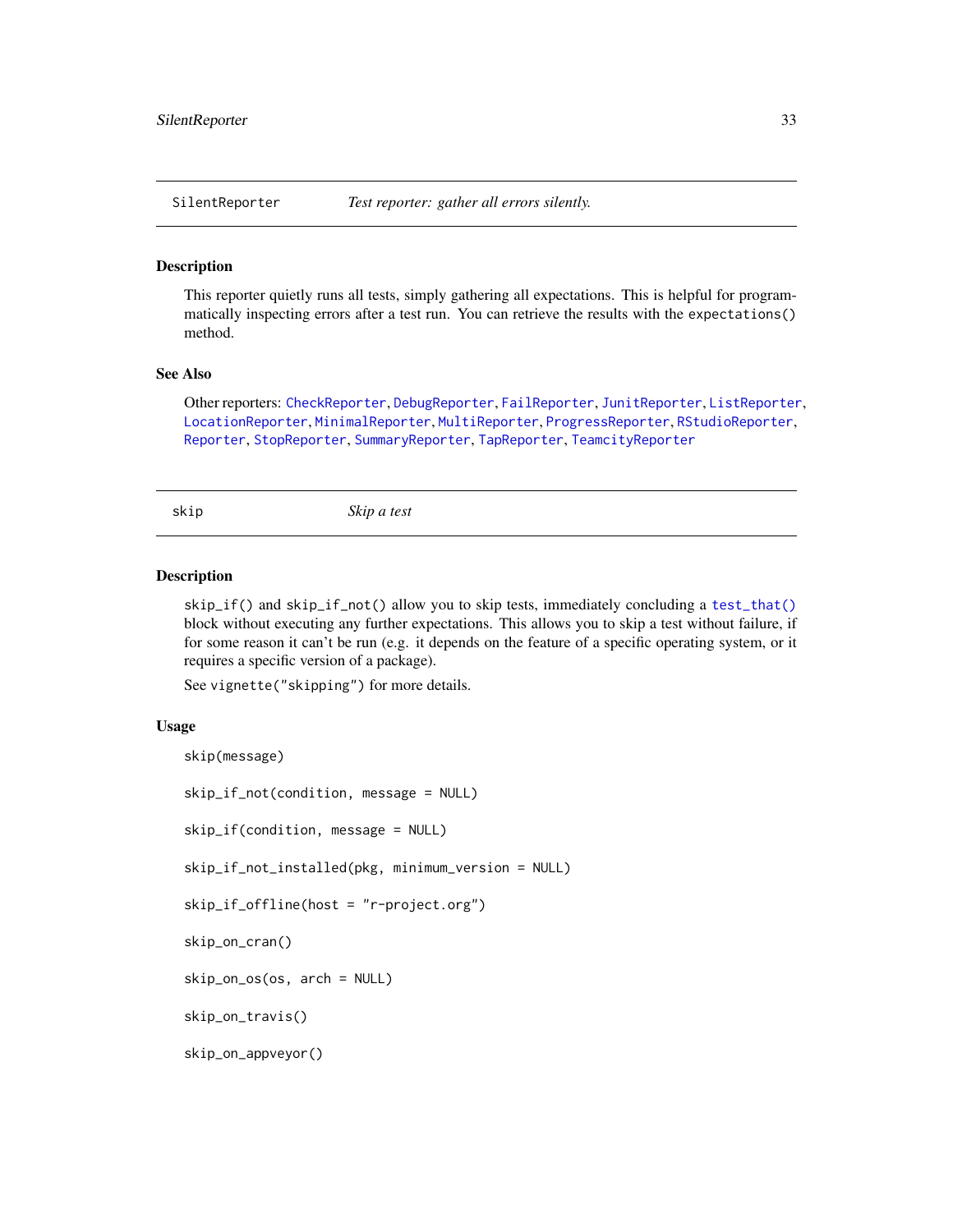<span id="page-32-1"></span><span id="page-32-0"></span>

#### Description

This reporter quietly runs all tests, simply gathering all expectations. This is helpful for programmatically inspecting errors after a test run. You can retrieve the results with the expectations() method.

#### See Also

Other reporters: [CheckReporter](#page-3-2), [DebugReporter](#page-5-1), [FailReporter](#page-24-1), [JunitReporter](#page-26-1), [ListReporter](#page-26-2), [LocationReporter](#page-29-1), [MinimalReporter](#page-30-1), [MultiReporter](#page-31-1), [ProgressReporter](#page-31-2), [RStudioReporter](#page-31-3), [Reporter](#page-0-0), [StopReporter](#page-34-1), [SummaryReporter](#page-35-1), [TapReporter](#page-35-2), [TeamcityReporter](#page-36-1)

<span id="page-32-2"></span>skip *Skip a test*

# **Description**

skip\_if() and skip\_if\_not() allow you to skip tests, immediately concluding a [test\\_that\(\)](#page-39-1) block without executing any further expectations. This allows you to skip a test without failure, if for some reason it can't be run (e.g. it depends on the feature of a specific operating system, or it requires a specific version of a package).

See vignette("skipping") for more details.

## Usage

```
skip(message)
skip_if_not(condition, message = NULL)
skip_if(condition, message = NULL)
skip_if_not_installed(pkg, minimum_version = NULL)
skip_if_offline(host = "r-project.org")
skip_on_cran()
skip_on_os(os, arch = NULL)
skip_on_travis()
skip_on_appveyor()
```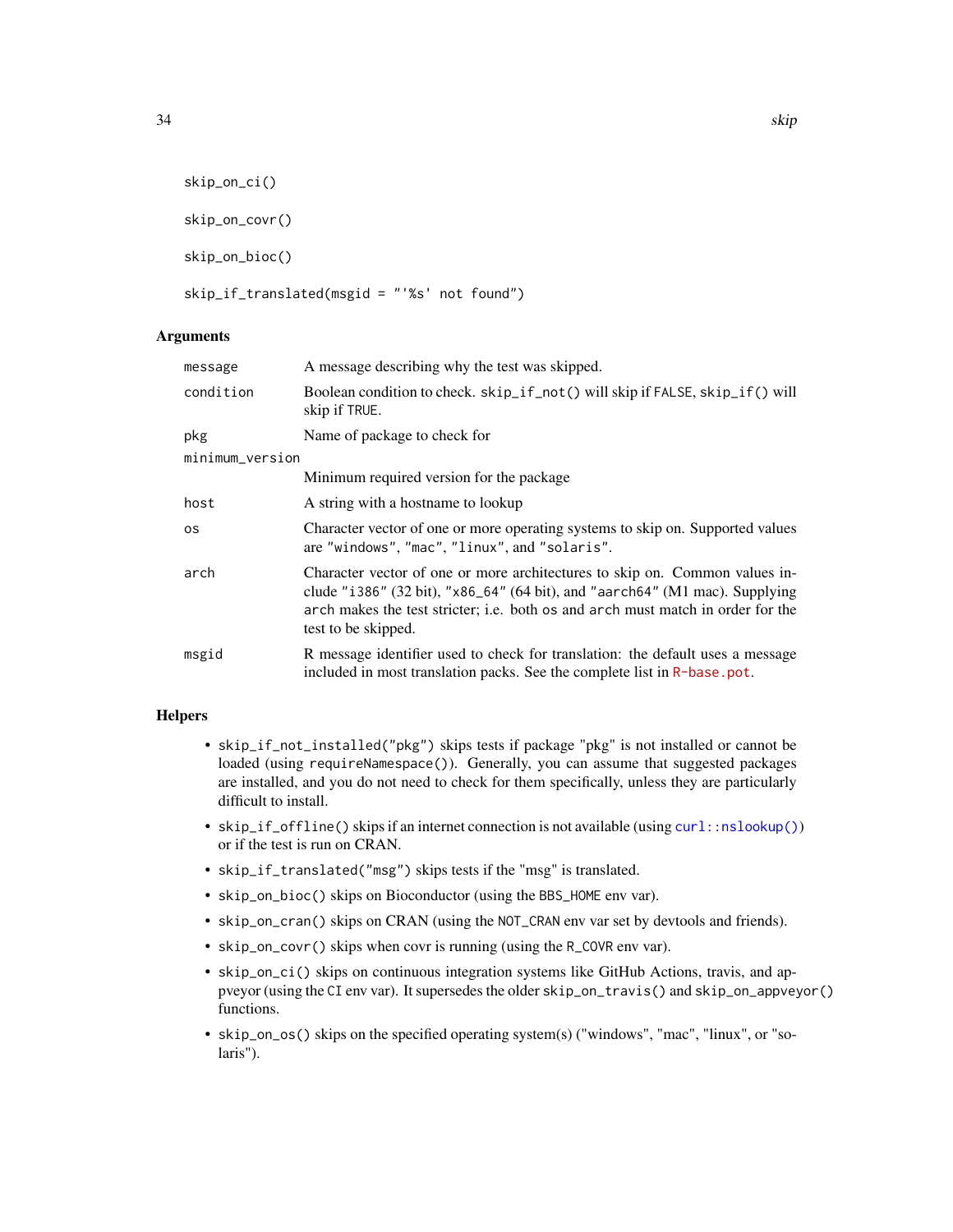```
skip_on_ci()
skip_on_covr()
skip_on_bioc()
```

```
skip_if_translated(msgid = "'%s' not found")
```
# Arguments

| message         | A message describing why the test was skipped.                                                                                                                                                                                                                       |
|-----------------|----------------------------------------------------------------------------------------------------------------------------------------------------------------------------------------------------------------------------------------------------------------------|
| condition       | Boolean condition to check. skip_if_not() will skip if FALSE, skip_if() will<br>skip if TRUE.                                                                                                                                                                        |
| pkg             | Name of package to check for                                                                                                                                                                                                                                         |
| minimum_version |                                                                                                                                                                                                                                                                      |
|                 | Minimum required version for the package                                                                                                                                                                                                                             |
| host            | A string with a hostname to lookup                                                                                                                                                                                                                                   |
| os              | Character vector of one or more operating systems to skip on. Supported values<br>are "windows", "mac", "linux", and "solaris".                                                                                                                                      |
| arch            | Character vector of one or more architectures to skip on. Common values in-<br>clude "i386" (32 bit), "x86_64" (64 bit), and "aarch64" (M1 mac). Supplying<br>arch makes the test stricter; i.e. both os and arch must match in order for the<br>test to be skipped. |
| msgid           | R message identifier used to check for translation: the default uses a message<br>included in most translation packs. See the complete list in R-base.pot.                                                                                                           |

# Helpers

- skip\_if\_not\_installed("pkg") skips tests if package "pkg" is not installed or cannot be loaded (using requireNamespace()). Generally, you can assume that suggested packages are installed, and you do not need to check for them specifically, unless they are particularly difficult to install.
- skip\_if\_offline() skips if an internet connection is not available (using [curl::nslookup\(\)](#page-0-0)) or if the test is run on CRAN.
- skip\_if\_translated("msg") skips tests if the "msg" is translated.
- skip\_on\_bioc() skips on Bioconductor (using the BBS\_HOME env var).
- skip\_on\_cran() skips on CRAN (using the NOT\_CRAN env var set by devtools and friends).
- skip\_on\_covr() skips when covr is running (using the R\_COVR env var).
- skip\_on\_ci() skips on continuous integration systems like GitHub Actions, travis, and appveyor (using the CI env var). It supersedes the older skip\_on\_travis() and skip\_on\_appveyor() functions.
- skip\_on\_os() skips on the specified operating system(s) ("windows", "mac", "linux", or "solaris").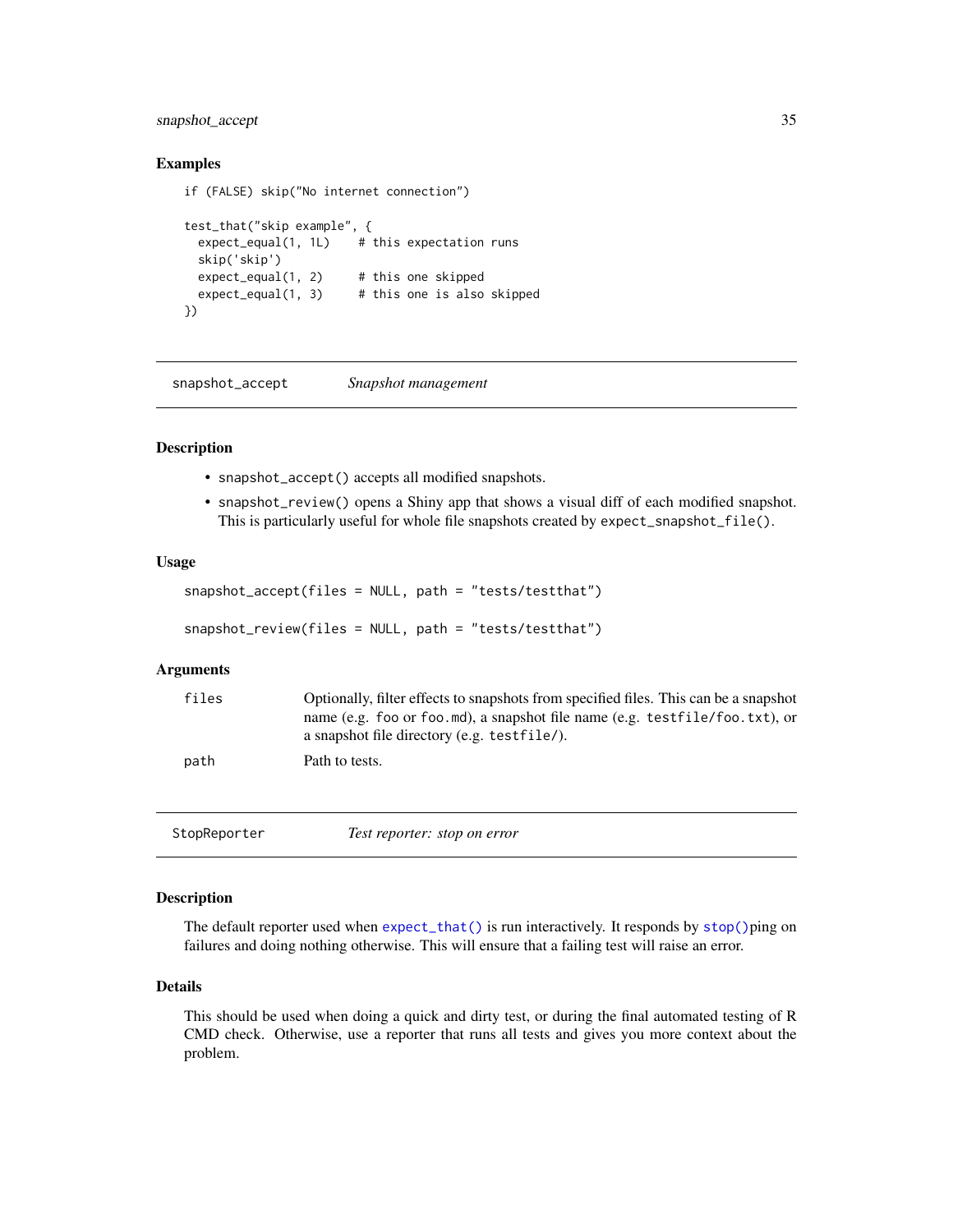# <span id="page-34-0"></span>snapshot\_accept 35

## Examples

```
if (FALSE) skip("No internet connection")
```

```
test_that("skip example", {
 expect\_equal(1, 1L) # this expectation runs
 skip('skip')
 expect\_equal(1, 2) # this one skipped
 expect\_equal(1, 3) # this one is also skipped
})
```
<span id="page-34-2"></span>snapshot\_accept *Snapshot management*

#### <span id="page-34-3"></span>Description

- snapshot\_accept() accepts all modified snapshots.
- snapshot\_review() opens a Shiny app that shows a visual diff of each modified snapshot. This is particularly useful for whole file snapshots created by expect\_snapshot\_file().

#### Usage

```
snapshot_accept(files = NULL, path = "tests/testthat")
snapshot_review(files = NULL, path = "tests/testthat")
```
## Arguments

| files | Optionally, filter effects to snapshots from specified files. This can be a snapshot |
|-------|--------------------------------------------------------------------------------------|
|       | name (e.g. foo or foo md), a snapshot file name (e.g. testfile/foo.txt), or          |
|       | a snapshot file directory (e.g. testfile).                                           |
| path  | Path to tests.                                                                       |

<span id="page-34-1"></span>StopReporter *Test reporter: stop on error*

# Description

The default reporter used when [expect\\_that\(\)](#page-0-0) is run interactively. It responds by [stop\(\)](#page-0-0)ping on failures and doing nothing otherwise. This will ensure that a failing test will raise an error.

#### Details

This should be used when doing a quick and dirty test, or during the final automated testing of R CMD check. Otherwise, use a reporter that runs all tests and gives you more context about the problem.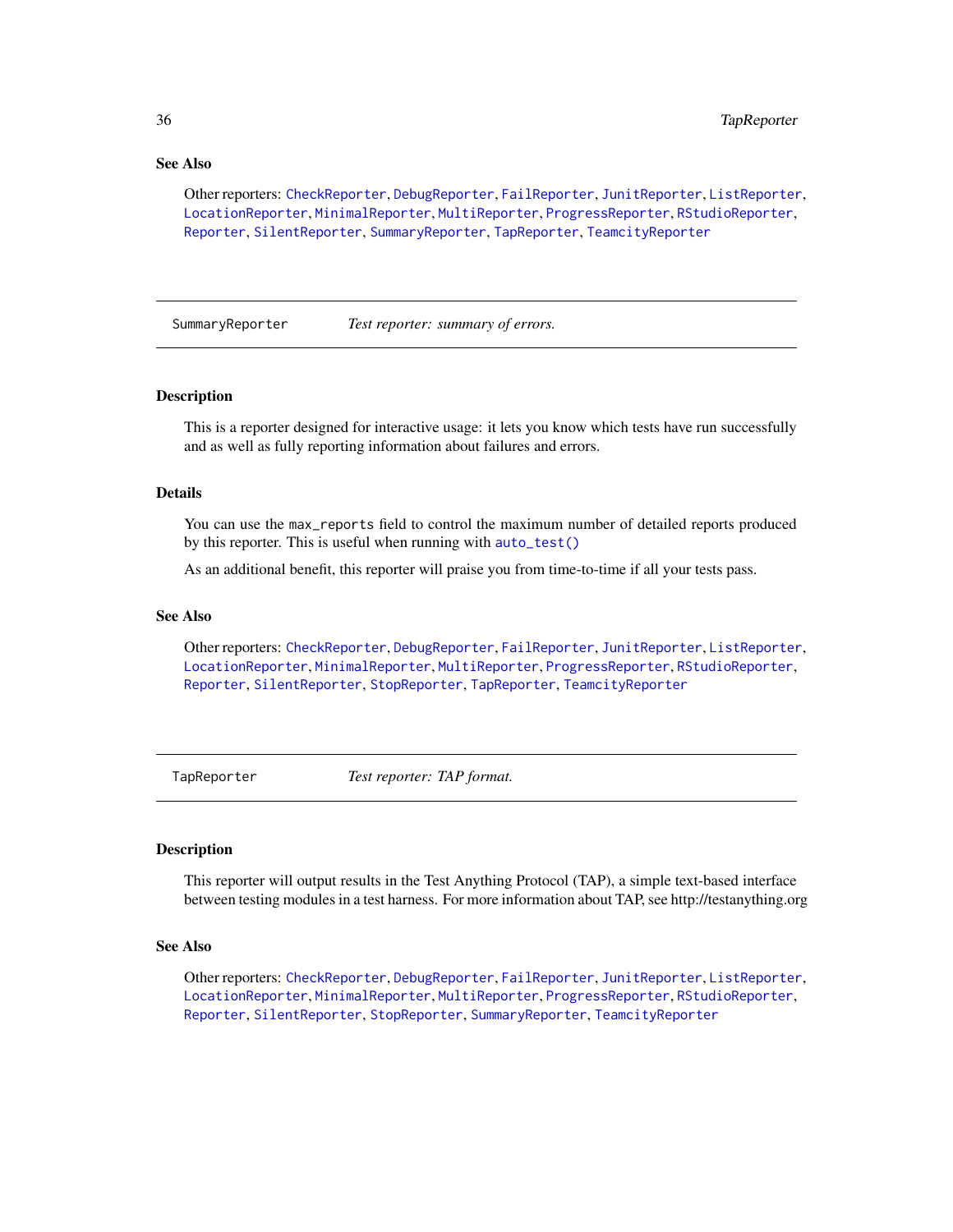# <span id="page-35-0"></span>See Also

Other reporters: [CheckReporter](#page-3-2), [DebugReporter](#page-5-1), [FailReporter](#page-24-1), [JunitReporter](#page-26-1), [ListReporter](#page-26-2), [LocationReporter](#page-29-1), [MinimalReporter](#page-30-1), [MultiReporter](#page-31-1), [ProgressReporter](#page-31-2), [RStudioReporter](#page-31-3), [Reporter](#page-0-0), [SilentReporter](#page-32-1), [SummaryReporter](#page-35-1), [TapReporter](#page-35-2), [TeamcityReporter](#page-36-1)

<span id="page-35-1"></span>SummaryReporter *Test reporter: summary of errors.*

#### Description

This is a reporter designed for interactive usage: it lets you know which tests have run successfully and as well as fully reporting information about failures and errors.

#### Details

You can use the max\_reports field to control the maximum number of detailed reports produced by this reporter. This is useful when running with [auto\\_test\(\)](#page-2-1)

As an additional benefit, this reporter will praise you from time-to-time if all your tests pass.

# See Also

Other reporters: [CheckReporter](#page-3-2), [DebugReporter](#page-5-1), [FailReporter](#page-24-1), [JunitReporter](#page-26-1), [ListReporter](#page-26-2), [LocationReporter](#page-29-1), [MinimalReporter](#page-30-1), [MultiReporter](#page-31-1), [ProgressReporter](#page-31-2), [RStudioReporter](#page-31-3), [Reporter](#page-0-0), [SilentReporter](#page-32-1), [StopReporter](#page-34-1), [TapReporter](#page-35-2), [TeamcityReporter](#page-36-1)

<span id="page-35-2"></span>TapReporter *Test reporter: TAP format.*

#### Description

This reporter will output results in the Test Anything Protocol (TAP), a simple text-based interface between testing modules in a test harness. For more information about TAP, see http://testanything.org

#### See Also

Other reporters: [CheckReporter](#page-3-2), [DebugReporter](#page-5-1), [FailReporter](#page-24-1), [JunitReporter](#page-26-1), [ListReporter](#page-26-2), [LocationReporter](#page-29-1), [MinimalReporter](#page-30-1), [MultiReporter](#page-31-1), [ProgressReporter](#page-31-2), [RStudioReporter](#page-31-3), [Reporter](#page-0-0), [SilentReporter](#page-32-1), [StopReporter](#page-34-1), [SummaryReporter](#page-35-1), [TeamcityReporter](#page-36-1)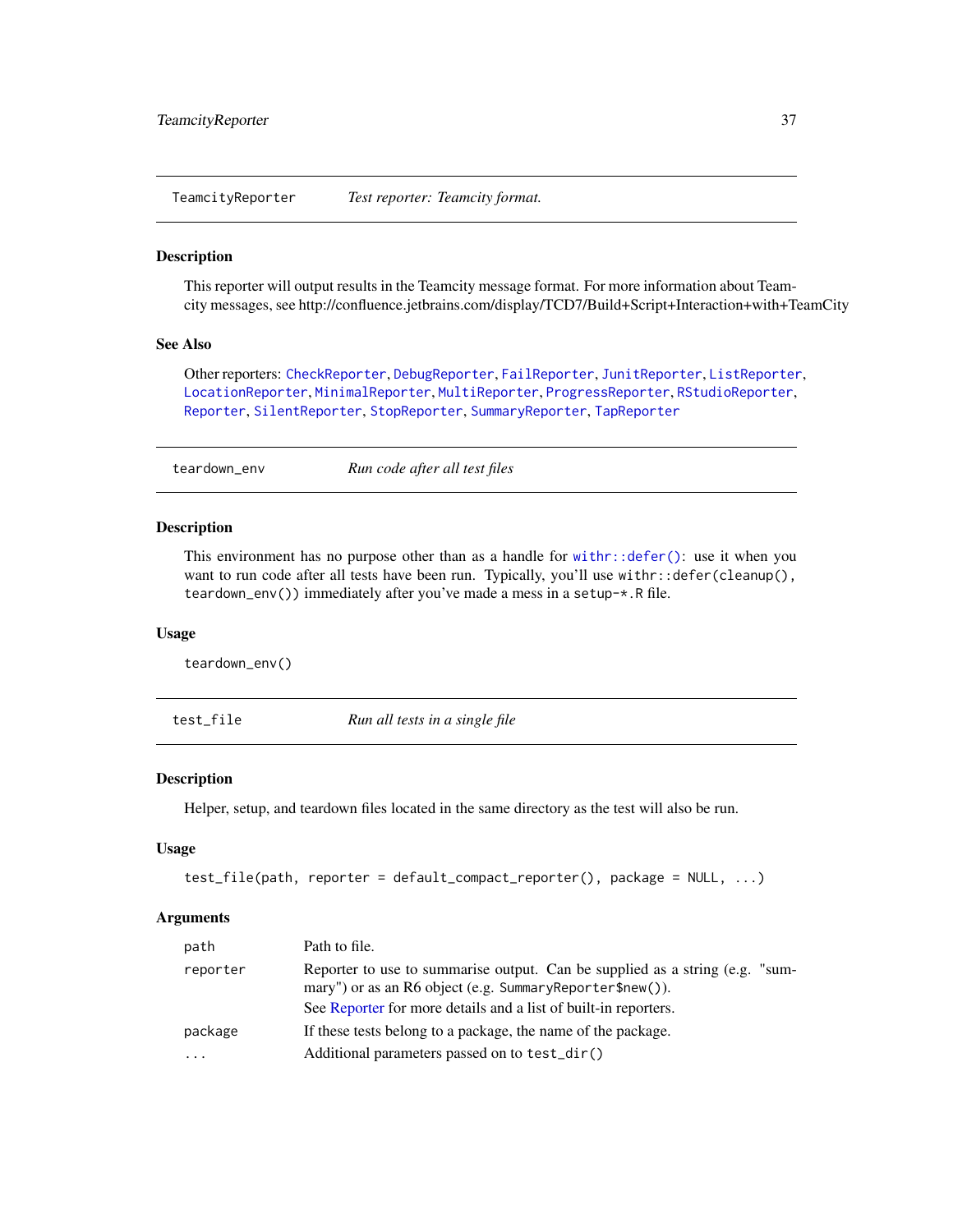<span id="page-36-1"></span><span id="page-36-0"></span>TeamcityReporter *Test reporter: Teamcity format.*

# Description

This reporter will output results in the Teamcity message format. For more information about Teamcity messages, see http://confluence.jetbrains.com/display/TCD7/Build+Script+Interaction+with+TeamCity

#### See Also

Other reporters: [CheckReporter](#page-3-2), [DebugReporter](#page-5-1), [FailReporter](#page-24-1), [JunitReporter](#page-26-1), [ListReporter](#page-26-2), [LocationReporter](#page-29-1), [MinimalReporter](#page-30-1), [MultiReporter](#page-31-1), [ProgressReporter](#page-31-2), [RStudioReporter](#page-31-3), [Reporter](#page-0-0), [SilentReporter](#page-32-1), [StopReporter](#page-34-1), [SummaryReporter](#page-35-1), [TapReporter](#page-35-2)

teardown\_env *Run code after all test files*

#### Description

This environment has no purpose other than as a handle for [withr::defer\(\)](#page-0-0): use it when you want to run code after all tests have been run. Typically, you'll use withr::defer(cleanup(), teardown\_env()) immediately after you've made a mess in a setup-\*.R file.

## Usage

teardown\_env()

<span id="page-36-2"></span>test\_file *Run all tests in a single file*

# **Description**

Helper, setup, and teardown files located in the same directory as the test will also be run.

#### Usage

```
test_file(path, reporter = default_compact_reporter(), package = NULL, ...)
```
#### Arguments

| path     | Path to file.                                                                                                                                                                                                |  |
|----------|--------------------------------------------------------------------------------------------------------------------------------------------------------------------------------------------------------------|--|
| reporter | Reporter to use to summarise output. Can be supplied as a string (e.g. "sum-<br>mary") or as an R6 object (e.g. Summary Reporter\$new()).<br>See Reporter for more details and a list of built-in reporters. |  |
| package  | If these tests belong to a package, the name of the package.                                                                                                                                                 |  |
|          |                                                                                                                                                                                                              |  |
| $\cdots$ | Additional parameters passed on to test_dir()                                                                                                                                                                |  |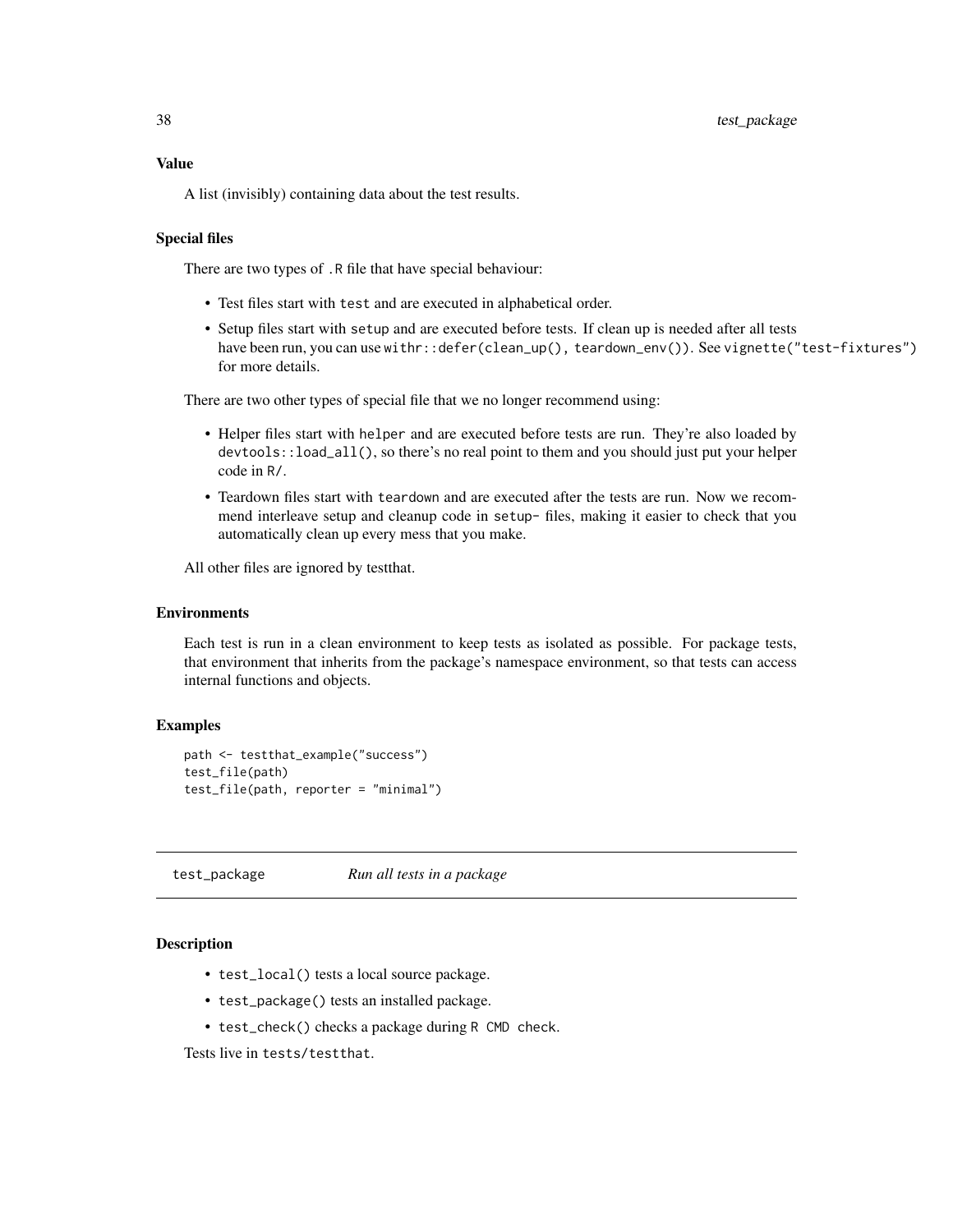# <span id="page-37-0"></span>Value

A list (invisibly) containing data about the test results.

# Special files

There are two types of .R file that have special behaviour:

- Test files start with test and are executed in alphabetical order.
- Setup files start with setup and are executed before tests. If clean up is needed after all tests have been run, you can use withr::defer(clean\_up(), teardown\_env()). See vignette("test-fixtures") for more details.

There are two other types of special file that we no longer recommend using:

- Helper files start with helper and are executed before tests are run. They're also loaded by devtools::load\_all(), so there's no real point to them and you should just put your helper code in R/.
- Teardown files start with teardown and are executed after the tests are run. Now we recommend interleave setup and cleanup code in setup- files, making it easier to check that you automatically clean up every mess that you make.

All other files are ignored by testthat.

#### **Environments**

Each test is run in a clean environment to keep tests as isolated as possible. For package tests, that environment that inherits from the package's namespace environment, so that tests can access internal functions and objects.

### Examples

```
path <- testthat_example("success")
test_file(path)
test_file(path, reporter = "minimal")
```
test\_package *Run all tests in a package*

#### **Description**

- test\_local() tests a local source package.
- test\_package() tests an installed package.
- test\_check() checks a package during R CMD check.

Tests live in tests/testthat.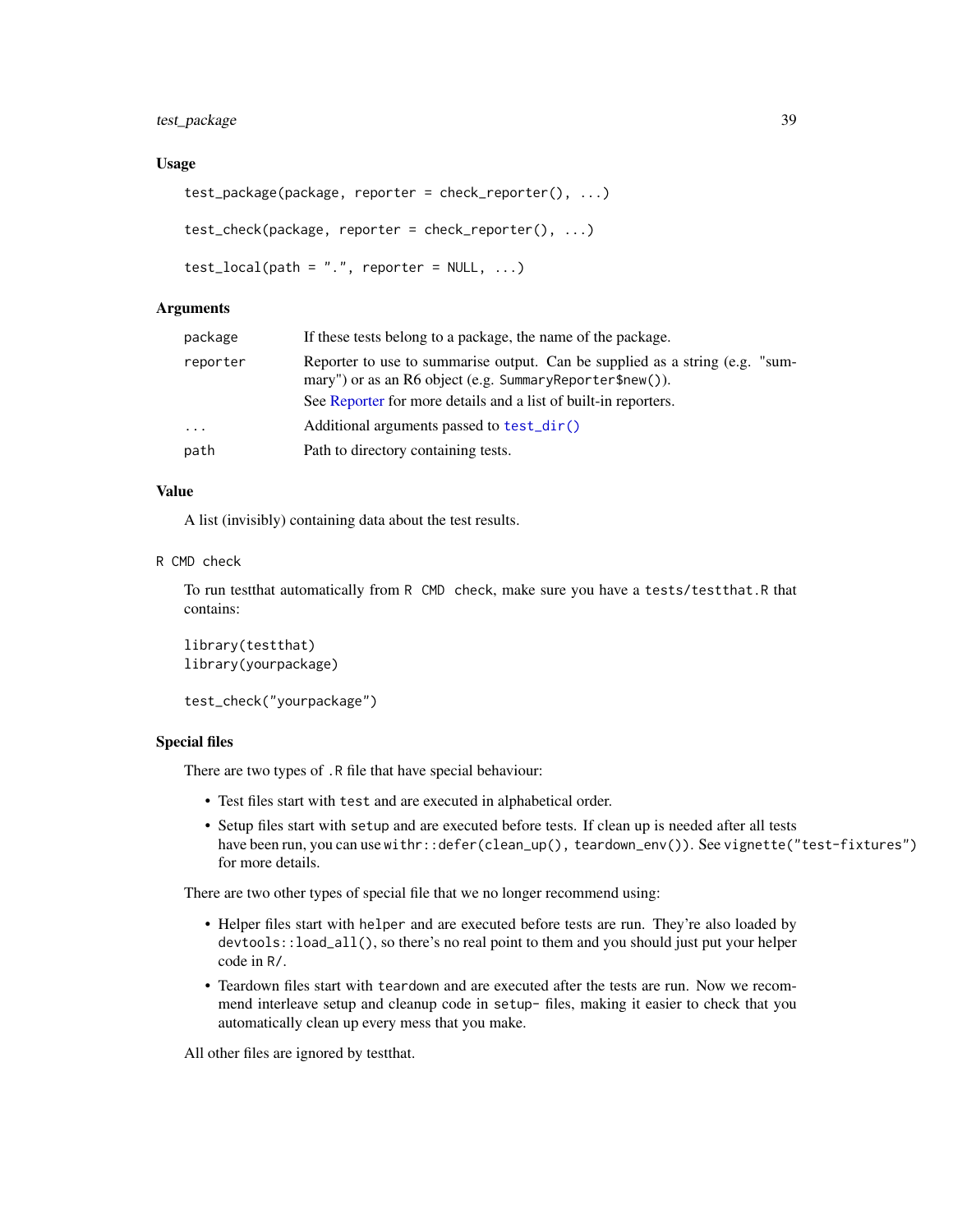# <span id="page-38-0"></span>test\_package 39

#### Usage

```
test_package(package, reporter = check_reporter(), ...)
test_check(package, reporter = check_reporter(), ...)
test\_local(path = ".", reporter = NULL, ...)
```
#### Arguments

| package                 | If these tests belong to a package, the name of the package.                                                                                                                                                           |  |
|-------------------------|------------------------------------------------------------------------------------------------------------------------------------------------------------------------------------------------------------------------|--|
| reporter                | Reporter to use to summarise output. Can be supplied as a string (e.g. "sum-<br>mary") or as an R6 object (e.g. Summary Reporter $\text{Snew}()$ ).<br>See Reporter for more details and a list of built-in reporters. |  |
| $\cdot$ $\cdot$ $\cdot$ | Additional arguments passed to test_dir()                                                                                                                                                                              |  |
| path                    | Path to directory containing tests.                                                                                                                                                                                    |  |

# Value

A list (invisibly) containing data about the test results.

#### R CMD check

To run testthat automatically from R CMD check, make sure you have a tests/testthat.R that contains:

```
library(testthat)
library(yourpackage)
```

```
test_check("yourpackage")
```
# Special files

There are two types of .R file that have special behaviour:

- Test files start with test and are executed in alphabetical order.
- Setup files start with setup and are executed before tests. If clean up is needed after all tests have been run, you can use withr::defer(clean\_up(), teardown\_env()). See vignette("test-fixtures") for more details.

There are two other types of special file that we no longer recommend using:

- Helper files start with helper and are executed before tests are run. They're also loaded by devtools::load\_all(), so there's no real point to them and you should just put your helper code in R/.
- Teardown files start with teardown and are executed after the tests are run. Now we recommend interleave setup and cleanup code in setup- files, making it easier to check that you automatically clean up every mess that you make.

All other files are ignored by testthat.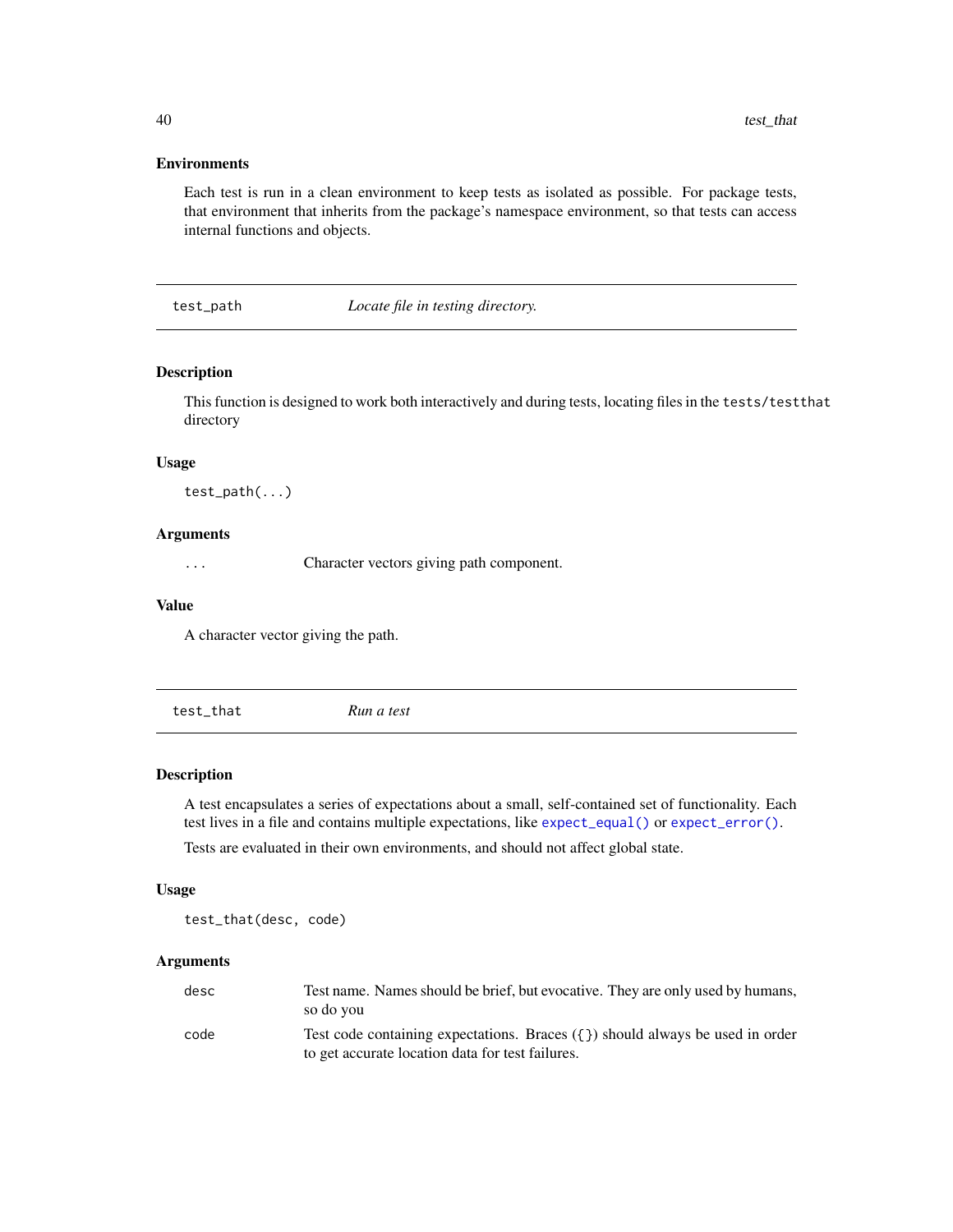#### Environments

Each test is run in a clean environment to keep tests as isolated as possible. For package tests, that environment that inherits from the package's namespace environment, so that tests can access internal functions and objects.

test\_path *Locate file in testing directory.*

# Description

This function is designed to work both interactively and during tests, locating files in the tests/testthat directory

#### Usage

test\_path(...)

#### Arguments

... Character vectors giving path component.

#### Value

A character vector giving the path.

<span id="page-39-1"></span>test\_that *Run a test*

#### Description

A test encapsulates a series of expectations about a small, self-contained set of functionality. Each test lives in a file and contains multiple expectations, like [expect\\_equal\(\)](#page-6-2) or [expect\\_error\(\)](#page-9-1). Tests are evaluated in their own environments, and should not affect global state.

#### Usage

test\_that(desc, code)

# Arguments

| desc | Test name. Names should be brief, but evocative. They are only used by humans,<br>so do you                                             |
|------|-----------------------------------------------------------------------------------------------------------------------------------------|
| code | Test code containing expectations. Braces $({} \}$ ) should always be used in order<br>to get accurate location data for test failures. |

<span id="page-39-0"></span>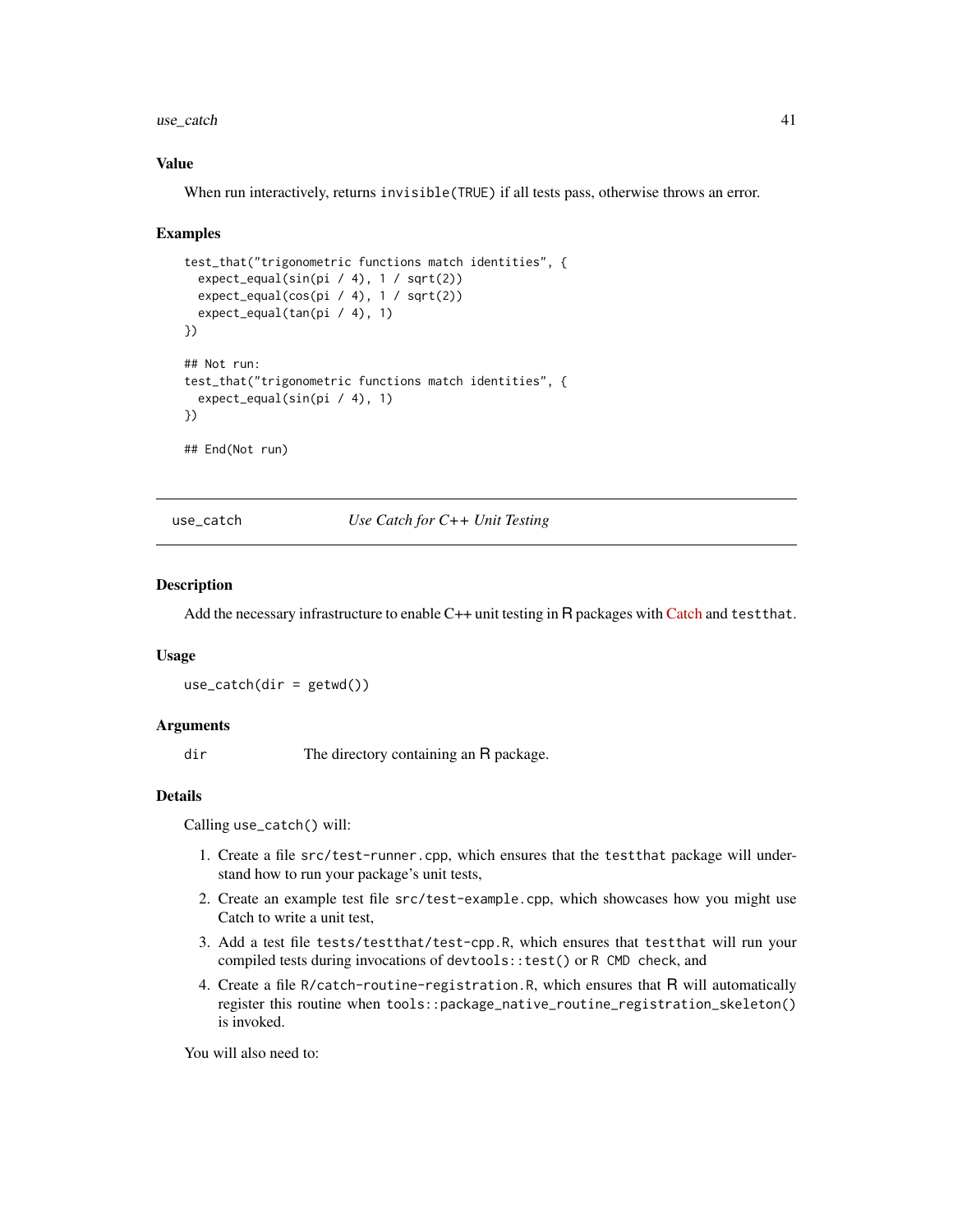<span id="page-40-0"></span> $use\_catch$  41

# Value

When run interactively, returns invisible(TRUE) if all tests pass, otherwise throws an error.

#### Examples

```
test_that("trigonometric functions match identities", {
 expect_equal(sin(pi / 4), 1 / sqrt(2))
 expect_equal(cos(pi / 4), 1 / sqrt(2))
 expect_equal(tan(pi / 4), 1)
})
## Not run:
test_that("trigonometric functions match identities", {
 expect_equal(sin(pi / 4), 1)
})
## End(Not run)
```
use\_catch *Use Catch for C++ Unit Testing*

#### **Description**

Add the necessary infrastructure to enable C++ unit testing in R packages with [Catch](https://github.com/catchorg/Catch2) and test that.

#### Usage

 $use_catch(dir = getwd())$ 

### Arguments

dir The directory containing an R package.

# Details

Calling use\_catch() will:

- 1. Create a file src/test-runner.cpp, which ensures that the testthat package will understand how to run your package's unit tests,
- 2. Create an example test file src/test-example.cpp, which showcases how you might use Catch to write a unit test,
- 3. Add a test file tests/testthat/test-cpp.R, which ensures that testthat will run your compiled tests during invocations of devtools::test() or R CMD check, and
- 4. Create a file R/catch-routine-registration.R, which ensures that R will automatically register this routine when tools::package\_native\_routine\_registration\_skeleton() is invoked.

You will also need to: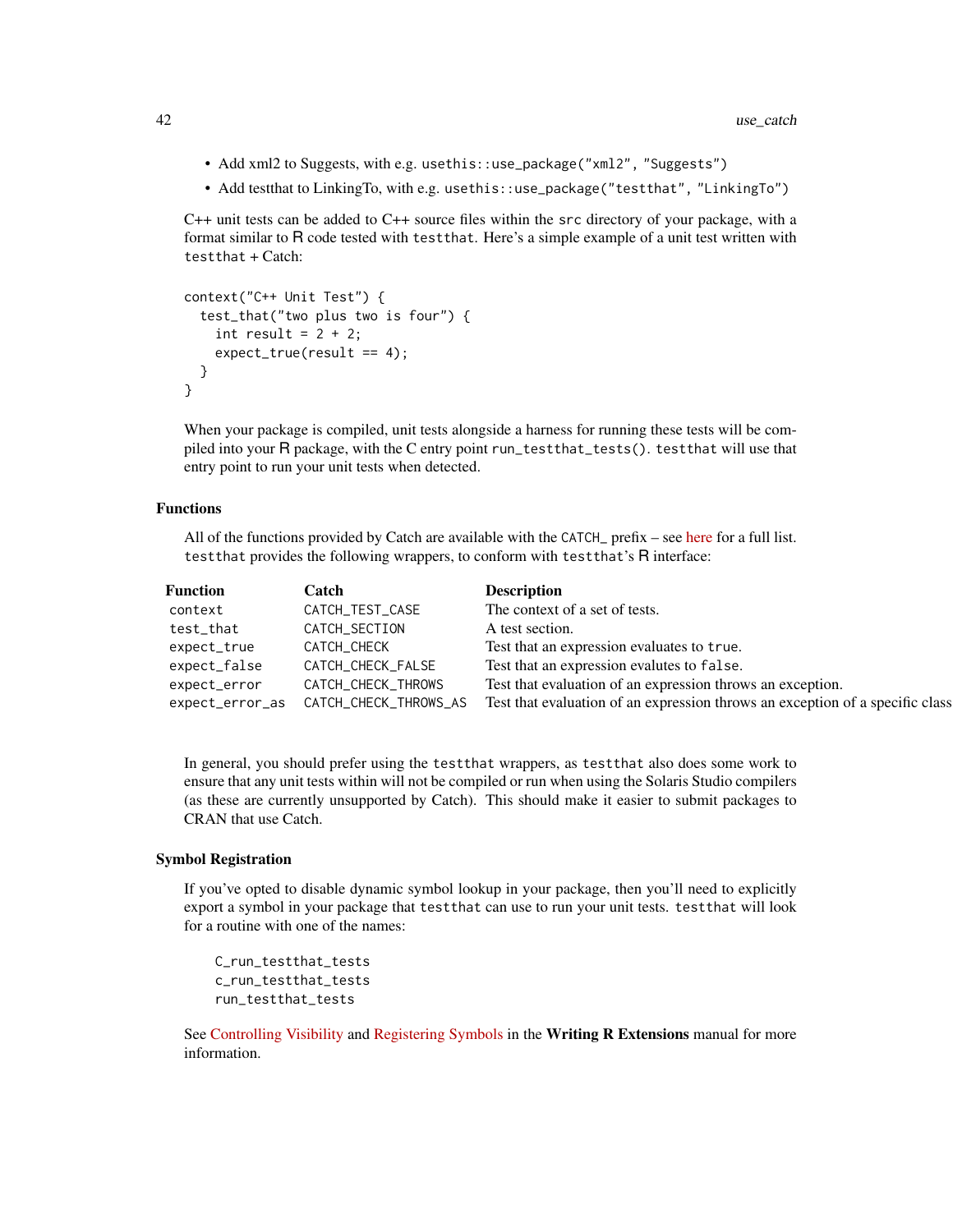- Add xml2 to Suggests, with e.g. usethis::use\_package("xml2", "Suggests")
- Add testthat to LinkingTo, with e.g. usethis::use\_package("testthat", "LinkingTo")

C++ unit tests can be added to C++ source files within the src directory of your package, with a format similar to R code tested with testthat. Here's a simple example of a unit test written with testthat + Catch:

```
context("C++ Unit Test") {
  test_that("two plus two is four") {
    int result = 2 + 2;
    expect_true(result == 4);
  }
}
```
When your package is compiled, unit tests alongside a harness for running these tests will be compiled into your R package, with the C entry point run\_testthat\_tests(). testthat will use that entry point to run your unit tests when detected.

# Functions

All of the functions provided by Catch are available with the CATCH\_ prefix – see [here](https://github.com/catchorg/Catch2/blob/master/docs/assertions.md) for a full list. testthat provides the following wrappers, to conform with testthat's R interface:

| <b>Function</b> | Catch                 | <b>Description</b>                                                            |
|-----------------|-----------------------|-------------------------------------------------------------------------------|
| context         | CATCH_TEST_CASE       | The context of a set of tests.                                                |
| test_that       | CATCH_SECTION         | A test section.                                                               |
| expect_true     | CATCH_CHECK           | Test that an expression evaluates to true.                                    |
| expect_false    | CATCH_CHECK_FALSE     | Test that an expression evalutes to false.                                    |
| expect_error    | CATCH_CHECK_THROWS    | Test that evaluation of an expression throws an exception.                    |
| expect_error_as | CATCH_CHECK_THROWS_AS | Test that evaluation of an expression throws an exception of a specific class |

In general, you should prefer using the testthat wrappers, as testthat also does some work to ensure that any unit tests within will not be compiled or run when using the Solaris Studio compilers (as these are currently unsupported by Catch). This should make it easier to submit packages to CRAN that use Catch.

### Symbol Registration

If you've opted to disable dynamic symbol lookup in your package, then you'll need to explicitly export a symbol in your package that testthat can use to run your unit tests. testthat will look for a routine with one of the names:

```
C_run_testthat_tests
c_run_testthat_tests
run_testthat_tests
```
See [Controlling Visibility](https://cran.r-project.org/doc/manuals/r-release/R-exts.html#Controlling-visibility) and [Registering Symbols](https://cran.r-project.org/doc/manuals/r-release/R-exts.html#Registering-symbols) in the Writing R Extensions manual for more information.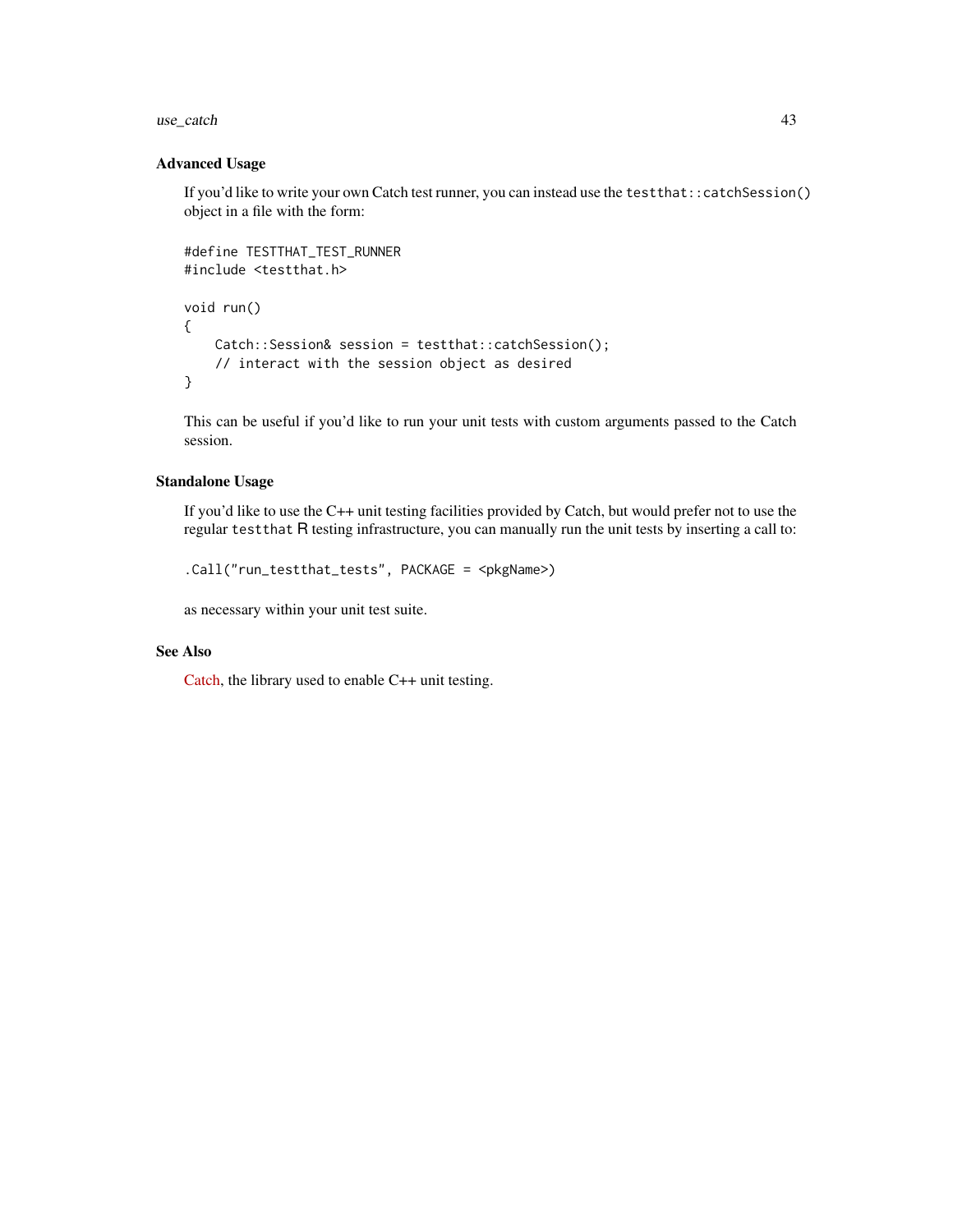#### $use\_catch$  43

#### Advanced Usage

If you'd like to write your own Catch test runner, you can instead use the test that::catchSession() object in a file with the form:

```
#define TESTTHAT_TEST_RUNNER
#include <testthat.h>
void run()
{
   Catch::Session& session = testthat::catchSession();
   // interact with the session object as desired
}
```
This can be useful if you'd like to run your unit tests with custom arguments passed to the Catch session.

# Standalone Usage

If you'd like to use the C++ unit testing facilities provided by Catch, but would prefer not to use the regular testthat R testing infrastructure, you can manually run the unit tests by inserting a call to:

```
.Call("run_testthat_tests", PACKAGE = <pkgName>)
```
as necessary within your unit test suite.

# See Also

[Catch,](https://github.com/catchorg/Catch2/blob/master/docs/assertions.md) the library used to enable C++ unit testing.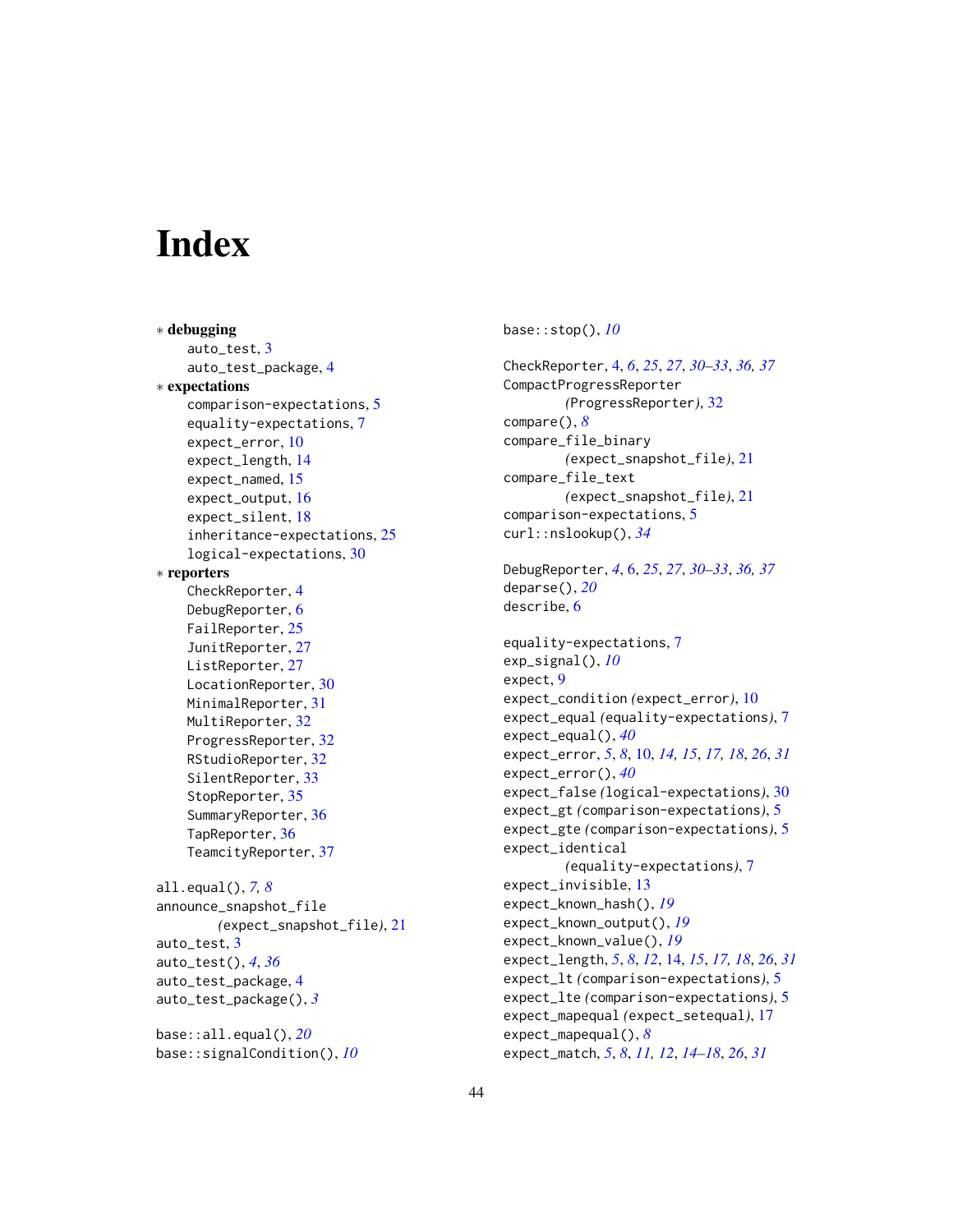# <span id="page-43-0"></span>**Index**

∗ debugging auto\_test, [3](#page-2-0) auto\_test\_package, [4](#page-3-0) ∗ expectations comparison-expectations, [5](#page-4-0) equality-expectations, [7](#page-6-0) expect\_error, [10](#page-9-0) expect\_length, [14](#page-13-0) expect\_named, [15](#page-14-0) expect\_output, [16](#page-15-0) expect\_silent, [18](#page-17-0) inheritance-expectations, [25](#page-24-0) logical-expectations, [30](#page-29-0) ∗ reporters CheckReporter, [4](#page-3-0) DebugReporter, [6](#page-5-0) FailReporter, [25](#page-24-0) JunitReporter, [27](#page-26-0) ListReporter, [27](#page-26-0) LocationReporter, [30](#page-29-0) MinimalReporter, [31](#page-30-0) MultiReporter, [32](#page-31-0) ProgressReporter, [32](#page-31-0) RStudioReporter, [32](#page-31-0) SilentReporter, [33](#page-32-0) StopReporter, [35](#page-34-0) SummaryReporter, [36](#page-35-0) TapReporter, [36](#page-35-0) TeamcityReporter, [37](#page-36-0) all.equal(), *[7,](#page-6-0) [8](#page-7-0)* announce\_snapshot\_file *(*expect\_snapshot\_file*)*, [21](#page-20-0) auto\_test, [3](#page-2-0) auto\_test(), *[4](#page-3-0)*, *[36](#page-35-0)* auto\_test\_package, [4](#page-3-0) auto\_test\_package(), *[3](#page-2-0)* base::all.equal(), *[20](#page-19-0)* base::signalCondition(), *[10](#page-9-0)*

base::stop(), *[10](#page-9-0)* CheckReporter, [4,](#page-3-0) *[6](#page-5-0)*, *[25](#page-24-0)*, *[27](#page-26-0)*, *[30](#page-29-0)[–33](#page-32-0)*, *[36,](#page-35-0) [37](#page-36-0)* CompactProgressReporter *(*ProgressReporter*)*, [32](#page-31-0) compare(), *[8](#page-7-0)* compare\_file\_binary *(*expect\_snapshot\_file*)*, [21](#page-20-0) compare\_file\_text *(*expect\_snapshot\_file*)*, [21](#page-20-0) comparison-expectations, [5](#page-4-0) curl::nslookup(), *[34](#page-33-0)* DebugReporter, *[4](#page-3-0)*, [6,](#page-5-0) *[25](#page-24-0)*, *[27](#page-26-0)*, *[30](#page-29-0)[–33](#page-32-0)*, *[36,](#page-35-0) [37](#page-36-0)* deparse(), *[20](#page-19-0)* describe, [6](#page-5-0) equality-expectations, [7](#page-6-0) exp\_signal(), *[10](#page-9-0)* expect, [9](#page-8-0) expect\_condition *(*expect\_error*)*, [10](#page-9-0) expect\_equal *(*equality-expectations*)*, [7](#page-6-0) expect\_equal(), *[40](#page-39-0)* expect\_error, *[5](#page-4-0)*, *[8](#page-7-0)*, [10,](#page-9-0) *[14,](#page-13-0) [15](#page-14-0)*, *[17,](#page-16-0) [18](#page-17-0)*, *[26](#page-25-0)*, *[31](#page-30-0)* expect\_error(), *[40](#page-39-0)* expect\_false *(*logical-expectations*)*, [30](#page-29-0) expect\_gt *(*comparison-expectations*)*, [5](#page-4-0) expect\_gte *(*comparison-expectations*)*, [5](#page-4-0) expect\_identical *(*equality-expectations*)*, [7](#page-6-0) expect\_invisible, [13](#page-12-0) expect\_known\_hash(), *[19](#page-18-0)* expect\_known\_output(), *[19](#page-18-0)* expect\_known\_value(), *[19](#page-18-0)* expect\_length, *[5](#page-4-0)*, *[8](#page-7-0)*, *[12](#page-11-0)*, [14,](#page-13-0) *[15](#page-14-0)*, *[17,](#page-16-0) [18](#page-17-0)*, *[26](#page-25-0)*, *[31](#page-30-0)* expect\_lt *(*comparison-expectations*)*, [5](#page-4-0) expect\_lte *(*comparison-expectations*)*, [5](#page-4-0) expect\_mapequal *(*expect\_setequal*)*, [17](#page-16-0) expect\_mapequal(), *[8](#page-7-0)* expect\_match, *[5](#page-4-0)*, *[8](#page-7-0)*, *[11,](#page-10-0) [12](#page-11-0)*, *[14](#page-13-0)[–18](#page-17-0)*, *[26](#page-25-0)*, *[31](#page-30-0)*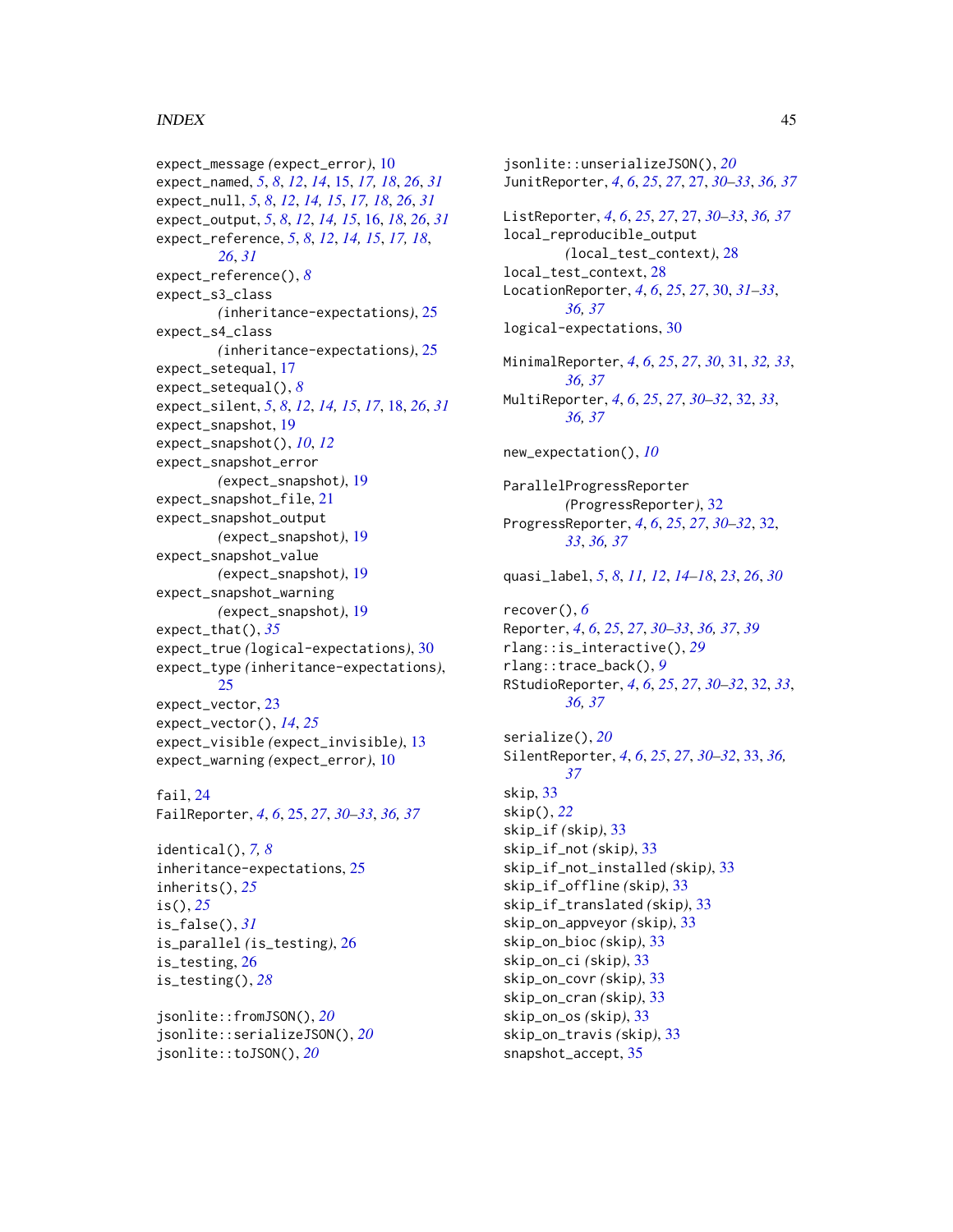### INDEX 45

```
expect_message (expect_error), 10
expect_named, 5, 8, 12, 14, 15, 17, 18, 26, 31
expect_null, 5, 8, 12, 14, 15, 17, 18, 26, 31
expect_output, 5, 8, 12, 14, 15, 16, 18, 26, 31
expect_reference, 5, 8, 12, 14, 15, 17, 18,
        26, 31
expect_reference(), 8
expect_s3_class
        (inheritance-expectations), 25
expect_s4_class
        (inheritance-expectations), 25
expect_setequal, 17
expect_setequal(), 8
expect_silent, 5, 8, 12, 14, 15, 17, 18, 26, 31
expect_snapshot, 19
expect_snapshot(), 10, 12
expect_snapshot_error
        (expect_snapshot), 19
expect_snapshot_file, 21
expect_snapshot_output
        (expect_snapshot), 19
expect_snapshot_value
        (expect_snapshot), 19
expect_snapshot_warning
        (expect_snapshot), 19
expect_that(), 35
expect_true (logical-expectations), 30
expect_type (inheritance-expectations),
        25
expect_vector, 23
expect_vector(), 14, 25
expect_visible (expect_invisible), 13
expect_warning (expect_error), 10
```
# fail, [24](#page-23-0)

FailReporter, *[4](#page-3-0)*, *[6](#page-5-0)*, [25,](#page-24-0) *[27](#page-26-0)*, *[30–](#page-29-0)[33](#page-32-0)*, *[36,](#page-35-0) [37](#page-36-0)*

```
identical(), 7, 8
inheritance-expectations, 25
inherits(), 25
is(), 25
is_false(), 31
is_parallel (is_testing), 26
is_testing, 26
is_testing(), 28
```
jsonlite::fromJSON(), *[20](#page-19-0)* jsonlite::serializeJSON(), *[20](#page-19-0)* jsonlite::toJSON(), *[20](#page-19-0)*

jsonlite::unserializeJSON(), *[20](#page-19-0)* JunitReporter, *[4](#page-3-0)*, *[6](#page-5-0)*, *[25](#page-24-0)*, *[27](#page-26-0)*, [27,](#page-26-0) *[30](#page-29-0)[–33](#page-32-0)*, *[36,](#page-35-0) [37](#page-36-0)* ListReporter, *[4](#page-3-0)*, *[6](#page-5-0)*, *[25](#page-24-0)*, *[27](#page-26-0)*, [27,](#page-26-0) *[30](#page-29-0)[–33](#page-32-0)*, *[36,](#page-35-0) [37](#page-36-0)* local\_reproducible\_output *(*local\_test\_context*)*, [28](#page-27-0) local\_test\_context, [28](#page-27-0) LocationReporter, *[4](#page-3-0)*, *[6](#page-5-0)*, *[25](#page-24-0)*, *[27](#page-26-0)*, [30,](#page-29-0) *[31](#page-30-0)[–33](#page-32-0)*, *[36,](#page-35-0) [37](#page-36-0)* logical-expectations, [30](#page-29-0) MinimalReporter, *[4](#page-3-0)*, *[6](#page-5-0)*, *[25](#page-24-0)*, *[27](#page-26-0)*, *[30](#page-29-0)*, [31,](#page-30-0) *[32,](#page-31-0) [33](#page-32-0)*, *[36,](#page-35-0) [37](#page-36-0)* MultiReporter, *[4](#page-3-0)*, *[6](#page-5-0)*, *[25](#page-24-0)*, *[27](#page-26-0)*, *[30](#page-29-0)[–32](#page-31-0)*, [32,](#page-31-0) *[33](#page-32-0)*, *[36,](#page-35-0) [37](#page-36-0)* new\_expectation(), *[10](#page-9-0)* ParallelProgressReporter *(*ProgressReporter*)*, [32](#page-31-0) ProgressReporter, *[4](#page-3-0)*, *[6](#page-5-0)*, *[25](#page-24-0)*, *[27](#page-26-0)*, *[30](#page-29-0)[–32](#page-31-0)*, [32,](#page-31-0) *[33](#page-32-0)*, *[36,](#page-35-0) [37](#page-36-0)* quasi\_label, *[5](#page-4-0)*, *[8](#page-7-0)*, *[11,](#page-10-0) [12](#page-11-0)*, *[14](#page-13-0)[–18](#page-17-0)*, *[23](#page-22-0)*, *[26](#page-25-0)*, *[30](#page-29-0)* recover(), *[6](#page-5-0)* Reporter, *[4](#page-3-0)*, *[6](#page-5-0)*, *[25](#page-24-0)*, *[27](#page-26-0)*, *[30](#page-29-0)[–33](#page-32-0)*, *[36,](#page-35-0) [37](#page-36-0)*, *[39](#page-38-0)* rlang::is\_interactive(), *[29](#page-28-0)* rlang::trace\_back(), *[9](#page-8-0)* RStudioReporter, *[4](#page-3-0)*, *[6](#page-5-0)*, *[25](#page-24-0)*, *[27](#page-26-0)*, *[30](#page-29-0)[–32](#page-31-0)*, [32,](#page-31-0) *[33](#page-32-0)*, *[36,](#page-35-0) [37](#page-36-0)* serialize(), *[20](#page-19-0)* SilentReporter, *[4](#page-3-0)*, *[6](#page-5-0)*, *[25](#page-24-0)*, *[27](#page-26-0)*, *[30](#page-29-0)[–32](#page-31-0)*, [33,](#page-32-0) *[36,](#page-35-0) [37](#page-36-0)* skip, [33](#page-32-0) skip(), *[22](#page-21-0)* skip\_if *(*skip*)*, [33](#page-32-0) skip\_if\_not *(*skip*)*, [33](#page-32-0) skip\_if\_not\_installed *(*skip*)*, [33](#page-32-0) skip\_if\_offline *(*skip*)*, [33](#page-32-0) skip\_if\_translated *(*skip*)*, [33](#page-32-0) skip\_on\_appveyor *(*skip*)*, [33](#page-32-0) skip\_on\_bioc *(*skip*)*, [33](#page-32-0) skip\_on\_ci *(*skip*)*, [33](#page-32-0) skip\_on\_covr *(*skip*)*, [33](#page-32-0) skip\_on\_cran *(*skip*)*, [33](#page-32-0) skip\_on\_os *(*skip*)*, [33](#page-32-0) skip\_on\_travis *(*skip*)*, [33](#page-32-0) snapshot\_accept, [35](#page-34-0)